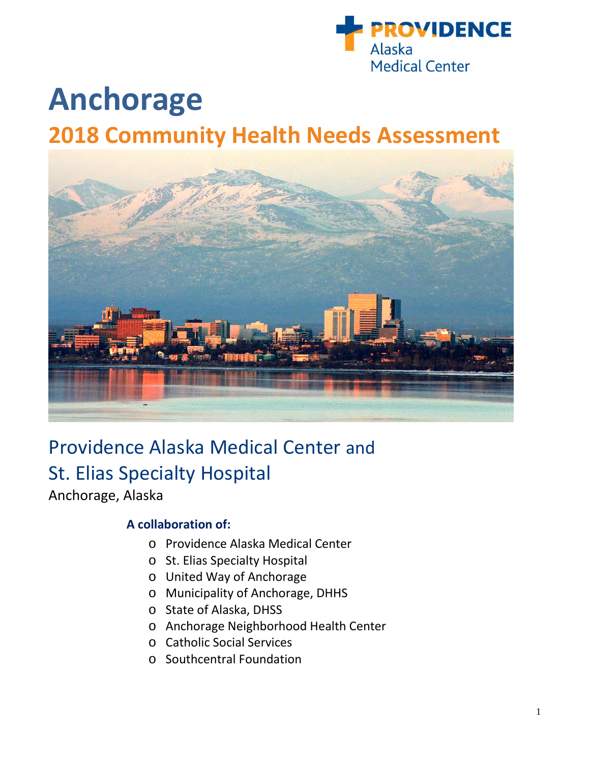

# **Anchorage 2018 Community Health Needs Assessment**



# Providence Alaska Medical Center and St. Elias Specialty Hospital

Anchorage, Alaska

# **A collaboration of:**

- o Providence Alaska Medical Center
- o St. Elias Specialty Hospital
- o United Way of Anchorage
- o Municipality of Anchorage, DHHS
- o State of Alaska, DHSS
- o Anchorage Neighborhood Health Center
- o Catholic Social Services
- o Southcentral Foundation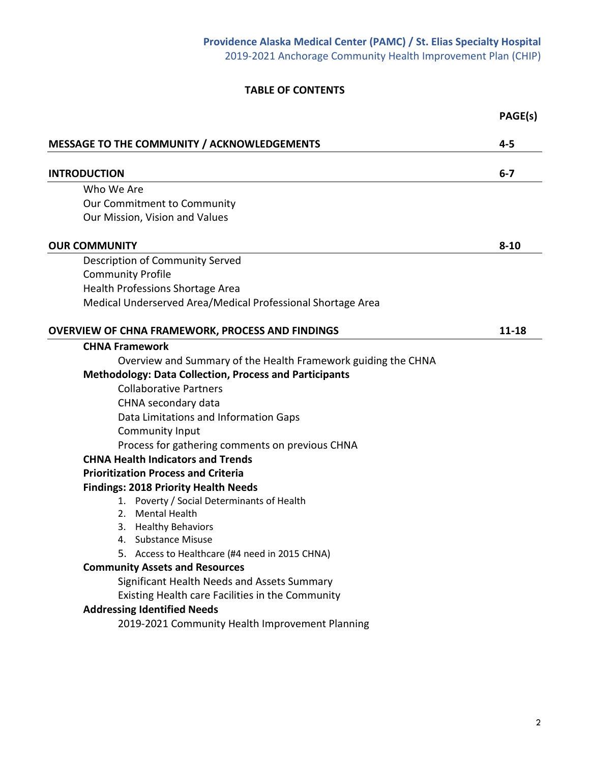# **TABLE OF CONTENTS**

|                                                                                         | PAGE(s)   |
|-----------------------------------------------------------------------------------------|-----------|
| <b>MESSAGE TO THE COMMUNITY / ACKNOWLEDGEMENTS</b>                                      | $4 - 5$   |
| <b>INTRODUCTION</b>                                                                     | $6 - 7$   |
| Who We Are                                                                              |           |
| Our Commitment to Community                                                             |           |
| Our Mission, Vision and Values                                                          |           |
| <b>OUR COMMUNITY</b>                                                                    | $8 - 10$  |
| Description of Community Served                                                         |           |
| <b>Community Profile</b>                                                                |           |
| Health Professions Shortage Area                                                        |           |
| Medical Underserved Area/Medical Professional Shortage Area                             |           |
| <b>OVERVIEW OF CHNA FRAMEWORK, PROCESS AND FINDINGS</b>                                 | $11 - 18$ |
| <b>CHNA Framework</b>                                                                   |           |
| Overview and Summary of the Health Framework guiding the CHNA                           |           |
| <b>Methodology: Data Collection, Process and Participants</b>                           |           |
| <b>Collaborative Partners</b>                                                           |           |
| CHNA secondary data                                                                     |           |
| Data Limitations and Information Gaps                                                   |           |
| Community Input                                                                         |           |
| Process for gathering comments on previous CHNA                                         |           |
| <b>CHNA Health Indicators and Trends</b>                                                |           |
| <b>Prioritization Process and Criteria</b>                                              |           |
| <b>Findings: 2018 Priority Health Needs</b>                                             |           |
| 1. Poverty / Social Determinants of Health                                              |           |
| 2. Mental Health                                                                        |           |
| 3. Healthy Behaviors                                                                    |           |
| 4. Substance Misuse                                                                     |           |
| 5. Access to Healthcare (#4 need in 2015 CHNA)<br><b>Community Assets and Resources</b> |           |
| Significant Health Needs and Assets Summary                                             |           |
| Existing Health care Facilities in the Community                                        |           |
| <b>Addressing Identified Needs</b>                                                      |           |
| 2019-2021 Community Health Improvement Planning                                         |           |
|                                                                                         |           |
|                                                                                         |           |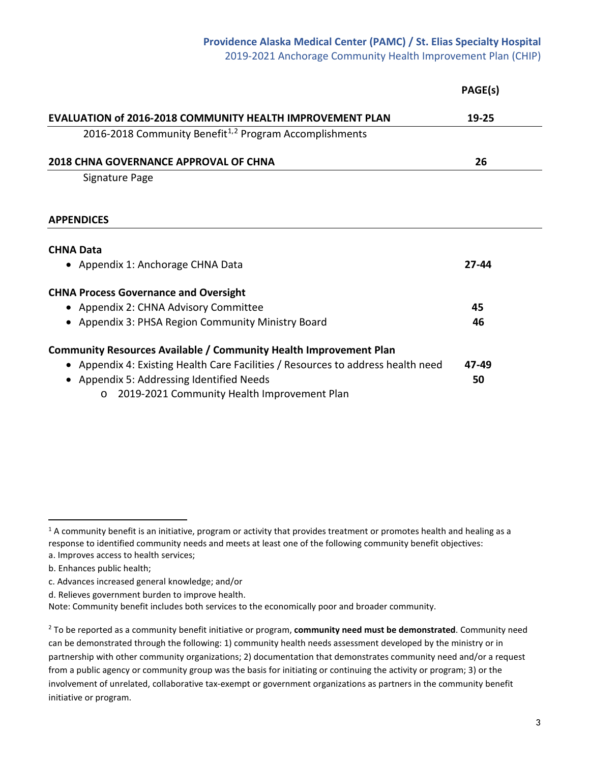# **Providence Alaska Medical Center (PAMC) / St. Elias Specialty Hospital**

2019-2021 Anchorage Community Health Improvement Plan (CHIP)

|                                                                                  | PAGE(s) |
|----------------------------------------------------------------------------------|---------|
| <b>EVALUATION of 2016-2018 COMMUNITY HEALTH IMPROVEMENT PLAN</b>                 | 19-25   |
| 2016-2018 Community Benefit <sup>1,2</sup> Program Accomplishments               |         |
| <b>2018 CHNA GOVERNANCE APPROVAL OF CHNA</b>                                     | 26      |
| Signature Page                                                                   |         |
| <b>APPENDICES</b>                                                                |         |
| <b>CHNA Data</b>                                                                 |         |
| • Appendix 1: Anchorage CHNA Data                                                | 27-44   |
| <b>CHNA Process Governance and Oversight</b>                                     |         |
| • Appendix 2: CHNA Advisory Committee                                            | 45      |
| • Appendix 3: PHSA Region Community Ministry Board                               | 46      |
| Community Resources Available / Community Health Improvement Plan                |         |
| • Appendix 4: Existing Health Care Facilities / Resources to address health need | 47-49   |
| • Appendix 5: Addressing Identified Needs                                        | 50      |
|                                                                                  |         |

o 2019-2021 Community Health Improvement Plan

 $\overline{a}$ 

<span id="page-2-0"></span> $1$  A community benefit is an initiative, program or activity that provides treatment or promotes health and healing as a response to identified community needs and meets at least one of the following community benefit objectives: a. Improves access to health services;

b. Enhances public health;

c. Advances increased general knowledge; and/or

d. Relieves government burden to improve health.

Note: Community benefit includes both services to the economically poor and broader community.

<span id="page-2-1"></span><sup>2</sup> To be reported as a community benefit initiative or program, **community need must be demonstrated**. Community need can be demonstrated through the following: 1) community health needs assessment developed by the ministry or in partnership with other community organizations; 2) documentation that demonstrates community need and/or a request from a public agency or community group was the basis for initiating or continuing the activity or program; 3) or the involvement of unrelated, collaborative tax-exempt or government organizations as partners in the community benefit initiative or program.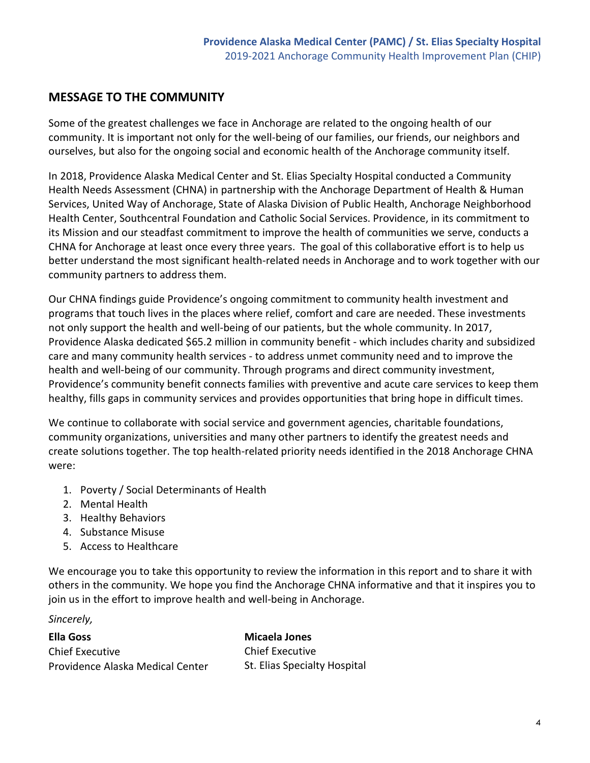# **MESSAGE TO THE COMMUNITY**

Some of the greatest challenges we face in Anchorage are related to the ongoing health of our community. It is important not only for the well-being of our families, our friends, our neighbors and ourselves, but also for the ongoing social and economic health of the Anchorage community itself.

In 2018, Providence Alaska Medical Center and St. Elias Specialty Hospital conducted a Community Health Needs Assessment (CHNA) in partnership with the Anchorage Department of Health & Human Services, United Way of Anchorage, State of Alaska Division of Public Health, Anchorage Neighborhood Health Center, Southcentral Foundation and Catholic Social Services. Providence, in its commitment to its Mission and our steadfast commitment to improve the health of communities we serve, conducts a CHNA for Anchorage at least once every three years. The goal of this collaborative effort is to help us better understand the most significant health-related needs in Anchorage and to work together with our community partners to address them.

Our CHNA findings guide Providence's ongoing commitment to community health investment and programs that touch lives in the places where relief, comfort and care are needed. These investments not only support the health and well-being of our patients, but the whole community. In 2017, Providence Alaska dedicated \$65.2 million in community benefit - which includes charity and subsidized care and many community health services - to address unmet community need and to improve the health and well-being of our community. Through programs and direct community investment, Providence's community benefit connects families with preventive and acute care services to keep them healthy, fills gaps in community services and provides opportunities that bring hope in difficult times.

We continue to collaborate with social service and government agencies, charitable foundations, community organizations, universities and many other partners to identify the greatest needs and create solutions together. The top health-related priority needs identified in the 2018 Anchorage CHNA were:

- 1. Poverty / Social Determinants of Health
- 2. Mental Health
- 3. Healthy Behaviors
- 4. Substance Misuse
- 5. Access to Healthcare

We encourage you to take this opportunity to review the information in this report and to share it with others in the community. We hope you find the Anchorage CHNA informative and that it inspires you to join us in the effort to improve health and well-being in Anchorage.

#### *Sincerely,*

**Ella Goss** Chief Executive Providence Alaska Medical Center **Micaela Jones** Chief Executive St. Elias Specialty Hospital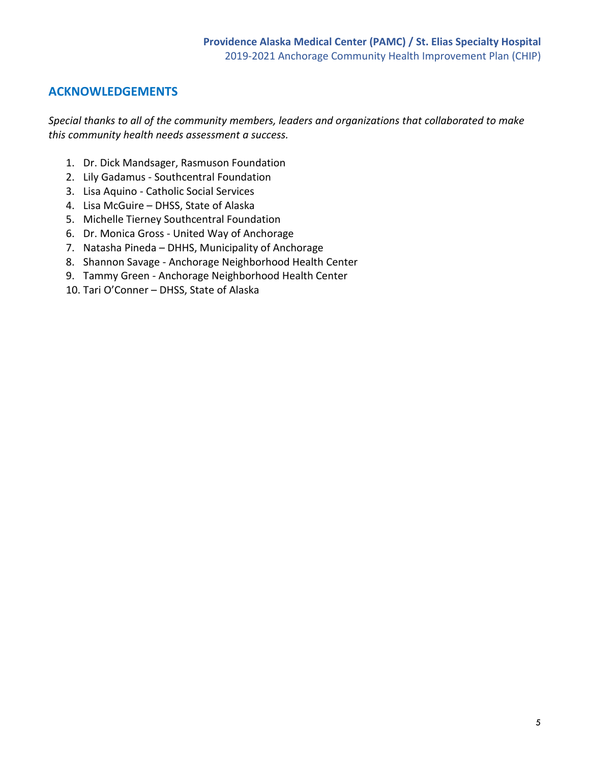# **ACKNOWLEDGEMENTS**

*Special thanks to all of the community members, leaders and organizations that collaborated to make this community health needs assessment a success.*

- 1. Dr. Dick Mandsager, Rasmuson Foundation
- 2. Lily Gadamus Southcentral Foundation
- 3. Lisa Aquino Catholic Social Services
- 4. Lisa McGuire DHSS, State of Alaska
- 5. Michelle Tierney Southcentral Foundation
- 6. Dr. Monica Gross United Way of Anchorage
- 7. Natasha Pineda DHHS, Municipality of Anchorage
- 8. Shannon Savage Anchorage Neighborhood Health Center
- 9. Tammy Green Anchorage Neighborhood Health Center
- 10. Tari O'Conner DHSS, State of Alaska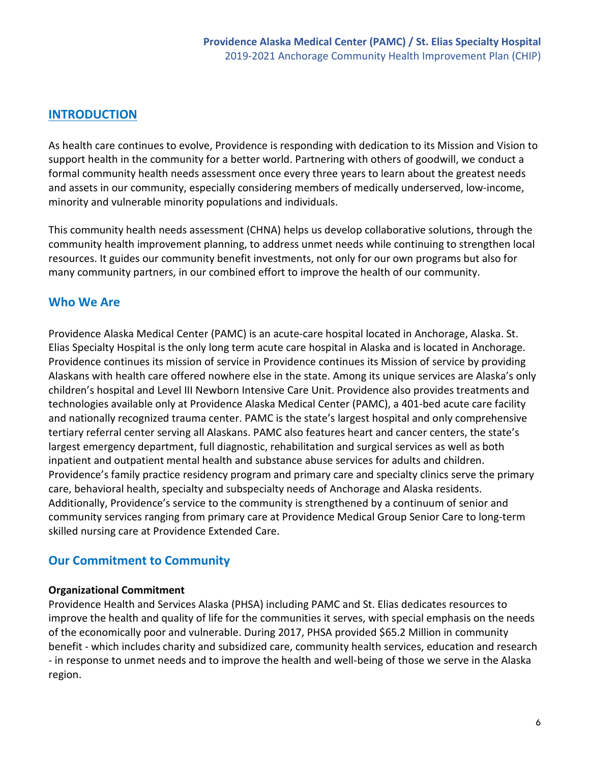# **INTRODUCTION**

As health care continues to evolve, Providence is responding with dedication to its Mission and Vision to support health in the community for a better world. Partnering with others of goodwill, we conduct a formal community health needs assessment once every three years to learn about the greatest needs and assets in our community, especially considering members of medically underserved, low-income, minority and vulnerable minority populations and individuals.

This community health needs assessment (CHNA) helps us develop collaborative solutions, through the community health improvement planning, to address unmet needs while continuing to strengthen local resources. It guides our community benefit investments, not only for our own programs but also for many community partners, in our combined effort to improve the health of our community.

# **Who We Are**

Providence Alaska Medical Center (PAMC) is an acute-care hospital located in Anchorage, Alaska. St. Elias Specialty Hospital is the only long term acute care hospital in Alaska and is located in Anchorage. Providence continues its mission of service in Providence continues its Mission of service by providing Alaskans with health care offered nowhere else in the state. Among its unique services are Alaska's only children's hospital and Level III Newborn Intensive Care Unit. Providence also provides treatments and technologies available only at Providence Alaska Medical Center (PAMC), a 401-bed acute care facility and nationally recognized trauma center. PAMC is the state's largest hospital and only comprehensive tertiary referral center serving all Alaskans. PAMC also features heart and cancer centers, the state's largest emergency department, full diagnostic, rehabilitation and surgical services as well as both inpatient and outpatient mental health and substance abuse services for adults and children. Providence's family practice residency program and primary care and specialty clinics serve the primary care, behavioral health, specialty and subspecialty needs of Anchorage and Alaska residents. Additionally, Providence's service to the community is strengthened by a continuum of senior and community services ranging from primary care at Providence Medical Group Senior Care to long-term skilled nursing care at Providence Extended Care.

# **Our Commitment to Community**

#### **Organizational Commitment**

Providence Health and Services Alaska (PHSA) including PAMC and St. Elias dedicates resources to improve the health and quality of life for the communities it serves, with special emphasis on the needs of the economically poor and vulnerable. During 2017, PHSA provided \$65.2 Million in community benefit - which includes charity and subsidized care, community health services, education and research - in response to unmet needs and to improve the health and well-being of those we serve in the Alaska region.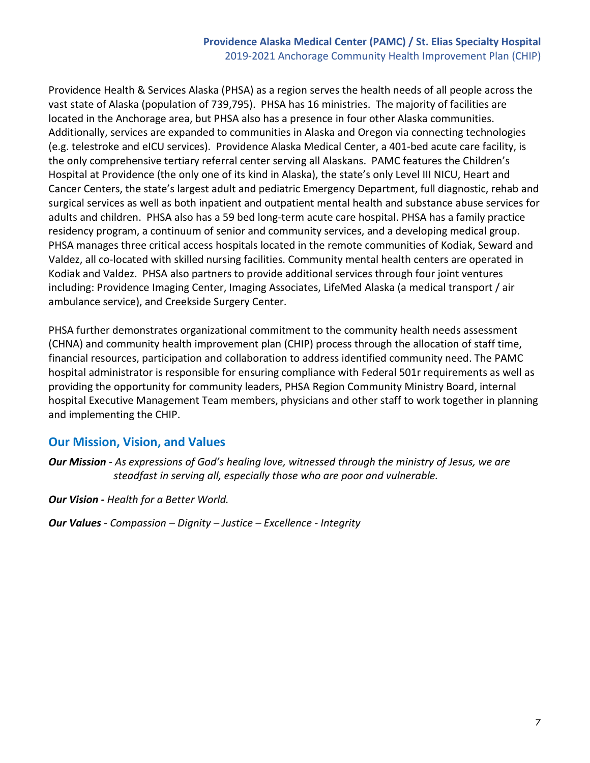#### **Providence Alaska Medical Center (PAMC) / St. Elias Specialty Hospital** 2019-2021 Anchorage Community Health Improvement Plan (CHIP)

Providence Health & Services Alaska (PHSA) as a region serves the health needs of all people across the vast state of Alaska (population of 739,795). PHSA has 16 ministries. The majority of facilities are located in the Anchorage area, but PHSA also has a presence in four other Alaska communities. Additionally, services are expanded to communities in Alaska and Oregon via connecting technologies (e.g. telestroke and eICU services). Providence Alaska Medical Center, a 401-bed acute care facility, is the only comprehensive tertiary referral center serving all Alaskans. PAMC features the Children's Hospital at Providence (the only one of its kind in Alaska), the state's only Level III NICU, Heart and Cancer Centers, the state's largest adult and pediatric Emergency Department, full diagnostic, rehab and surgical services as well as both inpatient and outpatient mental health and substance abuse services for adults and children. PHSA also has a 59 bed long-term acute care hospital. PHSA has a family practice residency program, a continuum of senior and community services, and a developing medical group. PHSA manages three critical access hospitals located in the remote communities of Kodiak, Seward and Valdez, all co-located with skilled nursing facilities. Community mental health centers are operated in Kodiak and Valdez. PHSA also partners to provide additional services through four joint ventures including: Providence Imaging Center, Imaging Associates, LifeMed Alaska (a medical transport / air ambulance service), and Creekside Surgery Center.

PHSA further demonstrates organizational commitment to the community health needs assessment (CHNA) and community health improvement plan (CHIP) process through the allocation of staff time, financial resources, participation and collaboration to address identified community need. The PAMC hospital administrator is responsible for ensuring compliance with Federal 501r requirements as well as providing the opportunity for community leaders, PHSA Region Community Ministry Board, internal hospital Executive Management Team members, physicians and other staff to work together in planning and implementing the CHIP.

#### **Our Mission, Vision, and Values**

*Our Mission - As expressions of God's healing love, witnessed through the ministry of Jesus, we are steadfast in serving all, especially those who are poor and vulnerable.*

*Our Vision - Health for a Better World.*

*Our Values - Compassion – Dignity – Justice – Excellence - Integrity*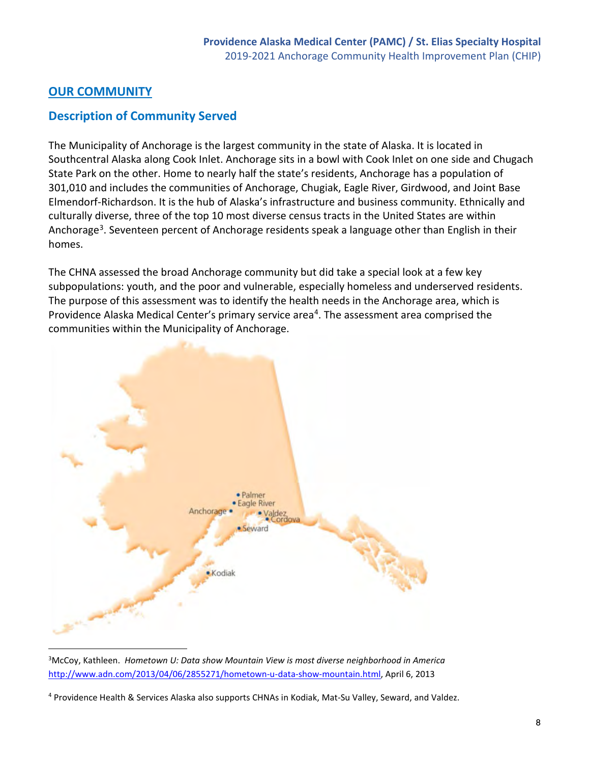# **OUR COMMUNITY**

# **Description of Community Served**

The Municipality of Anchorage is the largest community in the state of Alaska. It is located in Southcentral Alaska along Cook Inlet. Anchorage sits in a bowl with Cook Inlet on one side and Chugach State Park on the other. Home to nearly half the state's residents, Anchorage has a population of 301,010 and includes the communities of Anchorage, Chugiak, Eagle River, Girdwood, and Joint Base Elmendorf-Richardson. It is the hub of Alaska's infrastructure and business community. Ethnically and culturally diverse, three of the top 10 most diverse census tracts in the United States are within Anchorage<sup>3</sup>. Seventeen percent of Anchorage residents speak a language other than English in their homes.

The CHNA assessed the broad Anchorage community but did take a special look at a few key subpopulations: youth, and the poor and vulnerable, especially homeless and underserved residents. The purpose of this assessment was to identify the health needs in the Anchorage area, which is Providence Alaska Medical Center's primary service area<sup>4</sup>. The assessment area comprised the communities within the Municipality of Anchorage.



<span id="page-7-0"></span><sup>3</sup> McCoy, Kathleen. *Hometown U: Data show Mountain View is most diverse neighborhood in America*  [http://www.adn.com/2013/04/06/2855271/hometown-u-data-show-mountain.html,](http://www.adn.com/2013/04/06/2855271/hometown-u-data-show-mountain.html) April 6, 2013

<span id="page-7-1"></span><sup>&</sup>lt;sup>4</sup> Providence Health & Services Alaska also supports CHNAs in Kodiak, Mat-Su Valley, Seward, and Valdez.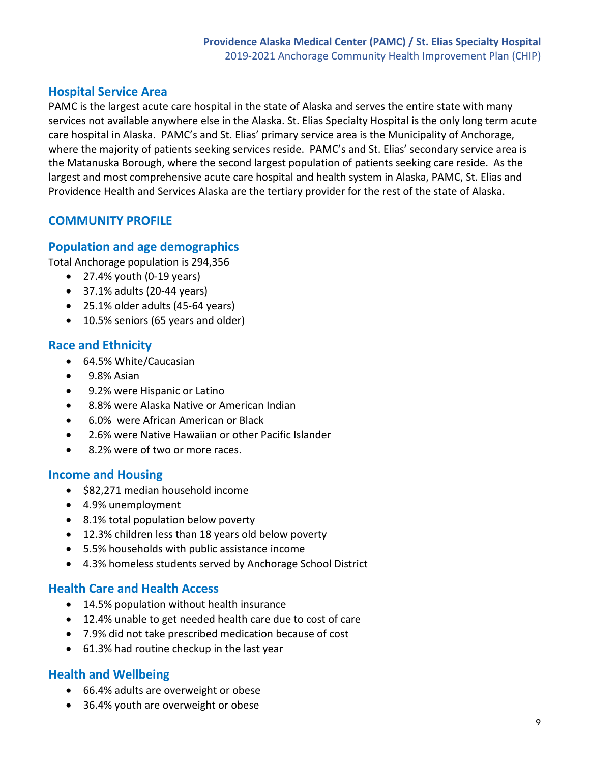# **Hospital Service Area**

PAMC is the largest acute care hospital in the state of Alaska and serves the entire state with many services not available anywhere else in the Alaska. St. Elias Specialty Hospital is the only long term acute care hospital in Alaska. PAMC's and St. Elias' primary service area is the Municipality of Anchorage, where the majority of patients seeking services reside. PAMC's and St. Elias' secondary service area is the Matanuska Borough, where the second largest population of patients seeking care reside. As the largest and most comprehensive acute care hospital and health system in Alaska, PAMC, St. Elias and Providence Health and Services Alaska are the tertiary provider for the rest of the state of Alaska.

# **COMMUNITY PROFILE**

# **Population and age demographics**

Total Anchorage population is 294,356

- $\bullet$  27.4% youth (0-19 years)
- 37.1% adults (20-44 years)
- 25.1% older adults (45-64 years)
- 10.5% seniors (65 years and older)

# **Race and Ethnicity**

- 64.5% White/Caucasian
- 9.8% Asian
- 9.2% were Hispanic or Latino
- 8.8% were Alaska Native or American Indian
- 6.0% were African American or Black
- 2.6% were Native Hawaiian or other Pacific Islander
- 8.2% were of two or more races.

# **Income and Housing**

- \$82,271 median household income
- 4.9% unemployment
- 8.1% total population below poverty
- 12.3% children less than 18 years old below poverty
- 5.5% households with public assistance income
- 4.3% homeless students served by Anchorage School District

# **Health Care and Health Access**

- 14.5% population without health insurance
- 12.4% unable to get needed health care due to cost of care
- 7.9% did not take prescribed medication because of cost
- 61.3% had routine checkup in the last year

# **Health and Wellbeing**

- 66.4% adults are overweight or obese
- 36.4% youth are overweight or obese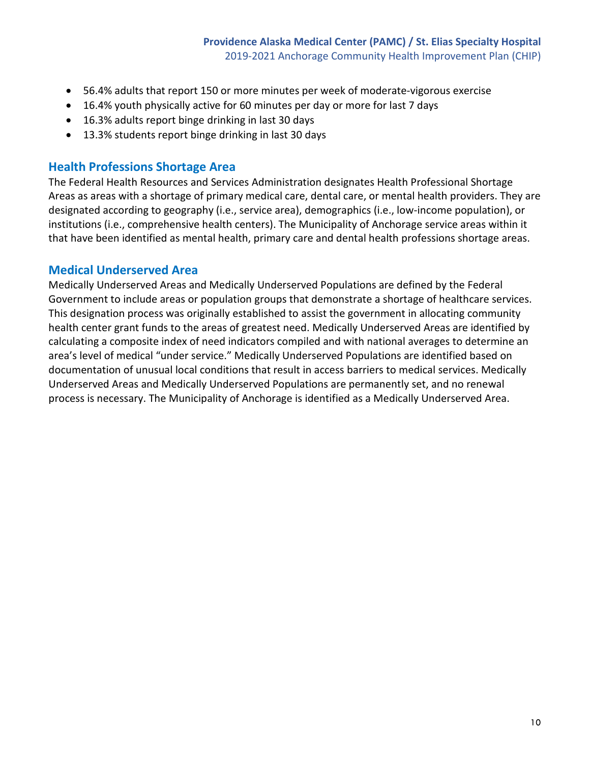- 56.4% adults that report 150 or more minutes per week of moderate-vigorous exercise
- 16.4% youth physically active for 60 minutes per day or more for last 7 days
- 16.3% adults report binge drinking in last 30 days
- 13.3% students report binge drinking in last 30 days

#### **Health Professions Shortage Area**

The Federal Health Resources and Services Administration designates Health Professional Shortage Areas as areas with a shortage of primary medical care, dental care, or mental health providers. They are designated according to geography (i.e., service area), demographics (i.e., low-income population), or institutions (i.e., comprehensive health centers). The Municipality of Anchorage service areas within it that have been identified as mental health, primary care and dental health professions shortage areas.

#### **Medical Underserved Area**

Medically Underserved Areas and Medically Underserved Populations are defined by the Federal Government to include areas or population groups that demonstrate a shortage of healthcare services. This designation process was originally established to assist the government in allocating community health center grant funds to the areas of greatest need. Medically Underserved Areas are identified by calculating a composite index of need indicators compiled and with national averages to determine an area's level of medical "under service." Medically Underserved Populations are identified based on documentation of unusual local conditions that result in access barriers to medical services. Medically Underserved Areas and Medically Underserved Populations are permanently set, and no renewal process is necessary. The Municipality of Anchorage is identified as a Medically Underserved Area.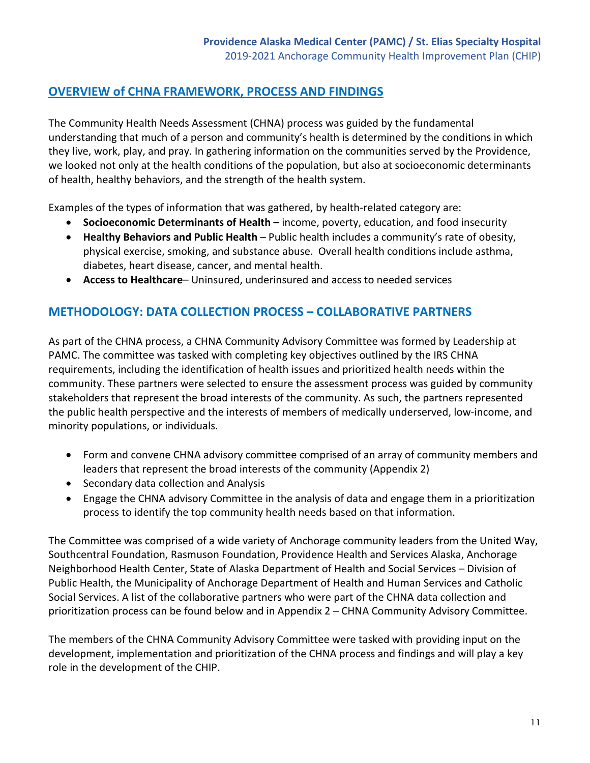# **OVERVIEW of CHNA FRAMEWORK, PROCESS AND FINDINGS**

The Community Health Needs Assessment (CHNA) process was guided by the fundamental understanding that much of a person and community's health is determined by the conditions in which they live, work, play, and pray. In gathering information on the communities served by the Providence, we looked not only at the health conditions of the population, but also at socioeconomic determinants of health, healthy behaviors, and the strength of the health system.

Examples of the types of information that was gathered, by health-related category are:

- **Socioeconomic Determinants of Health** income, poverty, education, and food insecurity
- **Healthy Behaviors and Public Health** Public health includes a community's rate of obesity, physical exercise, smoking, and substance abuse. Overall health conditions include asthma, diabetes, heart disease, cancer, and mental health.
- **Access to Healthcare** Uninsured, underinsured and access to needed services

# **METHODOLOGY: DATA COLLECTION PROCESS – COLLABORATIVE PARTNERS**

As part of the CHNA process, a CHNA Community Advisory Committee was formed by Leadership at PAMC. The committee was tasked with completing key objectives outlined by the IRS CHNA requirements, including the identification of health issues and prioritized health needs within the community. These partners were selected to ensure the assessment process was guided by community stakeholders that represent the broad interests of the community. As such, the partners represented the public health perspective and the interests of members of medically underserved, low-income, and minority populations, or individuals.

- Form and convene CHNA advisory committee comprised of an array of community members and leaders that represent the broad interests of the community (Appendix 2)
- Secondary data collection and Analysis
- Engage the CHNA advisory Committee in the analysis of data and engage them in a prioritization process to identify the top community health needs based on that information.

The Committee was comprised of a wide variety of Anchorage community leaders from the United Way, Southcentral Foundation, Rasmuson Foundation, Providence Health and Services Alaska, Anchorage Neighborhood Health Center, State of Alaska Department of Health and Social Services – Division of Public Health, the Municipality of Anchorage Department of Health and Human Services and Catholic Social Services. A list of the collaborative partners who were part of the CHNA data collection and prioritization process can be found below and in Appendix 2 – CHNA Community Advisory Committee.

The members of the CHNA Community Advisory Committee were tasked with providing input on the development, implementation and prioritization of the CHNA process and findings and will play a key role in the development of the CHIP.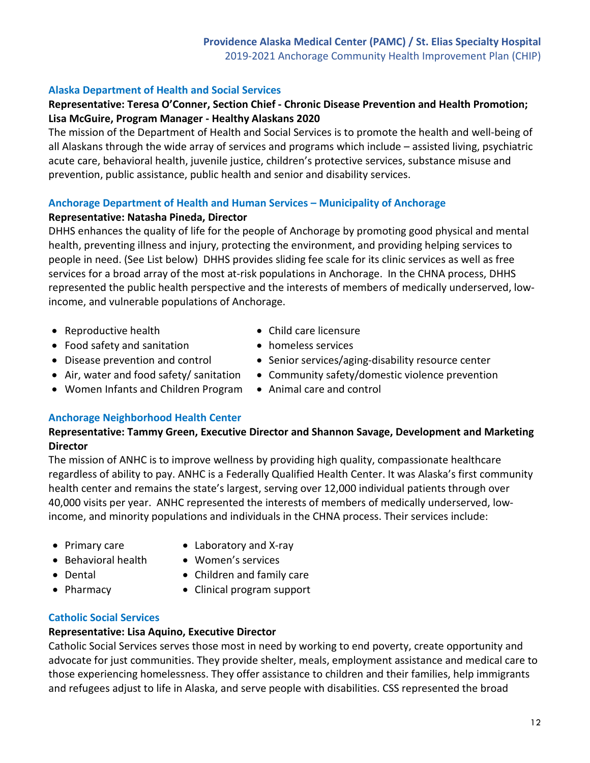# **Alaska Department of Health and Social Services**

# **Representative: Teresa O'Conner, Section Chief - Chronic Disease Prevention and Health Promotion; Lisa McGuire, Program Manager - Healthy Alaskans 2020**

The mission of the Department of Health and Social Services is to promote the health and well-being of all Alaskans through the wide array of services and programs which include – assisted living, psychiatric acute care, behavioral health, juvenile justice, children's protective services, substance misuse and prevention, public assistance, public health and senior and disability services.

# **Anchorage Department of Health and Human Services – Municipality of Anchorage**

# **Representative: Natasha Pineda, Director**

DHHS enhances the quality of life for the people of Anchorage by promoting good physical and mental health, preventing illness and injury, protecting the environment, and providing helping services to people in need. (See List below) DHHS provides sliding fee scale for its clinic services as well as free services for a broad array of the most at-risk populations in Anchorage. In the CHNA process, DHHS represented the public health perspective and the interests of members of medically underserved, lowincome, and vulnerable populations of Anchorage.

- Reproductive health
- Food safety and sanitation
- Disease prevention and control
- Air, water and food safety/ sanitation
- Women Infants and Children Program
- Child care licensure
- homeless services
- Senior services/aging-disability resource center
- Community safety/domestic violence prevention
- Animal care and control

# **Anchorage Neighborhood Health Center**

# **Representative: Tammy Green, Executive Director and Shannon Savage, Development and Marketing Director**

The mission of ANHC is to improve wellness by providing high quality, compassionate healthcare regardless of ability to pay. ANHC is a Federally Qualified Health Center. It was Alaska's first community health center and remains the state's largest, serving over 12,000 individual patients through over 40,000 visits per year. ANHC represented the interests of members of medically underserved, lowincome, and minority populations and individuals in the CHNA process. Their services include:

- Primary care
- Behavioral health
- Laboratory and X-ray • Women's services
- Children and family care
- Clinical program support

# **Catholic Social Services**

# **Representative: Lisa Aquino, Executive Director**

Catholic Social Services serves those most in need by working to end poverty, create opportunity and advocate for just communities. They provide shelter, meals, employment assistance and medical care to those experiencing homelessness. They offer assistance to children and their families, help immigrants and refugees adjust to life in Alaska, and serve people with disabilities. CSS represented the broad

#### • Dental • Pharmacy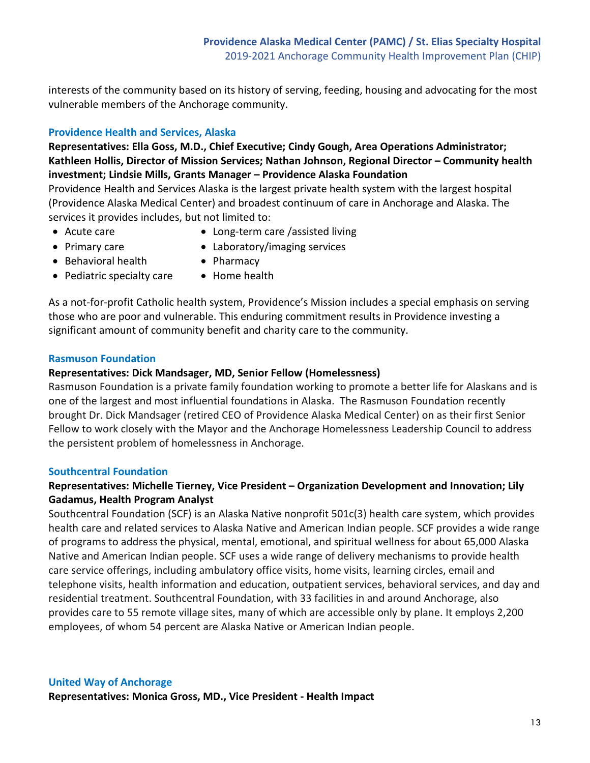interests of the community based on its history of serving, feeding, housing and advocating for the most vulnerable members of the Anchorage community.

#### **Providence Health and Services, Alaska**

**Representatives: Ella Goss, M.D., Chief Executive; Cindy Gough, Area Operations Administrator; Kathleen Hollis, Director of Mission Services; Nathan Johnson, Regional Director – Community health investment; Lindsie Mills, Grants Manager – Providence Alaska Foundation**

Providence Health and Services Alaska is the largest private health system with the largest hospital (Providence Alaska Medical Center) and broadest continuum of care in Anchorage and Alaska. The services it provides includes, but not limited to:

• Acute care

- Long-term care /assisted living
- Primary care
- Laboratory/imaging services
- Behavioral health
- Pediatric specialty care
- Pharmacy
- Home health

As a not-for-profit Catholic health system, Providence's Mission includes a special emphasis on serving those who are poor and vulnerable. This enduring commitment results in Providence investing a significant amount of community benefit and charity care to the community.

#### **Rasmuson Foundation**

#### **Representatives: Dick Mandsager, MD, Senior Fellow (Homelessness)**

Rasmuson Foundation is a private family foundation working to promote a better life for Alaskans and is one of the largest and most influential foundations in Alaska. The Rasmuson Foundation recently brought Dr. Dick Mandsager (retired CEO of Providence Alaska Medical Center) on as their first Senior Fellow to work closely with the Mayor and the Anchorage Homelessness Leadership Council to address the persistent problem of homelessness in Anchorage.

#### **Southcentral Foundation**

#### **Representatives: Michelle Tierney, Vice President – Organization Development and Innovation; Lily Gadamus, Health Program Analyst**

Southcentral Foundation (SCF) is an Alaska Native nonprofit 501c(3) health care system, which provides health care and related services to Alaska Native and American Indian people. SCF provides a wide range of programs to address the physical, mental, emotional, and spiritual wellness for about 65,000 Alaska Native and American Indian people. SCF uses a wide range of delivery mechanisms to provide health care service offerings, including ambulatory office visits, home visits, learning circles, email and telephone visits, health information and education, outpatient services, behavioral services, and day and residential treatment. Southcentral Foundation, with 33 facilities in and around Anchorage, also provides care to 55 remote village sites, many of which are accessible only by plane. It employs 2,200 employees, of whom 54 percent are Alaska Native or American Indian people.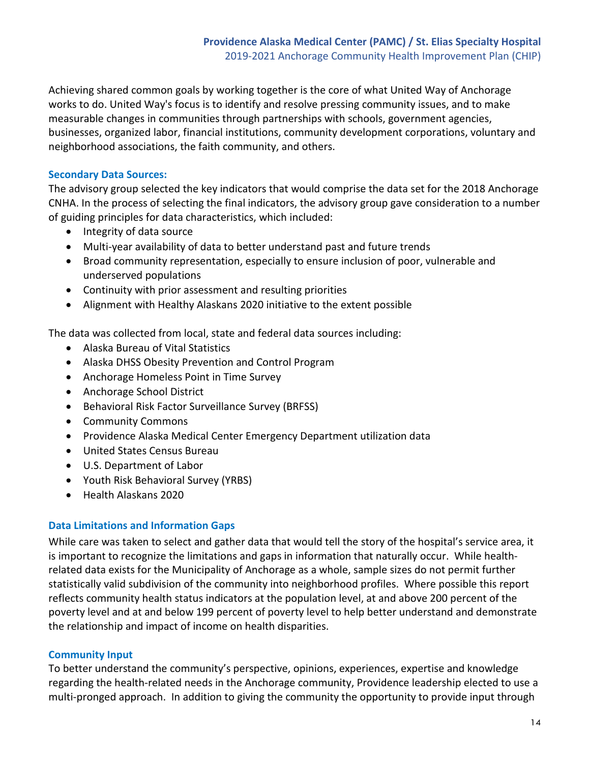Achieving shared common goals by working together is the core of what United Way of Anchorage works to do. United Way's focus is to identify and resolve pressing community issues, and to make measurable changes in communities through partnerships with schools, government agencies, businesses, organized labor, financial institutions, community development corporations, voluntary and neighborhood associations, the faith community, and others.

#### **Secondary Data Sources:**

The advisory group selected the key indicators that would comprise the data set for the 2018 Anchorage CNHA. In the process of selecting the final indicators, the advisory group gave consideration to a number of guiding principles for data characteristics, which included:

- Integrity of data source
- Multi-year availability of data to better understand past and future trends
- Broad community representation, especially to ensure inclusion of poor, vulnerable and underserved populations
- Continuity with prior assessment and resulting priorities
- Alignment with Healthy Alaskans 2020 initiative to the extent possible

The data was collected from local, state and federal data sources including:

- Alaska Bureau of Vital Statistics
- Alaska DHSS Obesity Prevention and Control Program
- Anchorage Homeless Point in Time Survey
- Anchorage School District
- Behavioral Risk Factor Surveillance Survey (BRFSS)
- Community Commons
- Providence Alaska Medical Center Emergency Department utilization data
- United States Census Bureau
- U.S. Department of Labor
- Youth Risk Behavioral Survey (YRBS)
- Health Alaskans 2020

#### **Data Limitations and Information Gaps**

While care was taken to select and gather data that would tell the story of the hospital's service area, it is important to recognize the limitations and gaps in information that naturally occur. While healthrelated data exists for the Municipality of Anchorage as a whole, sample sizes do not permit further statistically valid subdivision of the community into neighborhood profiles. Where possible this report reflects community health status indicators at the population level, at and above 200 percent of the poverty level and at and below 199 percent of poverty level to help better understand and demonstrate the relationship and impact of income on health disparities.

#### **Community Input**

To better understand the community's perspective, opinions, experiences, expertise and knowledge regarding the health-related needs in the Anchorage community, Providence leadership elected to use a multi-pronged approach. In addition to giving the community the opportunity to provide input through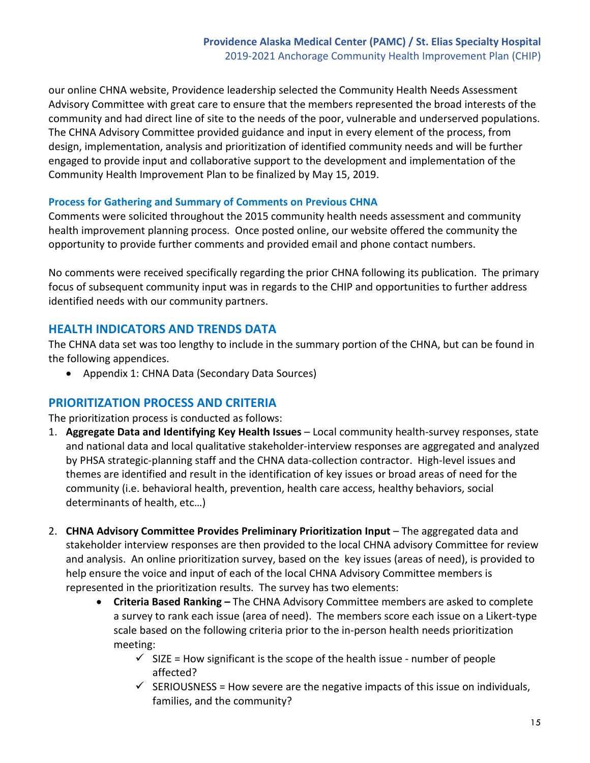our online CHNA website, Providence leadership selected the Community Health Needs Assessment Advisory Committee with great care to ensure that the members represented the broad interests of the community and had direct line of site to the needs of the poor, vulnerable and underserved populations. The CHNA Advisory Committee provided guidance and input in every element of the process, from design, implementation, analysis and prioritization of identified community needs and will be further engaged to provide input and collaborative support to the development and implementation of the Community Health Improvement Plan to be finalized by May 15, 2019.

#### **Process for Gathering and Summary of Comments on Previous CHNA**

Comments were solicited throughout the 2015 community health needs assessment and community health improvement planning process. Once posted online, our website offered the community the opportunity to provide further comments and provided email and phone contact numbers.

No comments were received specifically regarding the prior CHNA following its publication. The primary focus of subsequent community input was in regards to the CHIP and opportunities to further address identified needs with our community partners.

# **HEALTH INDICATORS AND TRENDS DATA**

The CHNA data set was too lengthy to include in the summary portion of the CHNA, but can be found in the following appendices.

• Appendix 1: CHNA Data (Secondary Data Sources)

# **PRIORITIZATION PROCESS AND CRITERIA**

The prioritization process is conducted as follows:

- 1. **Aggregate Data and Identifying Key Health Issues** Local community health-survey responses, state and national data and local qualitative stakeholder-interview responses are aggregated and analyzed by PHSA strategic-planning staff and the CHNA data-collection contractor. High-level issues and themes are identified and result in the identification of key issues or broad areas of need for the community (i.e. behavioral health, prevention, health care access, healthy behaviors, social determinants of health, etc…)
- 2. **CHNA Advisory Committee Provides Preliminary Prioritization Input** The aggregated data and stakeholder interview responses are then provided to the local CHNA advisory Committee for review and analysis. An online prioritization survey, based on the key issues (areas of need), is provided to help ensure the voice and input of each of the local CHNA Advisory Committee members is represented in the prioritization results. The survey has two elements:
	- **Criteria Based Ranking** The CHNA Advisory Committee members are asked to complete a survey to rank each issue (area of need). The members score each issue on a Likert-type scale based on the following criteria prior to the in-person health needs prioritization meeting:
		- $\checkmark$  SIZE = How significant is the scope of the health issue number of people affected?
		- $\checkmark$  SERIOUSNESS = How severe are the negative impacts of this issue on individuals, families, and the community?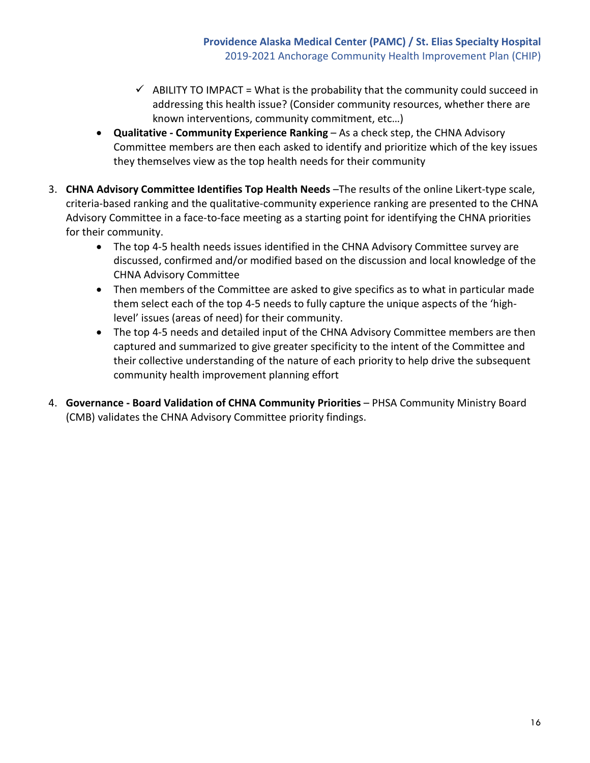- $\checkmark$  ABILITY TO IMPACT = What is the probability that the community could succeed in addressing this health issue? (Consider community resources, whether there are known interventions, community commitment, etc…)
- **Qualitative Community Experience Ranking** As a check step, the CHNA Advisory Committee members are then each asked to identify and prioritize which of the key issues they themselves view as the top health needs for their community
- 3. **CHNA Advisory Committee Identifies Top Health Needs** –The results of the online Likert-type scale, criteria-based ranking and the qualitative-community experience ranking are presented to the CHNA Advisory Committee in a face-to-face meeting as a starting point for identifying the CHNA priorities for their community.
	- The top 4-5 health needs issues identified in the CHNA Advisory Committee survey are discussed, confirmed and/or modified based on the discussion and local knowledge of the CHNA Advisory Committee
	- Then members of the Committee are asked to give specifics as to what in particular made them select each of the top 4-5 needs to fully capture the unique aspects of the 'highlevel' issues (areas of need) for their community.
	- The top 4-5 needs and detailed input of the CHNA Advisory Committee members are then captured and summarized to give greater specificity to the intent of the Committee and their collective understanding of the nature of each priority to help drive the subsequent community health improvement planning effort
- 4. **Governance Board Validation of CHNA Community Priorities** PHSA Community Ministry Board (CMB) validates the CHNA Advisory Committee priority findings.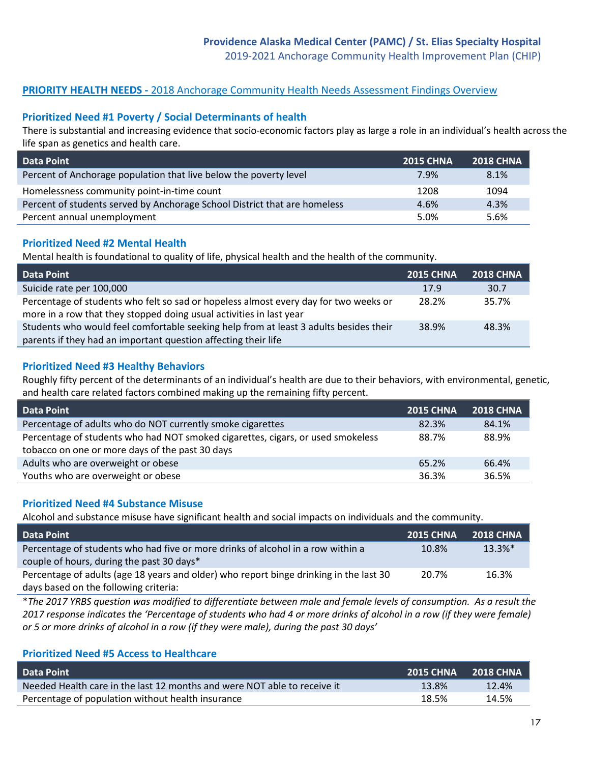2019-2021 Anchorage Community Health Improvement Plan (CHIP)

#### **PRIORITY HEALTH NEEDS - 2018 Anchorage Community Health Needs Assessment Findings Overview**

#### **Prioritized Need #1 Poverty / Social Determinants of health**

There is substantial and increasing evidence that socio-economic factors play as large a role in an individual's health across the life span as genetics and health care.

| <b>Data Point</b>                                                         | <b>2015 CHNA</b> | <b>2018 CHNA</b> |
|---------------------------------------------------------------------------|------------------|------------------|
| Percent of Anchorage population that live below the poverty level         | 7.9%             | 8.1%             |
| Homelessness community point-in-time count                                | 1208             | 1094             |
| Percent of students served by Anchorage School District that are homeless | 4.6%             | 4.3%             |
| Percent annual unemployment                                               | 5.0%             | 5.6%             |

#### **Prioritized Need #2 Mental Health**

Mental health is foundational to quality of life, physical health and the health of the community.

| <b>Data Point</b>                                                                                                                                           | <b>2015 CHNA</b> | <b>2018 CHNA</b> |
|-------------------------------------------------------------------------------------------------------------------------------------------------------------|------------------|------------------|
| Suicide rate per 100,000                                                                                                                                    | 17.9             | 30.7             |
| Percentage of students who felt so sad or hopeless almost every day for two weeks or<br>more in a row that they stopped doing usual activities in last year | 28.2%            | 35.7%            |
| Students who would feel comfortable seeking help from at least 3 adults besides their                                                                       | 38.9%            | 48.3%            |
| parents if they had an important question affecting their life                                                                                              |                  |                  |

#### **Prioritized Need #3 Healthy Behaviors**

Roughly fifty percent of the determinants of an individual's health are due to their behaviors, with environmental, genetic, and health care related factors combined making up the remaining fifty percent.

| <b>Data Point</b>                                                               | <b>2015 CHNA</b> | <b>2018 CHNA</b> |
|---------------------------------------------------------------------------------|------------------|------------------|
| Percentage of adults who do NOT currently smoke cigarettes                      | 82.3%            | 84.1%            |
| Percentage of students who had NOT smoked cigarettes, cigars, or used smokeless | 88.7%            | 88.9%            |
| tobacco on one or more days of the past 30 days                                 |                  |                  |
| Adults who are overweight or obese                                              | 65.2%            | 66.4%            |
| Youths who are overweight or obese                                              | 36.3%            | 36.5%            |

#### **Prioritized Need #4 Substance Misuse**

Alcohol and substance misuse have significant health and social impacts on individuals and the community.

| <b>Data Point</b>                                                                      | <b>2015 CHNA</b> | <b>2018 CHNA</b> |
|----------------------------------------------------------------------------------------|------------------|------------------|
| Percentage of students who had five or more drinks of alcohol in a row within a        | 10.8%            | $13.3\%*$        |
| couple of hours, during the past 30 days*                                              |                  |                  |
| Percentage of adults (age 18 years and older) who report binge drinking in the last 30 | 20.7%            | 16.3%            |
| days based on the following criteria:                                                  |                  |                  |

\**The 2017 YRBS question was modified to differentiate between male and female levels of consumption. As a result the 2017 response indicates the 'Percentage of students who had 4 or more drinks of alcohol in a row (if they were female) or 5 or more drinks of alcohol in a row (if they were male), during the past 30 days'*

#### **Prioritized Need #5 Access to Healthcare**

| <b>Data Point</b>                                                        | 2015 CHNA 2018 CHNA |       |
|--------------------------------------------------------------------------|---------------------|-------|
| Needed Health care in the last 12 months and were NOT able to receive it | 13.8%               | 12.4% |
| Percentage of population without health insurance                        | 18.5%               | 14.5% |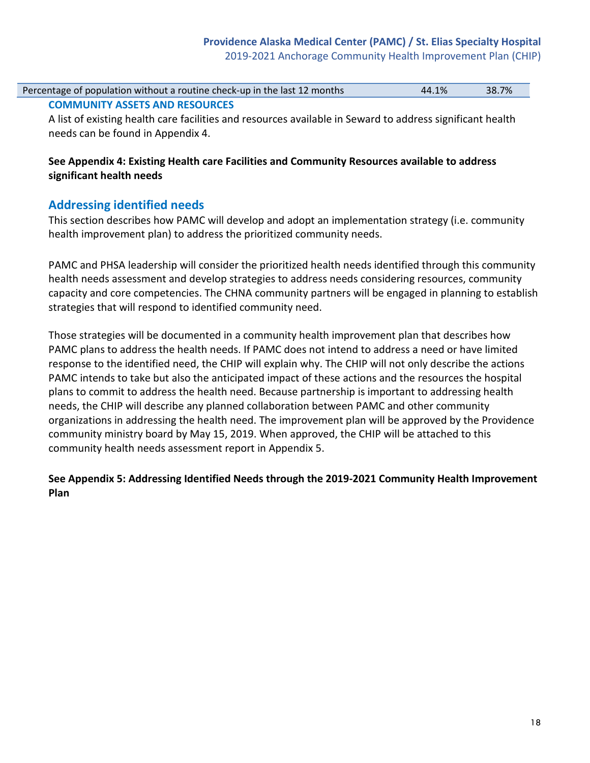# **Providence Alaska Medical Center (PAMC) / St. Elias Specialty Hospital**

2019-2021 Anchorage Community Health Improvement Plan (CHIP)

| Percentage of population without a routine check-up in the last 12 months | 44.1% | 38.7% |
|---------------------------------------------------------------------------|-------|-------|
| <b>COMMUNITY ASSETS AND RESOURCES</b>                                     |       |       |

A list of existing health care facilities and resources available in Seward to address significant health needs can be found in Appendix 4.

#### **See Appendix 4: Existing Health care Facilities and Community Resources available to address significant health needs**

#### **Addressing identified needs**

This section describes how PAMC will develop and adopt an implementation strategy (i.e. community health improvement plan) to address the prioritized community needs.

PAMC and PHSA leadership will consider the prioritized health needs identified through this community health needs assessment and develop strategies to address needs considering resources, community capacity and core competencies. The CHNA community partners will be engaged in planning to establish strategies that will respond to identified community need.

Those strategies will be documented in a community health improvement plan that describes how PAMC plans to address the health needs. If PAMC does not intend to address a need or have limited response to the identified need, the CHIP will explain why. The CHIP will not only describe the actions PAMC intends to take but also the anticipated impact of these actions and the resources the hospital plans to commit to address the health need. Because partnership is important to addressing health needs, the CHIP will describe any planned collaboration between PAMC and other community organizations in addressing the health need. The improvement plan will be approved by the Providence community ministry board by May 15, 2019. When approved, the CHIP will be attached to this community health needs assessment report in Appendix 5.

#### **See Appendix 5: Addressing Identified Needs through the 2019-2021 Community Health Improvement Plan**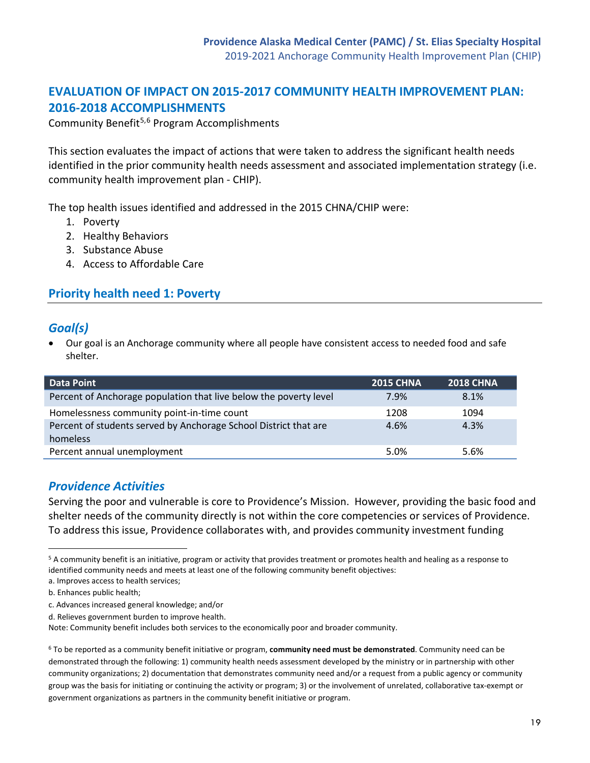# **EVALUATION OF IMPACT ON 2015-2017 COMMUNITY HEALTH IMPROVEMENT PLAN: 2016-2018 ACCOMPLISHMENTS**

Community Benefit<sup>[5,](#page-18-0)[6](#page-18-1)</sup> Program Accomplishments

This section evaluates the impact of actions that were taken to address the significant health needs identified in the prior community health needs assessment and associated implementation strategy (i.e. community health improvement plan - CHIP).

The top health issues identified and addressed in the 2015 CHNA/CHIP were:

- 1. Poverty
- 2. Healthy Behaviors
- 3. Substance Abuse
- 4. Access to Affordable Care

# **Priority health need 1: Poverty**

#### *Goal(s)*

• Our goal is an Anchorage community where all people have consistent access to needed food and safe shelter.

| <b>Data Point</b>                                                            | <b>2015 CHNA</b> | <b>2018 CHNA</b> |
|------------------------------------------------------------------------------|------------------|------------------|
| Percent of Anchorage population that live below the poverty level            | 7.9%             | 8.1%             |
| Homelessness community point-in-time count                                   | 1208             | 1094             |
| Percent of students served by Anchorage School District that are<br>homeless | 4.6%             | 4.3%             |
| Percent annual unemployment                                                  | 5.0%             | 5.6%             |

#### *Providence Activities*

Serving the poor and vulnerable is core to Providence's Mission. However, providing the basic food and shelter needs of the community directly is not within the core competencies or services of Providence. To address this issue, Providence collaborates with, and provides community investment funding

<span id="page-18-0"></span><sup>5</sup> A community benefit is an initiative, program or activity that provides treatment or promotes health and healing as a response to identified community needs and meets at least one of the following community benefit objectives:

 $\overline{a}$ 

a. Improves access to health services;

b. Enhances public health;

c. Advances increased general knowledge; and/or

d. Relieves government burden to improve health.

Note: Community benefit includes both services to the economically poor and broader community.

<span id="page-18-1"></span><sup>6</sup> To be reported as a community benefit initiative or program, **community need must be demonstrated**. Community need can be demonstrated through the following: 1) community health needs assessment developed by the ministry or in partnership with other community organizations; 2) documentation that demonstrates community need and/or a request from a public agency or community group was the basis for initiating or continuing the activity or program; 3) or the involvement of unrelated, collaborative tax-exempt or government organizations as partners in the community benefit initiative or program.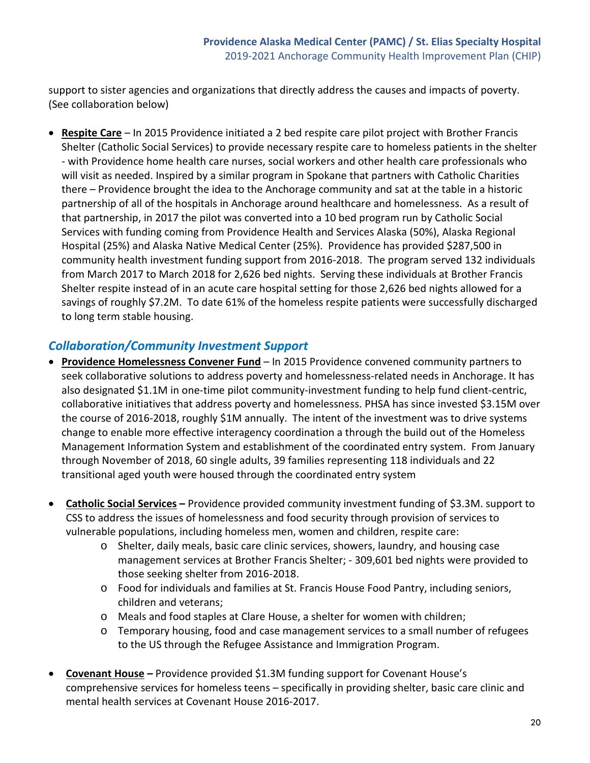support to sister agencies and organizations that directly address the causes and impacts of poverty. (See collaboration below)

• **Respite Care** – In 2015 Providence initiated a 2 bed respite care pilot project with Brother Francis Shelter (Catholic Social Services) to provide necessary respite care to homeless patients in the shelter - with Providence home health care nurses, social workers and other health care professionals who will visit as needed. Inspired by a similar program in Spokane that partners with Catholic Charities there – Providence brought the idea to the Anchorage community and sat at the table in a historic partnership of all of the hospitals in Anchorage around healthcare and homelessness. As a result of that partnership, in 2017 the pilot was converted into a 10 bed program run by Catholic Social Services with funding coming from Providence Health and Services Alaska (50%), Alaska Regional Hospital (25%) and Alaska Native Medical Center (25%). Providence has provided \$287,500 in community health investment funding support from 2016-2018. The program served 132 individuals from March 2017 to March 2018 for 2,626 bed nights. Serving these individuals at Brother Francis Shelter respite instead of in an acute care hospital setting for those 2,626 bed nights allowed for a savings of roughly \$7.2M. To date 61% of the homeless respite patients were successfully discharged to long term stable housing.

# *Collaboration/Community Investment Support*

- **Providence Homelessness Convener Fund** In 2015 Providence convened community partners to seek collaborative solutions to address poverty and homelessness-related needs in Anchorage. It has also designated \$1.1M in one-time pilot community-investment funding to help fund client-centric, collaborative initiatives that address poverty and homelessness. PHSA has since invested \$3.15M over the course of 2016-2018, roughly \$1M annually. The intent of the investment was to drive systems change to enable more effective interagency coordination a through the build out of the Homeless Management Information System and establishment of the coordinated entry system. From January through November of 2018, 60 single adults, 39 families representing 118 individuals and 22 transitional aged youth were housed through the coordinated entry system
- **Catholic Social Services** Providence provided community investment funding of \$3.3M. support to CSS to address the issues of homelessness and food security through provision of services to vulnerable populations, including homeless men, women and children, respite care:
	- o Shelter, daily meals, basic care clinic services, showers, laundry, and housing case management services at Brother Francis Shelter; - 309,601 bed nights were provided to those seeking shelter from 2016-2018.
	- o Food for individuals and families at St. Francis House Food Pantry, including seniors, children and veterans;
	- o Meals and food staples at Clare House, a shelter for women with children;
	- o Temporary housing, food and case management services to a small number of refugees to the US through the Refugee Assistance and Immigration Program.
- **Covenant House** Providence provided \$1.3M funding support for Covenant House's comprehensive services for homeless teens – specifically in providing shelter, basic care clinic and mental health services at Covenant House 2016-2017.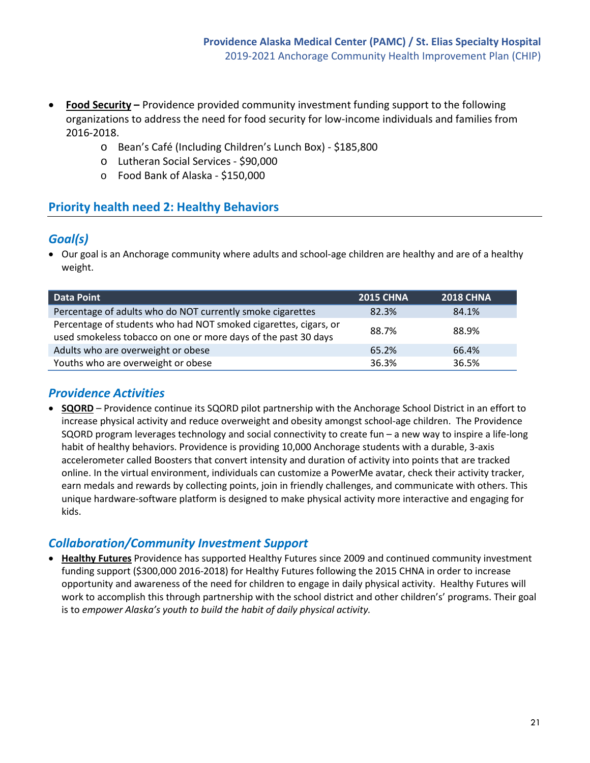- **Food Security** Providence provided community investment funding support to the following organizations to address the need for food security for low-income individuals and families from 2016-2018.
	- o Bean's Café (Including Children's Lunch Box) \$185,800
	- o Lutheran Social Services \$90,000
	- o Food Bank of Alaska \$150,000

# **Priority health need 2: Healthy Behaviors**

#### *Goal(s)*

• Our goal is an Anchorage community where adults and school-age children are healthy and are of a healthy weight.

| <b>Data Point</b>                                                                                                                  | <b>2015 CHNA</b> | <b>2018 CHNA</b> |
|------------------------------------------------------------------------------------------------------------------------------------|------------------|------------------|
| Percentage of adults who do NOT currently smoke cigarettes                                                                         | 82.3%            | 84.1%            |
| Percentage of students who had NOT smoked cigarettes, cigars, or<br>used smokeless tobacco on one or more days of the past 30 days | 88.7%            | 88.9%            |
| Adults who are overweight or obese                                                                                                 | 65.2%            | 66.4%            |
| Youths who are overweight or obese                                                                                                 | 36.3%            | 36.5%            |

# *Providence Activities*

• **SQORD** – Providence continue its SQORD pilot partnership with the Anchorage School District in an effort to increase physical activity and reduce overweight and obesity amongst school-age children. The Providence SQORD program leverages technology and social connectivity to create fun – a new way to inspire a life-long habit of healthy behaviors. Providence is providing 10,000 Anchorage students with a durable, 3-axis accelerometer called Boosters that convert intensity and duration of activity into points that are tracked online. In the virtual environment, individuals can customize a PowerMe avatar, check their activity tracker, earn medals and rewards by collecting points, join in friendly challenges, and communicate with others. This unique hardware-software platform is designed to make physical activity more interactive and engaging for kids.

# *Collaboration/Community Investment Support*

• **Healthy Futures** Providence has supported Healthy Futures since 2009 and continued community investment funding support (\$300,000 2016-2018) for Healthy Futures following the 2015 CHNA in order to increase opportunity and awareness of the need for children to engage in daily physical activity. Healthy Futures will work to accomplish this through partnership with the school district and other children's' programs. Their goal is to *empower Alaska's youth to build the habit of daily physical activity.*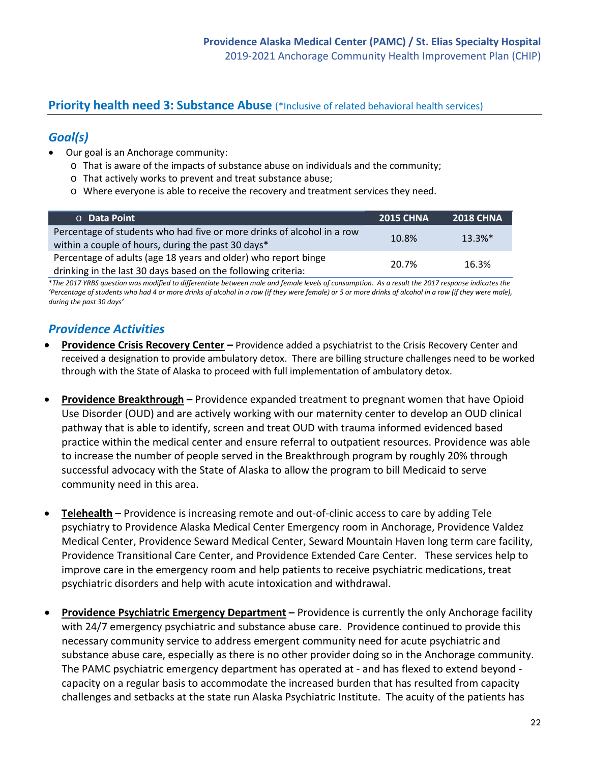#### **Priority health need 3: Substance Abuse** (\*Inclusive of related behavioral health services)

# *Goal(s)*

- Our goal is an Anchorage community:
	- $\circ$  That is aware of the impacts of substance abuse on individuals and the community;
	- o That actively works to prevent and treat substance abuse;
	- o Where everyone is able to receive the recovery and treatment services they need.

| <b>O</b> Data Point                                                                                                             | <b>2015 CHNA</b> | <b>2018 CHNA</b> |
|---------------------------------------------------------------------------------------------------------------------------------|------------------|------------------|
| Percentage of students who had five or more drinks of alcohol in a row<br>within a couple of hours, during the past 30 days*    | 10.8%            | $13.3%$ *        |
| Percentage of adults (age 18 years and older) who report binge<br>drinking in the last 30 days based on the following criteria: | 20.7%            | 16.3%            |

\**The 2017 YRBS question was modified to differentiate between male and female levels of consumption. As a result the 2017 response indicates the 'Percentage of students who had 4 or more drinks of alcohol in a row (if they were female) or 5 or more drinks of alcohol in a row (if they were male), during the past 30 days'*

# *Providence Activities*

- **Providence Crisis Recovery Center** Providence added a psychiatrist to the Crisis Recovery Center and received a designation to provide ambulatory detox. There are billing structure challenges need to be worked through with the State of Alaska to proceed with full implementation of ambulatory detox.
- **Providence Breakthrough** Providence expanded treatment to pregnant women that have Opioid Use Disorder (OUD) and are actively working with our maternity center to develop an OUD clinical pathway that is able to identify, screen and treat OUD with trauma informed evidenced based practice within the medical center and ensure referral to outpatient resources. Providence was able to increase the number of people served in the Breakthrough program by roughly 20% through successful advocacy with the State of Alaska to allow the program to bill Medicaid to serve community need in this area.
- **Telehealth** Providence is increasing remote and out-of-clinic access to care by adding Tele psychiatry to Providence Alaska Medical Center Emergency room in Anchorage, Providence Valdez Medical Center, Providence Seward Medical Center, Seward Mountain Haven long term care facility, Providence Transitional Care Center, and Providence Extended Care Center. These services help to improve care in the emergency room and help patients to receive psychiatric medications, treat psychiatric disorders and help with acute intoxication and withdrawal.
- **Providence Psychiatric Emergency Department** Providence is currently the only Anchorage facility with 24/7 emergency psychiatric and substance abuse care. Providence continued to provide this necessary community service to address emergent community need for acute psychiatric and substance abuse care, especially as there is no other provider doing so in the Anchorage community. The PAMC psychiatric emergency department has operated at - and has flexed to extend beyond capacity on a regular basis to accommodate the increased burden that has resulted from capacity challenges and setbacks at the state run Alaska Psychiatric Institute. The acuity of the patients has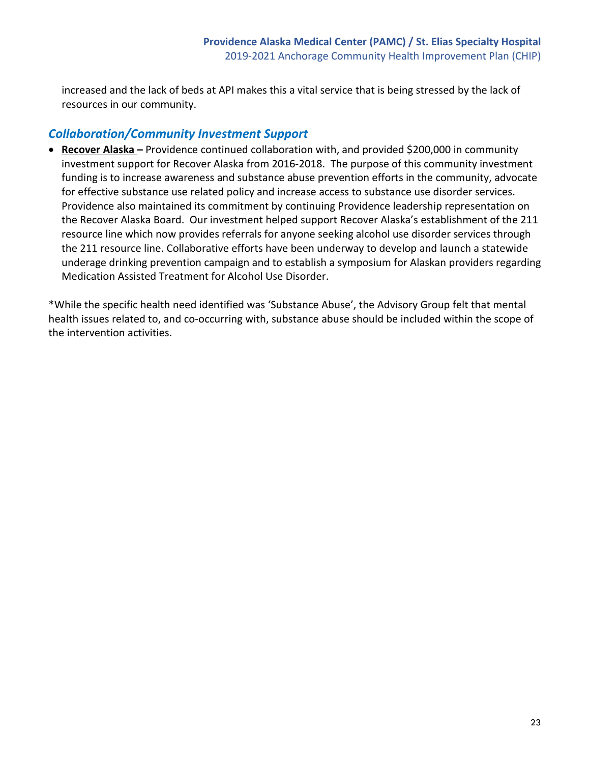increased and the lack of beds at API makes this a vital service that is being stressed by the lack of resources in our community.

# *Collaboration/Community Investment Support*

• **Recover Alaska –** Providence continued collaboration with, and provided \$200,000 in community investment support for Recover Alaska from 2016-2018. The purpose of this community investment funding is to increase awareness and substance abuse prevention efforts in the community, advocate for effective substance use related policy and increase access to substance use disorder services. Providence also maintained its commitment by continuing Providence leadership representation on the Recover Alaska Board. Our investment helped support Recover Alaska's establishment of the 211 resource line which now provides referrals for anyone seeking alcohol use disorder services through the 211 resource line. Collaborative efforts have been underway to develop and launch a statewide underage drinking prevention campaign and to establish a symposium for Alaskan providers regarding Medication Assisted Treatment for Alcohol Use Disorder.

\*While the specific health need identified was 'Substance Abuse', the Advisory Group felt that mental health issues related to, and co-occurring with, substance abuse should be included within the scope of the intervention activities.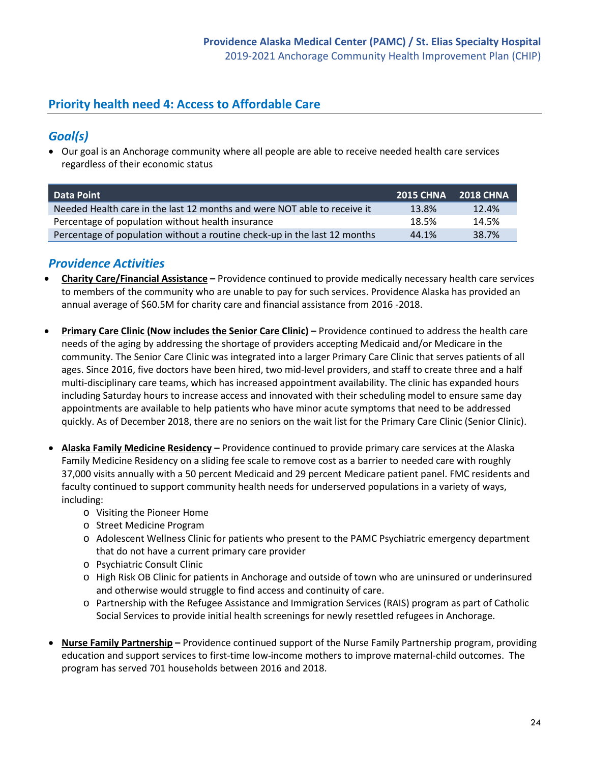# **Priority health need 4: Access to Affordable Care**

# *Goal(s)*

• Our goal is an Anchorage community where all people are able to receive needed health care services regardless of their economic status

| <b>Data Point</b>                                                         | 2015 CHNA 2018 CHNA |       |
|---------------------------------------------------------------------------|---------------------|-------|
| Needed Health care in the last 12 months and were NOT able to receive it  | 13.8%               | 12.4% |
| Percentage of population without health insurance                         | 18.5%               | 14.5% |
| Percentage of population without a routine check-up in the last 12 months | 44.1%               | 38.7% |

# *Providence Activities*

- **Charity Care/Financial Assistance** Providence continued to provide medically necessary health care services to members of the community who are unable to pay for such services. Providence Alaska has provided an annual average of \$60.5M for charity care and financial assistance from 2016 -2018.
- **Primary Care Clinic (Now includes the Senior Care Clinic)** Providence continued to address the health care needs of the aging by addressing the shortage of providers accepting Medicaid and/or Medicare in the community. The Senior Care Clinic was integrated into a larger Primary Care Clinic that serves patients of all ages. Since 2016, five doctors have been hired, two mid-level providers, and staff to create three and a half multi-disciplinary care teams, which has increased appointment availability. The clinic has expanded hours including Saturday hours to increase access and innovated with their scheduling model to ensure same day appointments are available to help patients who have minor acute symptoms that need to be addressed quickly. As of December 2018, there are no seniors on the wait list for the Primary Care Clinic (Senior Clinic).
- **Alaska Family Medicine Residency** Providence continued to provide primary care services at the Alaska Family Medicine Residency on a sliding fee scale to remove cost as a barrier to needed care with roughly 37,000 visits annually with a 50 percent Medicaid and 29 percent Medicare patient panel. FMC residents and faculty continued to support community health needs for underserved populations in a variety of ways, including:
	- o Visiting the Pioneer Home
	- o Street Medicine Program
	- o Adolescent Wellness Clinic for patients who present to the PAMC Psychiatric emergency department that do not have a current primary care provider
	- o Psychiatric Consult Clinic
	- o High Risk OB Clinic for patients in Anchorage and outside of town who are uninsured or underinsured and otherwise would struggle to find access and continuity of care.
	- o Partnership with the Refugee Assistance and Immigration Services (RAIS) program as part of Catholic Social Services to provide initial health screenings for newly resettled refugees in Anchorage.
- **Nurse Family Partnership** Providence continued support of the Nurse Family Partnership program, providing education and support services to first-time low-income mothers to improve maternal-child outcomes. The program has served 701 households between 2016 and 2018.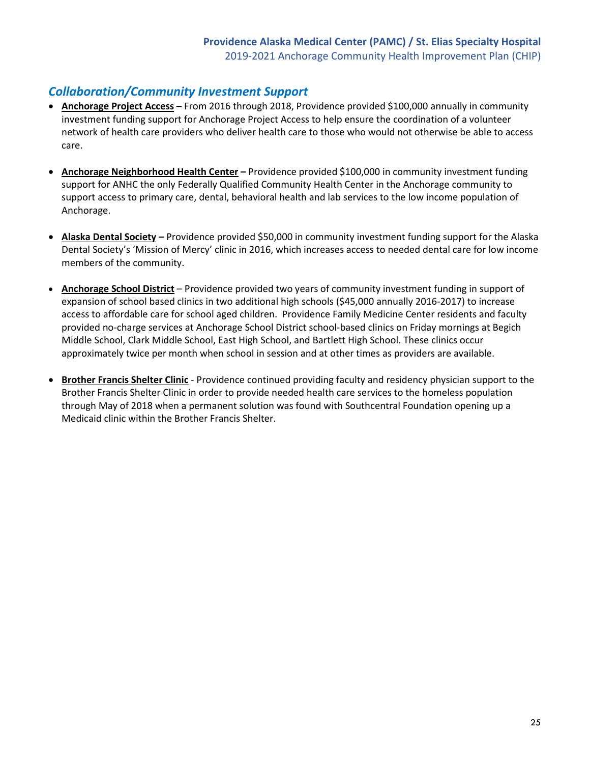# *Collaboration/Community Investment Support*

- **Anchorage Project Access** From 2016 through 2018, Providence provided \$100,000 annually in community investment funding support for Anchorage Project Access to help ensure the coordination of a volunteer network of health care providers who deliver health care to those who would not otherwise be able to access care.
- **Anchorage Neighborhood Health Center** Providence provided \$100,000 in community investment funding support for ANHC the only Federally Qualified Community Health Center in the Anchorage community to support access to primary care, dental, behavioral health and lab services to the low income population of Anchorage.
- **Alaska Dental Society** Providence provided \$50,000 in community investment funding support for the Alaska Dental Society's 'Mission of Mercy' clinic in 2016, which increases access to needed dental care for low income members of the community.
- **Anchorage School District** Providence provided two years of community investment funding in support of expansion of school based clinics in two additional high schools (\$45,000 annually 2016-2017) to increase access to affordable care for school aged children. Providence Family Medicine Center residents and faculty provided no-charge services at Anchorage School District school-based clinics on Friday mornings at Begich Middle School, Clark Middle School, East High School, and Bartlett High School. These clinics occur approximately twice per month when school in session and at other times as providers are available.
- **Brother Francis Shelter Clinic** Providence continued providing faculty and residency physician support to the Brother Francis Shelter Clinic in order to provide needed health care services to the homeless population through May of 2018 when a permanent solution was found with Southcentral Foundation opening up a Medicaid clinic within the Brother Francis Shelter.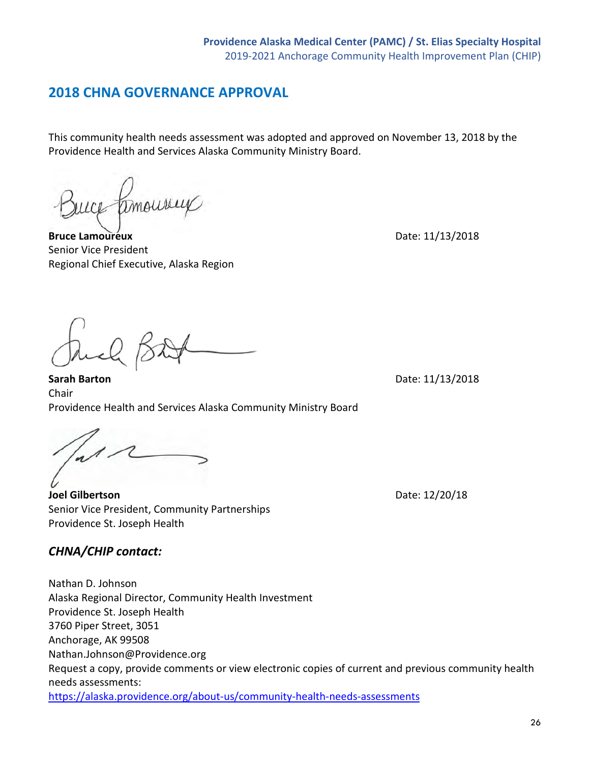# **2018 CHNA GOVERNANCE APPROVAL**

This community health needs assessment was adopted and approved on November 13, 2018 by the Providence Health and Services Alaska Community Ministry Board.

**Bruce Lamoureux** Date: 11/13/2018 Senior Vice President Regional Chief Executive, Alaska Region

**Sarah Barton** Date: 11/13/2018

Chair Providence Health and Services Alaska Community Ministry Board

**Joel Gilbertson** Date: 12/20/18 Senior Vice President, Community Partnerships

Providence St. Joseph Health *CHNA/CHIP contact:*

Nathan D. Johnson Alaska Regional Director, Community Health Investment Providence St. Joseph Health 3760 Piper Street, 3051 Anchorage, AK 99508 Nathan.Johnson@Providence.org Request a copy, provide comments or view electronic copies of current and previous community health needs assessments: <https://alaska.providence.org/about-us/community-health-needs-assessments>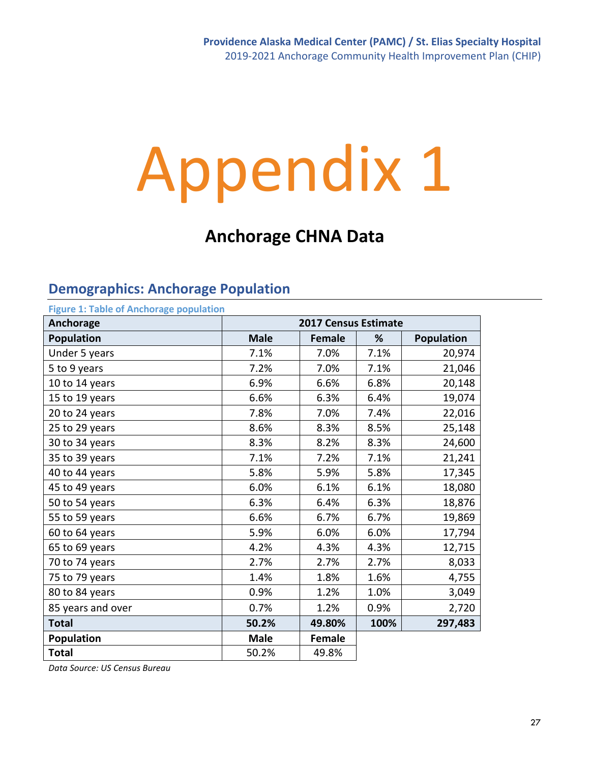# Appendix 1

# **Anchorage CHNA Data**

#### **Demographics: Anchorage Population Figure 1: Table of Anchorage population**

| Figure 1: Table of Anchorage population |             |                             |      |                   |  |  |
|-----------------------------------------|-------------|-----------------------------|------|-------------------|--|--|
| Anchorage                               |             | <b>2017 Census Estimate</b> |      |                   |  |  |
| <b>Population</b>                       | <b>Male</b> | <b>Female</b>               | %    | <b>Population</b> |  |  |
| Under 5 years                           | 7.1%        | 7.0%                        | 7.1% | 20,974            |  |  |
| 5 to 9 years                            | 7.2%        | 7.0%                        | 7.1% | 21,046            |  |  |
| 10 to 14 years                          | 6.9%        | 6.6%                        | 6.8% | 20,148            |  |  |
| 15 to 19 years                          | 6.6%        | 6.3%                        | 6.4% | 19,074            |  |  |
| 20 to 24 years                          | 7.8%        | 7.0%                        | 7.4% | 22,016            |  |  |
| 25 to 29 years                          | 8.6%        | 8.3%                        | 8.5% | 25,148            |  |  |
| 30 to 34 years                          | 8.3%        | 8.2%                        | 8.3% | 24,600            |  |  |
| 35 to 39 years                          | 7.1%        | 7.2%                        | 7.1% | 21,241            |  |  |
| 40 to 44 years                          | 5.8%        | 5.9%                        | 5.8% | 17,345            |  |  |
| 45 to 49 years                          | 6.0%        | 6.1%                        | 6.1% | 18,080            |  |  |
| 50 to 54 years                          | 6.3%        | 6.4%                        | 6.3% | 18,876            |  |  |
| 55 to 59 years                          | 6.6%        | 6.7%                        | 6.7% | 19,869            |  |  |
| 60 to 64 years                          | 5.9%        | 6.0%                        | 6.0% | 17,794            |  |  |
| 65 to 69 years                          | 4.2%        | 4.3%                        | 4.3% | 12,715            |  |  |
| 70 to 74 years                          | 2.7%        | 2.7%                        | 2.7% | 8,033             |  |  |
| 75 to 79 years                          | 1.4%        | 1.8%                        | 1.6% | 4,755             |  |  |
| 80 to 84 years                          | 0.9%        | 1.2%                        | 1.0% | 3,049             |  |  |
| 85 years and over                       | 0.7%        | 1.2%                        | 0.9% | 2,720             |  |  |
| <b>Total</b>                            | 50.2%       | 49.80%                      | 100% | 297,483           |  |  |
| Population                              | <b>Male</b> | <b>Female</b>               |      |                   |  |  |
| <b>Total</b>                            | 50.2%       | 49.8%                       |      |                   |  |  |

*Data Source: US Census Bureau*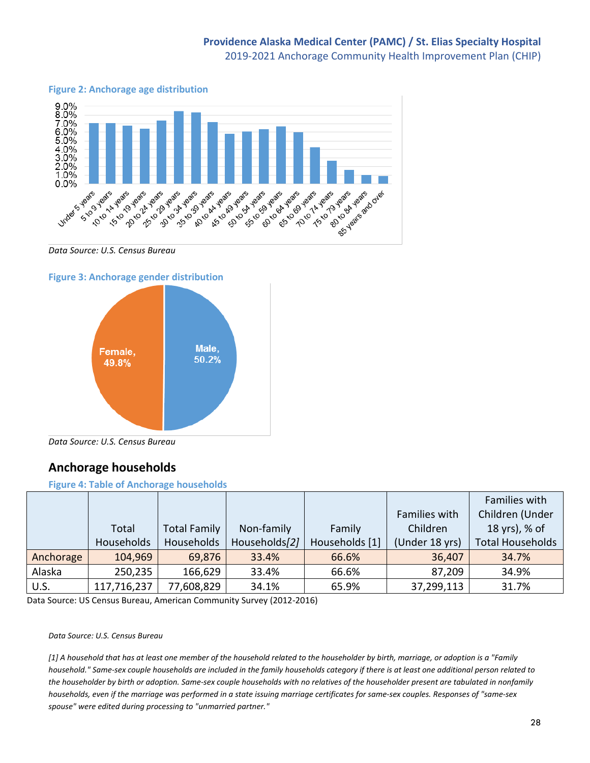**Figure 2: Anchorage age distribution**



#### *Data Source: U.S. Census Bureau*

#### **Figure 3: Anchorage gender distribution**



*Data Source: U.S. Census Bureau*

#### **Anchorage households**

#### **Figure 4: Table of Anchorage households**

|           |             |                     |               |                |                | Families with           |
|-----------|-------------|---------------------|---------------|----------------|----------------|-------------------------|
|           |             |                     |               |                | Families with  | Children (Under         |
|           | Total       | <b>Total Family</b> | Non-family    | Family         | Children       | 18 yrs), % of           |
|           | Households  | Households          | Households[2] | Households [1] | (Under 18 yrs) | <b>Total Households</b> |
| Anchorage | 104,969     | 69,876              | 33.4%         | 66.6%          | 36,407         | 34.7%                   |
| Alaska    | 250,235     | 166,629             | 33.4%         | 66.6%          | 87,209         | 34.9%                   |
| U.S.      | 117,716,237 | 77,608,829          | 34.1%         | 65.9%          | 37,299,113     | 31.7%                   |

Data Source: US Census Bureau, American Community Survey (2012-2016)

#### *Data Source: U.S. Census Bureau*

*[1] A household that has at least one member of the household related to the householder by birth, marriage, or adoption is a "Family household." Same-sex couple households are included in the family households category if there is at least one additional person related to the householder by birth or adoption. Same-sex couple households with no relatives of the householder present are tabulated in nonfamily households, even if the marriage was performed in a state issuing marriage certificates for same-sex couples. Responses of "same-sex spouse" were edited during processing to "unmarried partner."*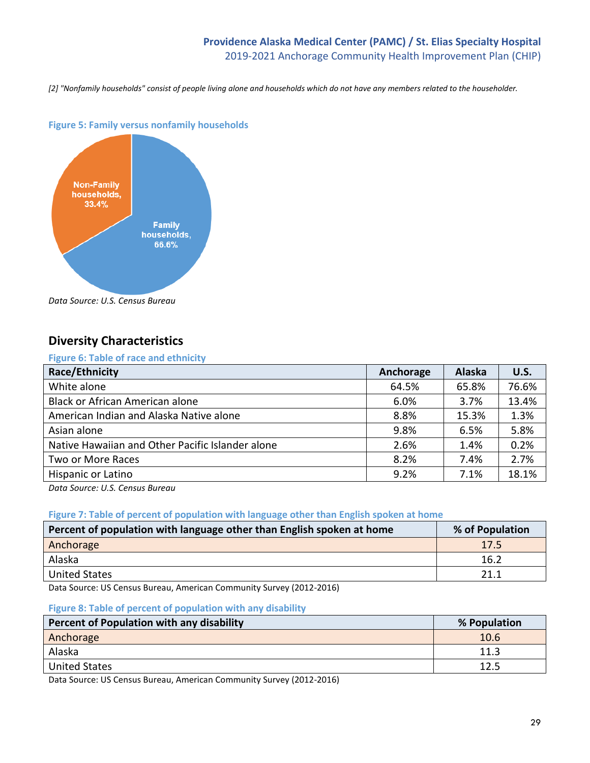#### **Providence Alaska Medical Center (PAMC) / St. Elias Specialty Hospital** 2019-2021 Anchorage Community Health Improvement Plan (CHIP)

*[2] "Nonfamily households" consist of people living alone and households which do not have any members related to the householder.*



#### **Figure 5: Family versus nonfamily households**

*Data Source: U.S. Census Bureau*

# **Diversity Characteristics**

#### **Figure 6: Table of race and ethnicity**

| Anchorage | <b>Alaska</b> | U.S.  |
|-----------|---------------|-------|
| 64.5%     | 65.8%         | 76.6% |
| 6.0%      | 3.7%          | 13.4% |
| 8.8%      | 15.3%         | 1.3%  |
| 9.8%      | 6.5%          | 5.8%  |
| 2.6%      | 1.4%          | 0.2%  |
| 8.2%      | 7.4%          | 2.7%  |
| 9.2%      | 7.1%          | 18.1% |
|           |               |       |

*Data Source: U.S. Census Bureau*

#### **Figure 7: Table of percent of population with language other than English spoken at home**

| Percent of population with language other than English spoken at home           | % of Population |
|---------------------------------------------------------------------------------|-----------------|
| Anchorage                                                                       | 17.5            |
| Alaska                                                                          | 16.2            |
| <b>United States</b>                                                            | 21.1            |
| $\mathbf{a}$<br>$    -$<br>$\cdots$<br>$\sim$<br>$\sim$<br>$\sim$ $\sim$ $\sim$ |                 |

Data Source: US Census Bureau, American Community Survey (2012-2016)

#### **Figure 8: Table of percent of population with any disability**

| Percent of Population with any disability | % Population |
|-------------------------------------------|--------------|
| Anchorage                                 | 10.6         |
| Alaska                                    | 11.3         |
| <b>United States</b>                      | 12.5         |

Data Source: US Census Bureau, American Community Survey (2012-2016)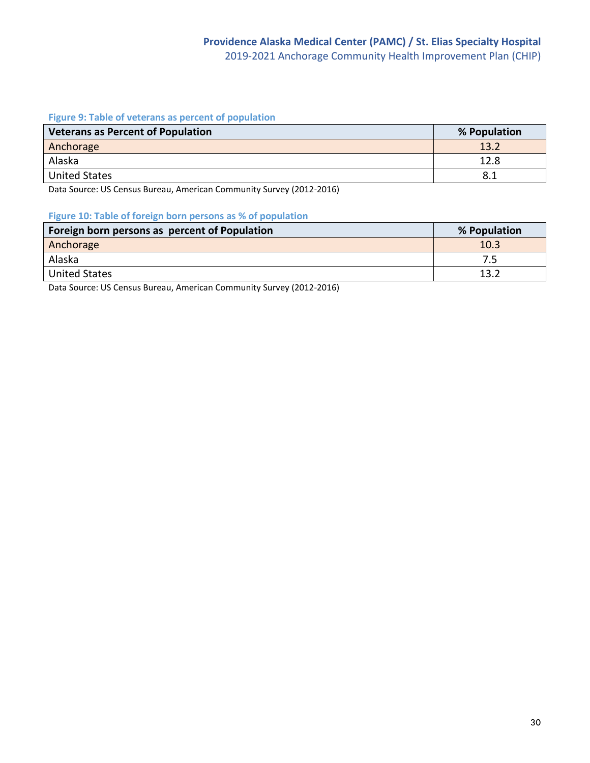#### **Figure 9: Table of veterans as percent of population**

| <b>Veterans as Percent of Population</b> | % Population |
|------------------------------------------|--------------|
| Anchorage                                | 13.2         |
| Alaska                                   | 12.8         |
| <b>United States</b>                     | 8.1          |

Data Source: US Census Bureau, American Community Survey (2012-2016)

#### **Figure 10: Table of foreign born persons as % of population**

| Foreign born persons as percent of Population | % Population |
|-----------------------------------------------|--------------|
| Anchorage                                     | 10.3         |
| Alaska                                        | 7.5          |
| United States                                 | 13.2         |

Data Source: US Census Bureau, American Community Survey (2012-2016)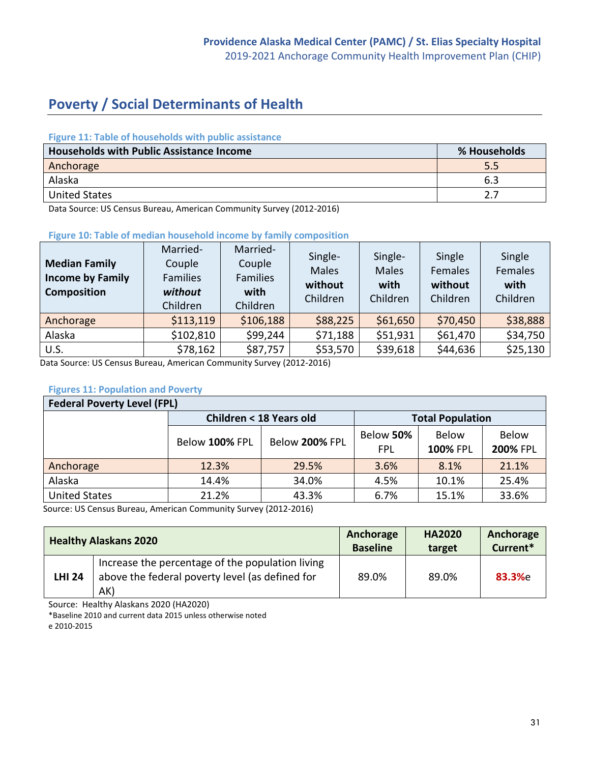# **Poverty / Social Determinants of Health**

#### **Figure 11: Table of households with public assistance**

| <b>Households with Public Assistance Income</b> | % Households |
|-------------------------------------------------|--------------|
| Anchorage                                       | 5.5          |
| Alaska                                          | 6.5          |
| <b>United States</b>                            |              |

Data Source: US Census Bureau, American Community Survey (2012-2016)

#### **Figure 10: Table of median household income by family composition**

| <b>Median Family</b><br><b>Income by Family</b><br><b>Composition</b> | Married-<br>Couple<br><b>Families</b><br>without<br>Children | Married-<br>Couple<br><b>Families</b><br>with<br>Children | Single-<br><b>Males</b><br>without<br>Children | Single-<br><b>Males</b><br>with<br>Children | Single<br>Females<br>without<br>Children | Single<br>Females<br>with<br>Children |
|-----------------------------------------------------------------------|--------------------------------------------------------------|-----------------------------------------------------------|------------------------------------------------|---------------------------------------------|------------------------------------------|---------------------------------------|
| Anchorage                                                             | \$113,119                                                    | \$106,188                                                 | \$88,225                                       | \$61,650                                    | \$70,450                                 | \$38,888                              |
| Alaska                                                                | \$102,810                                                    | \$99,244                                                  | \$71,188                                       | \$51,931                                    | \$61,470                                 | \$34,750                              |
| U.S.                                                                  | \$78,162                                                     | \$87,757                                                  | \$53,570                                       | \$39,618                                    | \$44,636                                 | \$25,130                              |

Data Source: US Census Bureau, American Community Survey (2012-2016)

#### **Figures 11: Population and Poverty**

| <b>Federal Poverty Level (FPL)</b> |                         |                         |                  |                                 |                                 |  |  |
|------------------------------------|-------------------------|-------------------------|------------------|---------------------------------|---------------------------------|--|--|
|                                    | Children < 18 Years old | <b>Total Population</b> |                  |                                 |                                 |  |  |
|                                    | Below 100% FPL          | Below 200% FPL          | Below 50%<br>FPL | <b>Below</b><br><b>100% FPL</b> | <b>Below</b><br><b>200% FPL</b> |  |  |
| Anchorage                          | 12.3%                   | 29.5%                   | 3.6%             | 8.1%                            | 21.1%                           |  |  |
| Alaska                             | 14.4%                   | 34.0%                   | 4.5%             | 10.1%                           | 25.4%                           |  |  |
| <b>United States</b>               | 21.2%                   | 43.3%                   | 6.7%             | 15.1%                           | 33.6%                           |  |  |

Source: US Census Bureau, American Community Survey (2012-2016)

| <b>Healthy Alaskans 2020</b> |                                                                                                            | Anchorage       | <b>HA2020</b> | Anchorage |  |
|------------------------------|------------------------------------------------------------------------------------------------------------|-----------------|---------------|-----------|--|
|                              |                                                                                                            | <b>Baseline</b> | target        | Current*  |  |
| <b>LHI 24</b>                | Increase the percentage of the population living<br>above the federal poverty level (as defined for<br>AK) | 89.0%           | 89.0%         | 83.3%e    |  |

Source: Healthy Alaskans 2020 (HA2020)

\*Baseline 2010 and current data 2015 unless otherwise noted

e 2010-2015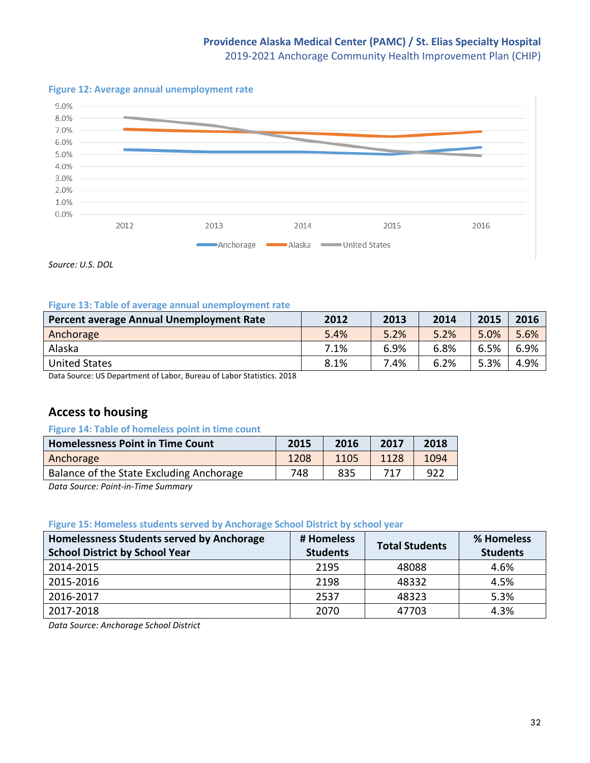# **Providence Alaska Medical Center (PAMC) / St. Elias Specialty Hospital**

2019-2021 Anchorage Community Health Improvement Plan (CHIP)

#### **Figure 12: Average annual unemployment rate**



*Source: U.S. DOL*

#### **Figure 13: Table of average annual unemployment rate**

| Percent average Annual Unemployment Rate | 2012 | 2013 | 2014 | 2015 | 2016 |
|------------------------------------------|------|------|------|------|------|
| Anchorage                                | 5.4% | 5.2% | 5.2% | 5.0% | 5.6% |
| Alaska                                   | 7.1% | 6.9% | 6.8% | 6.5% | 6.9% |
| <b>United States</b>                     | 8.1% | 7.4% | 6.2% | 5.3% | 4.9% |
| .<br>.<br>_____<br>_______               |      |      |      |      |      |

Data Source: US Department of Labor, Bureau of Labor Statistics. 2018

# **Access to housing**

#### **Figure 14: Table of homeless point in time count**

| <b>Homelessness Point in Time Count</b>  | 2015 | 2016 | 2017 | 2018 |
|------------------------------------------|------|------|------|------|
| Anchorage                                | 1208 | 1105 | 1128 | 1094 |
| Balance of the State Excluding Anchorage | 748  | 835  |      | 922  |

*Data Source: Point-in-Time Summary*

#### **Figure 15: Homeless students served by Anchorage School District by school year**

| Homelessness Students served by Anchorage | # Homeless      | <b>Total Students</b> | % Homeless      |
|-------------------------------------------|-----------------|-----------------------|-----------------|
| <b>School District by School Year</b>     | <b>Students</b> |                       | <b>Students</b> |
| 2014-2015                                 | 2195            | 48088                 | 4.6%            |
| 2015-2016                                 | 2198            | 48332                 | 4.5%            |
| 2016-2017                                 | 2537            | 48323                 | 5.3%            |
| 2017-2018                                 | 2070            | 47703                 | 4.3%            |

*Data Source: Anchorage School District*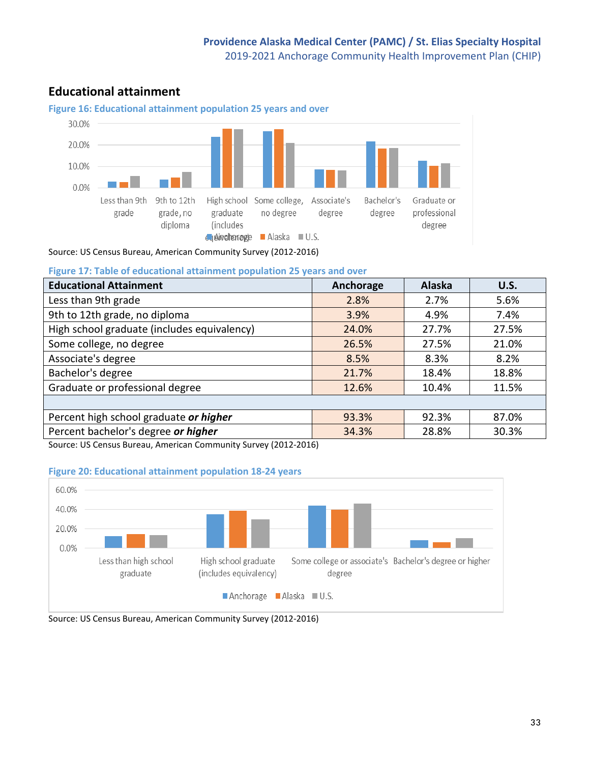# **Educational attainment**



Source: US Census Bureau, American Community Survey (2012-2016)

**Figure 17: Table of educational attainment population 25 years and over**

| <b>Educational Attainment</b>               | Anchorage | Alaska | <b>U.S.</b> |
|---------------------------------------------|-----------|--------|-------------|
| Less than 9th grade                         | 2.8%      | 2.7%   | 5.6%        |
| 9th to 12th grade, no diploma               | 3.9%      | 4.9%   | 7.4%        |
| High school graduate (includes equivalency) | 24.0%     | 27.7%  | 27.5%       |
| Some college, no degree                     | 26.5%     | 27.5%  | 21.0%       |
| Associate's degree                          | 8.5%      | 8.3%   | 8.2%        |
| Bachelor's degree                           | 21.7%     | 18.4%  | 18.8%       |
| Graduate or professional degree             | 12.6%     | 10.4%  | 11.5%       |
|                                             |           |        |             |
| Percent high school graduate or higher      | 93.3%     | 92.3%  | 87.0%       |
| Percent bachelor's degree or higher         | 34.3%     | 28.8%  | 30.3%       |

Source: US Census Bureau, American Community Survey (2012-2016)

#### **Figure 20: Educational attainment population 18-24 years**



Source: US Census Bureau, American Community Survey (2012-2016)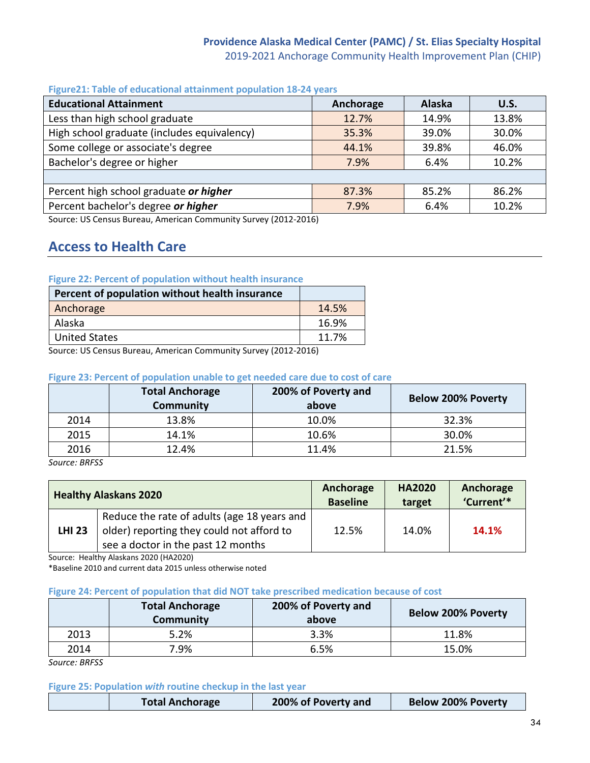#### **Providence Alaska Medical Center (PAMC) / St. Elias Specialty Hospital** 2019-2021 Anchorage Community Health Improvement Plan (CHIP)

#### **Figure21: Table of educational attainment population 18-24 years**

| <b>Educational Attainment</b>               | Anchorage | Alaska | U.S.  |
|---------------------------------------------|-----------|--------|-------|
| Less than high school graduate              | 12.7%     | 14.9%  | 13.8% |
| High school graduate (includes equivalency) | 35.3%     | 39.0%  | 30.0% |
| Some college or associate's degree          | 44.1%     | 39.8%  | 46.0% |
| Bachelor's degree or higher                 | 7.9%      | 6.4%   | 10.2% |
|                                             |           |        |       |
| Percent high school graduate or higher      | 87.3%     | 85.2%  | 86.2% |
| Percent bachelor's degree or higher         | 7.9%      | 6.4%   | 10.2% |

Source: US Census Bureau, American Community Survey (2012-2016)

# **Access to Health Care**

#### **Figure 22: Percent of population without health insurance**

| Percent of population without health insurance |       |
|------------------------------------------------|-------|
| Anchorage                                      | 14.5% |
| Alaska                                         | 16.9% |
| <b>United States</b>                           | 11.7% |

Source: US Census Bureau, American Community Survey (2012-2016)

#### **Figure 23: Percent of population unable to get needed care due to cost of care**

|      | <b>Total Anchorage</b><br><b>Community</b> | 200% of Poverty and<br>above | <b>Below 200% Poverty</b> |
|------|--------------------------------------------|------------------------------|---------------------------|
| 2014 | 13.8%                                      | 10.0%                        | 32.3%                     |
| 2015 | 14.1%                                      | 10.6%                        | 30.0%                     |
| 2016 | 12.4%                                      | 11.4%                        | 21.5%                     |

*Source: BRFSS*

|               | <b>Healthy Alaskans 2020</b>                                                                                                   | Anchorage<br><b>Baseline</b> | <b>HA2020</b><br>target | Anchorage<br>'Current'* |
|---------------|--------------------------------------------------------------------------------------------------------------------------------|------------------------------|-------------------------|-------------------------|
| <b>LHI 23</b> | Reduce the rate of adults (age 18 years and<br>older) reporting they could not afford to<br>see a doctor in the past 12 months | 12.5%                        | 14.0%                   | 14.1%                   |

Source: Healthy Alaskans 2020 (HA2020)

\*Baseline 2010 and current data 2015 unless otherwise noted

#### **Figure 24: Percent of population that did NOT take prescribed medication because of cost**

|      | <b>Total Anchorage</b><br>Community | 200% of Poverty and<br>above | <b>Below 200% Poverty</b> |
|------|-------------------------------------|------------------------------|---------------------------|
| 2013 | 5.2%                                | 3.3%                         | 11.8%                     |
| 2014 | 7.9%                                | 6.5%                         | 15.0%                     |

*Source: BRFSS*

#### **Figure 25: Population** *with* **routine checkup in the last year**

| <b>Below 200% Poverty</b><br>200% of Poverty and<br><b>Total Anchorage</b> |
|----------------------------------------------------------------------------|
|----------------------------------------------------------------------------|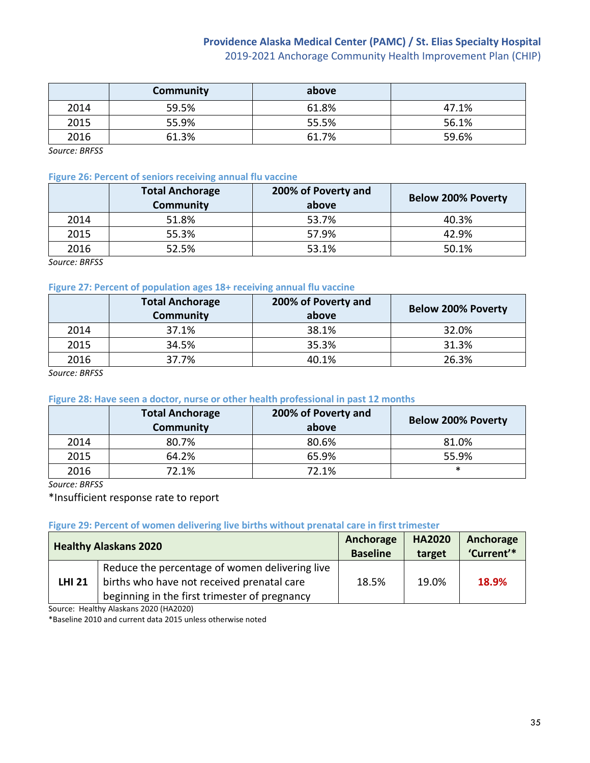# **Providence Alaska Medical Center (PAMC) / St. Elias Specialty Hospital**

2019-2021 Anchorage Community Health Improvement Plan (CHIP)

|      | Community | above |       |
|------|-----------|-------|-------|
| 2014 | 59.5%     | 61.8% | 47.1% |
| 2015 | 55.9%     | 55.5% | 56.1% |
| 2016 | 61.3%     | 61.7% | 59.6% |

*Source: BRFSS*

#### **Figure 26: Percent of seniors receiving annual flu vaccine**

|      | <b>Total Anchorage</b><br><b>Community</b> | 200% of Poverty and<br>above | <b>Below 200% Poverty</b> |
|------|--------------------------------------------|------------------------------|---------------------------|
| 2014 | 51.8%                                      | 53.7%                        | 40.3%                     |
| 2015 | 55.3%                                      | 57.9%                        | 42.9%                     |
| 2016 | 52.5%                                      | 53.1%                        | 50.1%                     |

*Source: BRFSS*

#### **Figure 27: Percent of population ages 18+ receiving annual flu vaccine**

|      | <b>Total Anchorage</b><br><b>Community</b> | 200% of Poverty and<br>above | <b>Below 200% Poverty</b> |
|------|--------------------------------------------|------------------------------|---------------------------|
| 2014 | 37.1%                                      | 38.1%                        | 32.0%                     |
| 2015 | 34.5%                                      | 35.3%                        | 31.3%                     |
| 2016 | 37.7%                                      | 40.1%                        | 26.3%                     |

*Source: BRFSS*

#### **Figure 28: Have seen a doctor, nurse or other health professional in past 12 months**

|      | <b>Total Anchorage</b><br>Community | 200% of Poverty and<br>above | <b>Below 200% Poverty</b> |
|------|-------------------------------------|------------------------------|---------------------------|
| 2014 | 80.7%                               | 80.6%                        | 81.0%                     |
| 2015 | 64.2%                               | 65.9%                        | 55.9%                     |
| 2016 | 72.1%                               | 72.1%                        | ∗                         |

*Source: BRFSS*

\*Insufficient response rate to report

#### **Figure 29: Percent of women delivering live births without prenatal care in first trimester**

| <b>Healthy Alaskans 2020</b> |                                                                                                                                               | Anchorage       | <b>HA2020</b> | Anchorage  |
|------------------------------|-----------------------------------------------------------------------------------------------------------------------------------------------|-----------------|---------------|------------|
|                              |                                                                                                                                               | <b>Baseline</b> | target        | 'Current'* |
| <b>LHI 21</b>                | Reduce the percentage of women delivering live<br>births who have not received prenatal care<br>beginning in the first trimester of pregnancy | 18.5%           | 19.0%         | 18.9%      |

Source: Healthy Alaskans 2020 (HA2020)

\*Baseline 2010 and current data 2015 unless otherwise noted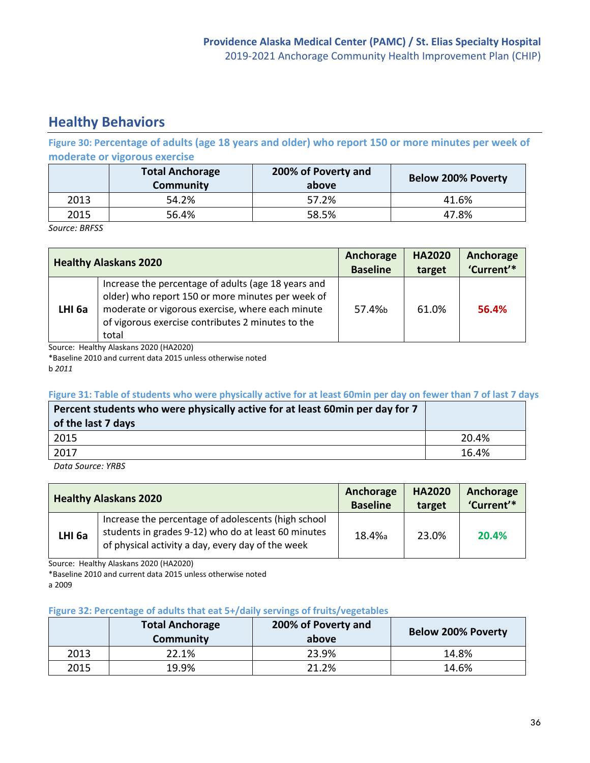# **Healthy Behaviors**

**Figure 30: Percentage of adults (age 18 years and older) who report 150 or more minutes per week of moderate or vigorous exercise**

|      | <b>Total Anchorage</b><br>Community | 200% of Poverty and<br>above | <b>Below 200% Poverty</b> |
|------|-------------------------------------|------------------------------|---------------------------|
| 2013 | 54.2%                               | 57.2%                        | 41.6%                     |
| 2015 | 56.4%                               | 58.5%                        | 47.8%                     |

*Source: BRFSS*

| <b>Healthy Alaskans 2020</b> |                                                                                                                                                                                                                            | Anchorage       | <b>HA2020</b> | Anchorage  |
|------------------------------|----------------------------------------------------------------------------------------------------------------------------------------------------------------------------------------------------------------------------|-----------------|---------------|------------|
|                              |                                                                                                                                                                                                                            | <b>Baseline</b> | target        | 'Current'* |
| LHI <sub>6a</sub>            | Increase the percentage of adults (age 18 years and<br>older) who report 150 or more minutes per week of<br>moderate or vigorous exercise, where each minute<br>of vigorous exercise contributes 2 minutes to the<br>total | 57.4%h          | 61.0%         | 56.4%      |

Source: Healthy Alaskans 2020 (HA2020)

\*Baseline 2010 and current data 2015 unless otherwise noted

b *2011*

#### **Figure 31: Table of students who were physically active for at least 60min per day on fewer than 7 of last 7 days**

| Percent students who were physically active for at least 60min per day for 7<br>of the last 7 days |       |
|----------------------------------------------------------------------------------------------------|-------|
| 2015                                                                                               | 20.4% |
| 2017                                                                                               | 16.4% |

*Data Source: YRBS*

| <b>Healthy Alaskans 2020</b> |                                                                                                                                                                 | Anchorage       | <b>HA2020</b> | Anchorage  |
|------------------------------|-----------------------------------------------------------------------------------------------------------------------------------------------------------------|-----------------|---------------|------------|
|                              |                                                                                                                                                                 | <b>Baseline</b> | target        | 'Current'* |
| LHI <sub>6a</sub>            | Increase the percentage of adolescents (high school<br>students in grades 9-12) who do at least 60 minutes<br>of physical activity a day, every day of the week | 18.4%a          | 23.0%         | 20.4%      |

Source: Healthy Alaskans 2020 (HA2020)

\*Baseline 2010 and current data 2015 unless otherwise noted a 2009

#### **Figure 32: Percentage of adults that eat 5+/daily servings of fruits/vegetables**

|      | <b>Total Anchorage</b><br>Community | 200% of Poverty and<br>above | <b>Below 200% Poverty</b> |
|------|-------------------------------------|------------------------------|---------------------------|
| 2013 | 22.1%                               | 23.9%                        | 14.8%                     |
| 2015 | 19.9%                               | 21.2%                        | 14.6%                     |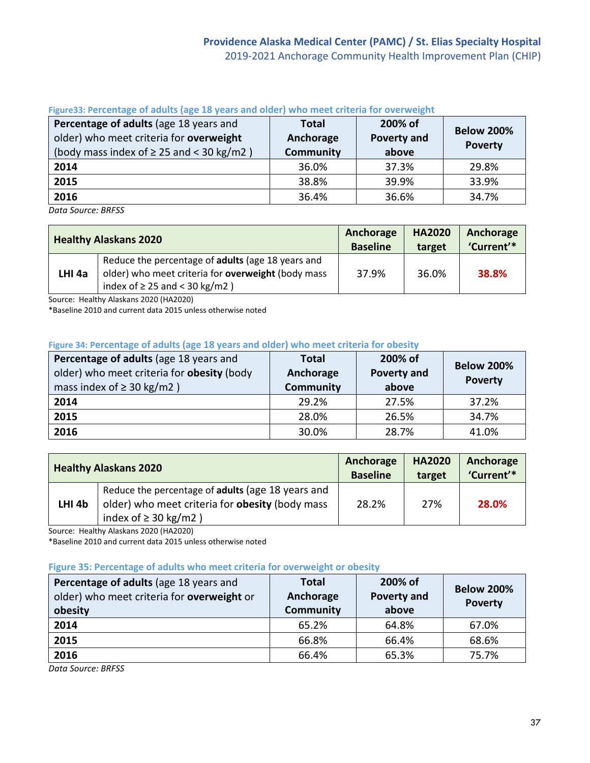| Percentage of adults (age 18 years and<br>older) who meet criteria for overweight<br>(body mass index of $\geq$ 25 and < 30 kg/m2) | <b>Total</b><br>Anchorage<br><b>Community</b> | 200% of<br><b>Poverty and</b><br>above | <b>Below 200%</b><br><b>Poverty</b> |
|------------------------------------------------------------------------------------------------------------------------------------|-----------------------------------------------|----------------------------------------|-------------------------------------|
| 2014                                                                                                                               | 36.0%                                         | 37.3%                                  | 29.8%                               |
| 2015                                                                                                                               | 38.8%                                         | 39.9%                                  | 33.9%                               |
| 2016                                                                                                                               | 36.4%                                         | 36.6%                                  | 34.7%                               |

## **Figure33: Percentage of adults (age 18 years and older) who meet criteria for overweight**

*Data Source: BRFSS*

|        | <b>Healthy Alaskans 2020</b>                                                                                                                  | Anchorage<br><b>Baseline</b> | <b>HA2020</b><br>target | Anchorage<br>'Current'* |
|--------|-----------------------------------------------------------------------------------------------------------------------------------------------|------------------------------|-------------------------|-------------------------|
| LHI 4a | Reduce the percentage of adults (age 18 years and<br>older) who meet criteria for overweight (body mass<br>index of $\geq$ 25 and < 30 kg/m2) | 37.9%                        | 36.0%                   | 38.8%                   |

Source: Healthy Alaskans 2020 (HA2020)

\*Baseline 2010 and current data 2015 unless otherwise noted

## **Figure 34: Percentage of adults (age 18 years and older) who meet criteria for obesity**

| Percentage of adults (age 18 years and<br>older) who meet criteria for obesity (body<br>mass index of $\geq$ 30 kg/m2 ) | 200% of<br><b>Total</b><br><b>Poverty and</b><br>Anchorage<br><b>Community</b><br>above |       | <b>Below 200%</b><br><b>Poverty</b> |
|-------------------------------------------------------------------------------------------------------------------------|-----------------------------------------------------------------------------------------|-------|-------------------------------------|
| 2014                                                                                                                    | 29.2%                                                                                   | 27.5% | 37.2%                               |
| 2015                                                                                                                    | 28.0%                                                                                   | 26.5% | 34.7%                               |
| 2016                                                                                                                    | 30.0%                                                                                   | 28.7% | 41.0%                               |

| <b>Healthy Alaskans 2020</b> |                                                        | Anchorage<br><b>Baseline</b> | <b>HA2020</b><br>target | Anchorage<br>'Current'* |
|------------------------------|--------------------------------------------------------|------------------------------|-------------------------|-------------------------|
|                              | Reduce the percentage of adults (age 18 years and      |                              |                         |                         |
| LHI <sub>4b</sub>            | older) who meet criteria for <b>obesity</b> (body mass | 28.2%                        | 27%                     | 28.0%                   |
|                              | index of $\geq$ 30 kg/m2)                              |                              |                         |                         |

Source: Healthy Alaskans 2020 (HA2020)

\*Baseline 2010 and current data 2015 unless otherwise noted

### **Figure 35: Percentage of adults who meet criteria for overweight or obesity**

| Percentage of adults (age 18 years and<br>older) who meet criteria for overweight or<br>obesity | <b>Total</b><br>Anchorage<br><b>Community</b> | 200% of<br>Poverty and<br>above | <b>Below 200%</b><br><b>Poverty</b> |  |
|-------------------------------------------------------------------------------------------------|-----------------------------------------------|---------------------------------|-------------------------------------|--|
| 2014                                                                                            | 65.2%                                         | 64.8%                           | 67.0%                               |  |
| 2015                                                                                            | 66.8%                                         | 66.4%                           | 68.6%                               |  |
| 2016                                                                                            | 66.4%                                         | 65.3%                           | 75.7%                               |  |

*Data Source: BRFSS*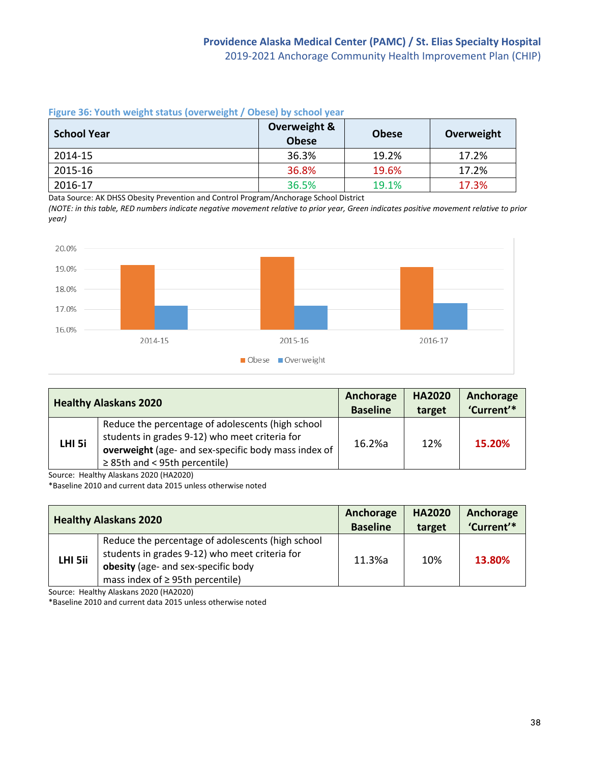**Figure 36: Youth weight status (overweight / Obese) by school year**

| <b>School Year</b> | Overweight &<br><b>Obese</b> | <b>Obese</b> | Overweight |
|--------------------|------------------------------|--------------|------------|
| 2014-15            | 36.3%                        | 19.2%        | 17.2%      |
| 2015-16            | 36.8%                        | 19.6%        | 17.2%      |
| 2016-17            | 36.5%                        | 19.1%        | 17.3%      |

Data Source: AK DHSS Obesity Prevention and Control Program/Anchorage School District

*(NOTE: in this table, RED numbers indicate negative movement relative to prior year, Green indicates positive movement relative to prior year)*



|        | <b>Healthy Alaskans 2020</b>                                                                                                                                                                      | Anchorage<br><b>Baseline</b> | <b>HA2020</b><br>target | Anchorage<br>'Current'* |
|--------|---------------------------------------------------------------------------------------------------------------------------------------------------------------------------------------------------|------------------------------|-------------------------|-------------------------|
| LHI 5i | Reduce the percentage of adolescents (high school<br>students in grades 9-12) who meet criteria for<br>overweight (age- and sex-specific body mass index of<br>$\geq$ 85th and < 95th percentile) | 16.2%a                       | 12%                     | 15.20%                  |

Source: Healthy Alaskans 2020 (HA2020)

\*Baseline 2010 and current data 2015 unless otherwise noted

|         | <b>Healthy Alaskans 2020</b>                                                                                                                                                        | Anchorage<br><b>Baseline</b> | <b>HA2020</b><br>target | Anchorage<br>'Current'* |
|---------|-------------------------------------------------------------------------------------------------------------------------------------------------------------------------------------|------------------------------|-------------------------|-------------------------|
| LHI 5ii | Reduce the percentage of adolescents (high school<br>students in grades 9-12) who meet criteria for<br>obesity (age- and sex-specific body<br>mass index of $\geq$ 95th percentile) | 11.3%a                       | 10%                     | 13.80%                  |

Source: Healthy Alaskans 2020 (HA2020)

\*Baseline 2010 and current data 2015 unless otherwise noted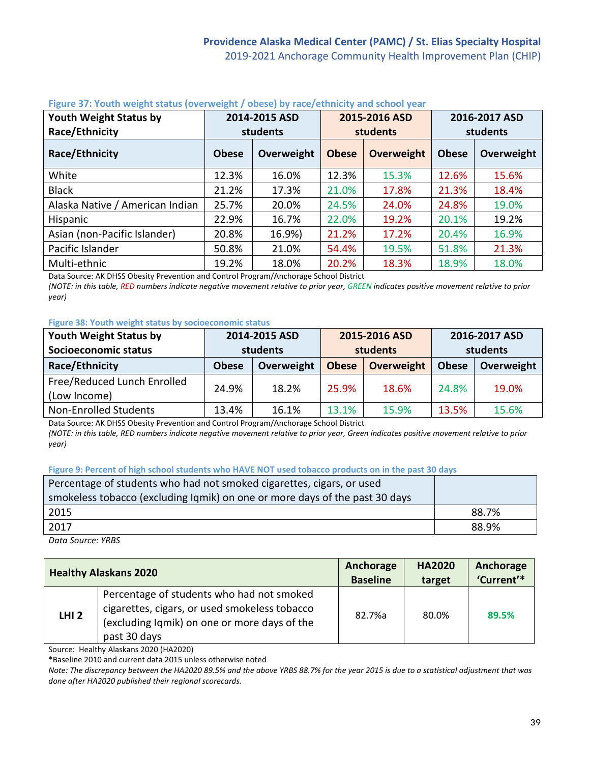| Youth Weight Status by<br>Race/Ethnicity | 2014-2015 ASD<br>2015-2016 ASD<br>students<br><b>students</b> |            |              |                   | 2016-2017 ASD<br>students |            |
|------------------------------------------|---------------------------------------------------------------|------------|--------------|-------------------|---------------------------|------------|
| Race/Ethnicity                           | <b>Obese</b>                                                  | Overweight | <b>Obese</b> | <b>Overweight</b> | <b>Obese</b>              | Overweight |
| White                                    | 12.3%                                                         | 16.0%      | 12.3%        | 15.3%             | 12.6%                     | 15.6%      |
| <b>Black</b>                             | 21.2%                                                         | 17.3%      | 21.0%        | 17.8%             | 21.3%                     | 18.4%      |
| Alaska Native / American Indian          | 25.7%                                                         | 20.0%      | 24.5%        | 24.0%             | 24.8%                     | 19.0%      |
| Hispanic                                 | 22.9%                                                         | 16.7%      | 22.0%        | 19.2%             | 20.1%                     | 19.2%      |
| Asian (non-Pacific Islander)             | 20.8%                                                         | 16.9%)     | 21.2%        | 17.2%             | 20.4%                     | 16.9%      |
| Pacific Islander                         | 50.8%                                                         | 21.0%      | 54.4%        | 19.5%             | 51.8%                     | 21.3%      |
| Multi-ethnic                             | 19.2%                                                         | 18.0%      | 20.2%        | 18.3%             | 18.9%                     | 18.0%      |

# **Figure 37: Youth weight status (overweight / obese) by race/ethnicity and school year**

Data Source: AK DHSS Obesity Prevention and Control Program/Anchorage School District

*(NOTE: in this table, RED numbers indicate negative movement relative to prior year, GREEN indicates positive movement relative to prior year)*

#### **Figure 38: Youth weight status by socioeconomic status**

| Youth Weight Status by                      | 2014-2015 ASD |            | 2015-2016 ASD |            | 2016-2017 ASD |            |
|---------------------------------------------|---------------|------------|---------------|------------|---------------|------------|
| Socioeconomic status                        | students      |            | students      |            | students      |            |
| Race/Ethnicity                              | <b>Obese</b>  | Overweight | <b>Obese</b>  | Overweight | <b>Obese</b>  | Overweight |
| Free/Reduced Lunch Enrolled<br>(Low Income) | 24.9%         | 18.2%      | 25.9%         | 18.6%      | 24.8%         | 19.0%      |
| Non-Enrolled Students                       | 13.4%         | 16.1%      | 13.1%         | 15.9%      | 13.5%         | 15.6%      |

Data Source: AK DHSS Obesity Prevention and Control Program/Anchorage School District

*(NOTE: in this table, RED numbers indicate negative movement relative to prior year, Green indicates positive movement relative to prior year)*

#### **Figure 9: Percent of high school students who HAVE NOT used tobacco products on in the past 30 days**

| Percentage of students who had not smoked cigarettes, cigars, or used<br>smokeless tobacco (excluding Igmik) on one or more days of the past 30 days |       |
|------------------------------------------------------------------------------------------------------------------------------------------------------|-------|
| 2015                                                                                                                                                 | 88.7% |
| 2017                                                                                                                                                 | 88.9% |

*Data Source: YRBS*

| <b>Healthy Alaskans 2020</b> |                                                                                                                                                            | Anchorage       | <b>HA2020</b> | Anchorage  |
|------------------------------|------------------------------------------------------------------------------------------------------------------------------------------------------------|-----------------|---------------|------------|
|                              |                                                                                                                                                            | <b>Baseline</b> | target        | 'Current'* |
| <b>LHI 2</b>                 | Percentage of students who had not smoked<br>cigarettes, cigars, or used smokeless tobacco<br>(excluding Iqmik) on one or more days of the<br>past 30 days | 82.7%a          | 80.0%         | 89.5%      |

Source: Healthy Alaskans 2020 (HA2020)

\*Baseline 2010 and current data 2015 unless otherwise noted

*Note: The discrepancy between the HA2020 89.5% and the above YRBS 88.7% for the year 2015 is due to a statistical adjustment that was done after HA2020 published their regional scorecards.*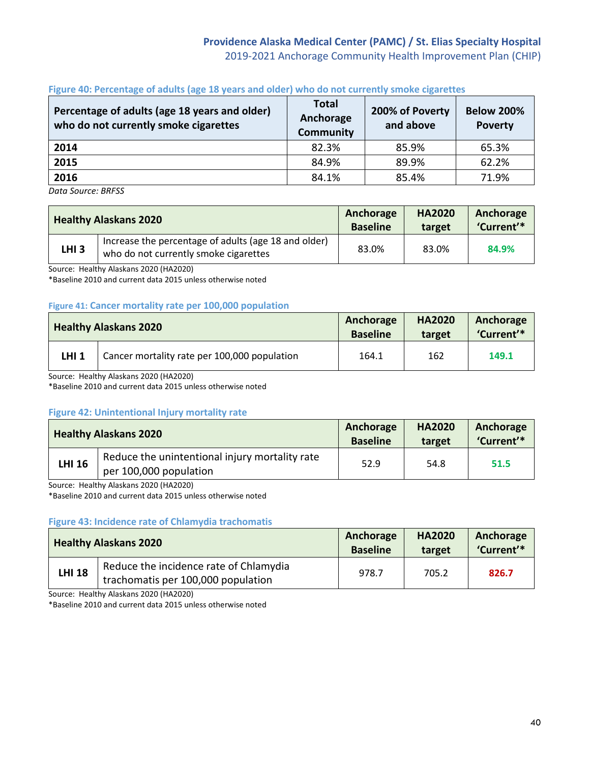# **Providence Alaska Medical Center (PAMC) / St. Elias Specialty Hospital** 2019-2021 Anchorage Community Health Improvement Plan (CHIP)

| Percentage of adults (age 18 years and older)<br>who do not currently smoke cigarettes | <b>Total</b><br>Anchorage<br><b>Community</b> | 200% of Poverty<br>and above | <b>Below 200%</b><br><b>Poverty</b> |
|----------------------------------------------------------------------------------------|-----------------------------------------------|------------------------------|-------------------------------------|
| 2014                                                                                   | 82.3%                                         | 85.9%                        | 65.3%                               |
| 2015                                                                                   | 84.9%                                         | 89.9%                        | 62.2%                               |
| 2016                                                                                   | 84.1%                                         | 85.4%                        | 71.9%                               |

#### **Figure 40: Percentage of adults (age 18 years and older) who do not currently smoke cigarettes**

*Data Source: BRFSS*

|                  | <b>Healthy Alaskans 2020</b>                                                                  | Anchorage<br><b>Baseline</b> | <b>HA2020</b><br>target | Anchorage<br>'Current'* |
|------------------|-----------------------------------------------------------------------------------------------|------------------------------|-------------------------|-------------------------|
| LHI <sub>3</sub> | Increase the percentage of adults (age 18 and older)<br>who do not currently smoke cigarettes | 83.0%                        | 83.0%                   | 84.9%                   |

Source: Healthy Alaskans 2020 (HA2020)

\*Baseline 2010 and current data 2015 unless otherwise noted

#### **Figure 41: Cancer mortality rate per 100,000 population**

|              | <b>Healthy Alaskans 2020</b>                 | Anchorage<br><b>Baseline</b> | <b>HA2020</b><br>target | Anchorage<br>'Current'* |
|--------------|----------------------------------------------|------------------------------|-------------------------|-------------------------|
| <b>LHI 1</b> | Cancer mortality rate per 100,000 population | 164.1                        | 162                     | 149.1                   |

Source: Healthy Alaskans 2020 (HA2020)

\*Baseline 2010 and current data 2015 unless otherwise noted

### **Figure 42: Unintentional Injury mortality rate**

|               | <b>Healthy Alaskans 2020</b>                                             | Anchorage<br><b>Baseline</b> | <b>HA2020</b><br>target | Anchorage<br>'Current'* |
|---------------|--------------------------------------------------------------------------|------------------------------|-------------------------|-------------------------|
| <b>LHI 16</b> | Reduce the unintentional injury mortality rate<br>per 100,000 population | 52.9                         | 54.8                    | 51.5                    |

Source: Healthy Alaskans 2020 (HA2020)

\*Baseline 2010 and current data 2015 unless otherwise noted

### **Figure 43: Incidence rate of Chlamydia trachomatis**

|               | <b>Healthy Alaskans 2020</b>                                                 | Anchorage<br><b>Baseline</b> | <b>HA2020</b><br>target | Anchorage<br>'Current'* |
|---------------|------------------------------------------------------------------------------|------------------------------|-------------------------|-------------------------|
| <b>LHI 18</b> | Reduce the incidence rate of Chlamydia<br>trachomatis per 100,000 population | 978.7                        | 705.2                   | 826.7                   |

Source: Healthy Alaskans 2020 (HA2020)

\*Baseline 2010 and current data 2015 unless otherwise noted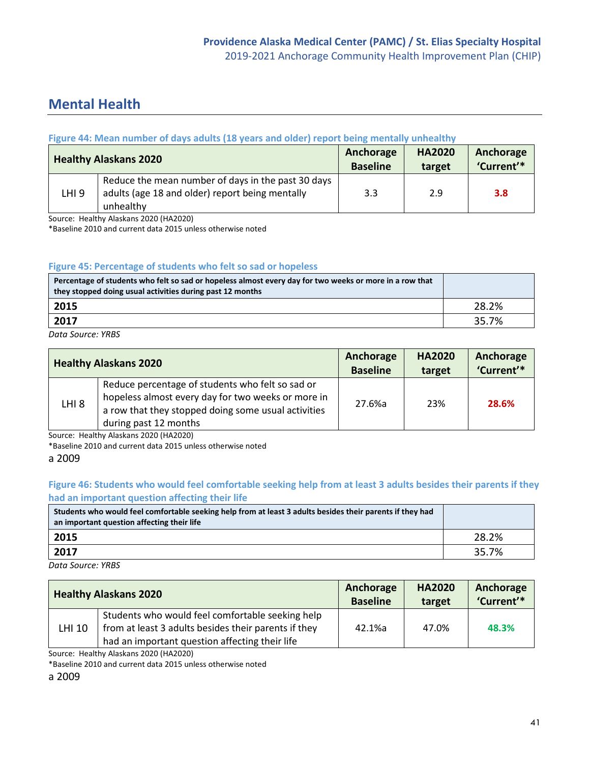# **Mental Health**

# **Figure 44: Mean number of days adults (18 years and older) report being mentally unhealthy**

|       | <b>Healthy Alaskans 2020</b>                       | Anchorage<br><b>Baseline</b> | <b>HA2020</b><br>target | Anchorage<br>'Current'* |
|-------|----------------------------------------------------|------------------------------|-------------------------|-------------------------|
|       | Reduce the mean number of days in the past 30 days |                              |                         |                         |
| LHI 9 | adults (age 18 and older) report being mentally    | 3.3                          | 2.9                     | 3.8 <sub>2</sub>        |
|       | unhealthy                                          |                              |                         |                         |

Source: Healthy Alaskans 2020 (HA2020)

\*Baseline 2010 and current data 2015 unless otherwise noted

#### **Figure 45: Percentage of students who felt so sad or hopeless**

| Percentage of students who felt so sad or hopeless almost every day for two weeks or more in a row that<br>they stopped doing usual activities during past 12 months |       |
|----------------------------------------------------------------------------------------------------------------------------------------------------------------------|-------|
| 2015                                                                                                                                                                 | 28.2% |
| 2017                                                                                                                                                                 | 35.7% |

*Data Source: YRBS*

|                  | <b>Healthy Alaskans 2020</b>                                                                                                                                                           | Anchorage<br><b>Baseline</b> | <b>HA2020</b><br>target | Anchorage<br>'Current'* |
|------------------|----------------------------------------------------------------------------------------------------------------------------------------------------------------------------------------|------------------------------|-------------------------|-------------------------|
| LHI <sub>8</sub> | Reduce percentage of students who felt so sad or<br>hopeless almost every day for two weeks or more in<br>a row that they stopped doing some usual activities<br>during past 12 months | 27.6%a                       | 23%                     | 28.6%                   |

Source: Healthy Alaskans 2020 (HA2020)

\*Baseline 2010 and current data 2015 unless otherwise noted

#### a 2009

## **Figure 46: Students who would feel comfortable seeking help from at least 3 adults besides their parents if they had an important question affecting their life**

| Students who would feel comfortable seeking help from at least 3 adults besides their parents if they had<br>an important question affecting their life |       |
|---------------------------------------------------------------------------------------------------------------------------------------------------------|-------|
| 2015                                                                                                                                                    | 28.2% |
| 2017                                                                                                                                                    | 35.7% |

*Data Source: YRBS*

|               | <b>Healthy Alaskans 2020</b>                                                                                                                               | Anchorage<br><b>Baseline</b> | <b>HA2020</b><br>target | Anchorage<br>'Current'* |
|---------------|------------------------------------------------------------------------------------------------------------------------------------------------------------|------------------------------|-------------------------|-------------------------|
| <b>LHI 10</b> | Students who would feel comfortable seeking help<br>from at least 3 adults besides their parents if they<br>had an important question affecting their life | 42.1%a                       | 47.0%                   | 48.3%                   |
|               |                                                                                                                                                            |                              |                         |                         |

Source: Healthy Alaskans 2020 (HA2020)

\*Baseline 2010 and current data 2015 unless otherwise noted

a 2009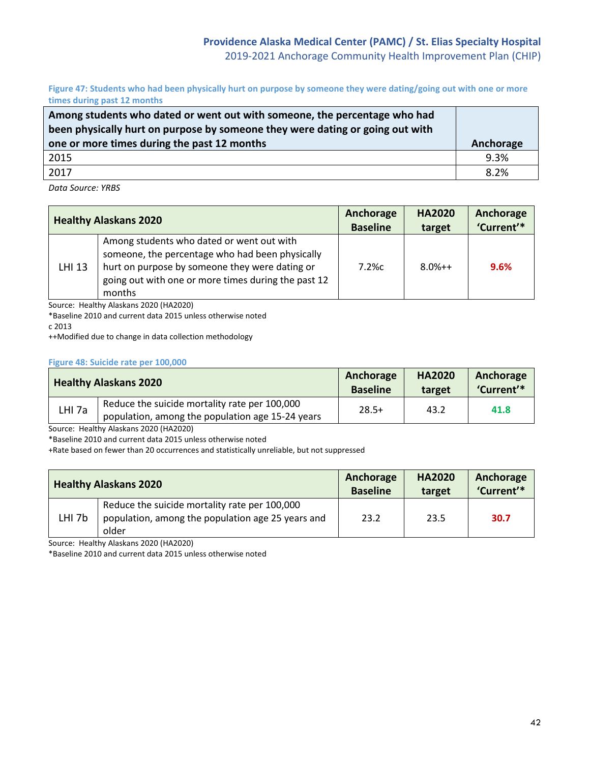**Figure 47: Students who had been physically hurt on purpose by someone they were dating/going out with one or more times during past 12 months** 

| Among students who dated or went out with someone, the percentage who had<br>been physically hurt on purpose by someone they were dating or going out with |           |
|------------------------------------------------------------------------------------------------------------------------------------------------------------|-----------|
| one or more times during the past 12 months                                                                                                                | Anchorage |
| 2015                                                                                                                                                       | 9.3%      |
| 2017                                                                                                                                                       | 8.2%      |
|                                                                                                                                                            |           |

*Data Source: YRBS*

|               | <b>Healthy Alaskans 2020</b>                                                                                                                                                                                    | Anchorage<br><b>Baseline</b> | <b>HA2020</b><br>target | Anchorage<br>'Current'* |
|---------------|-----------------------------------------------------------------------------------------------------------------------------------------------------------------------------------------------------------------|------------------------------|-------------------------|-------------------------|
| <b>LHI 13</b> | Among students who dated or went out with<br>someone, the percentage who had been physically<br>hurt on purpose by someone they were dating or<br>going out with one or more times during the past 12<br>months | $7.2\%c$                     | $8.0%++$                | 9.6%                    |

Source: Healthy Alaskans 2020 (HA2020)

\*Baseline 2010 and current data 2015 unless otherwise noted

c 2013

++Modified due to change in data collection methodology

#### **Figure 48: Suicide rate per 100,000**

|                   | <b>Healthy Alaskans 2020</b>                                                                      | Anchorage<br><b>Baseline</b> | <b>HA2020</b><br>target | Anchorage<br>'Current'* |
|-------------------|---------------------------------------------------------------------------------------------------|------------------------------|-------------------------|-------------------------|
| LHI <sub>7a</sub> | Reduce the suicide mortality rate per 100,000<br>population, among the population age 15-24 years | $28.5+$                      | 43.2                    | 41.8                    |

Source: Healthy Alaskans 2020 (HA2020)

\*Baseline 2010 and current data 2015 unless otherwise noted

+Rate based on fewer than 20 occurrences and statistically unreliable, but not suppressed

|                   | <b>Healthy Alaskans 2020</b>                                                                                | Anchorage<br><b>Baseline</b> | <b>HA2020</b><br>target | Anchorage<br>'Current'* |
|-------------------|-------------------------------------------------------------------------------------------------------------|------------------------------|-------------------------|-------------------------|
| LHI <sub>7b</sub> | Reduce the suicide mortality rate per 100,000<br>population, among the population age 25 years and<br>older | 23.2                         | 23.5                    | 30.7                    |

Source: Healthy Alaskans 2020 (HA2020)

\*Baseline 2010 and current data 2015 unless otherwise noted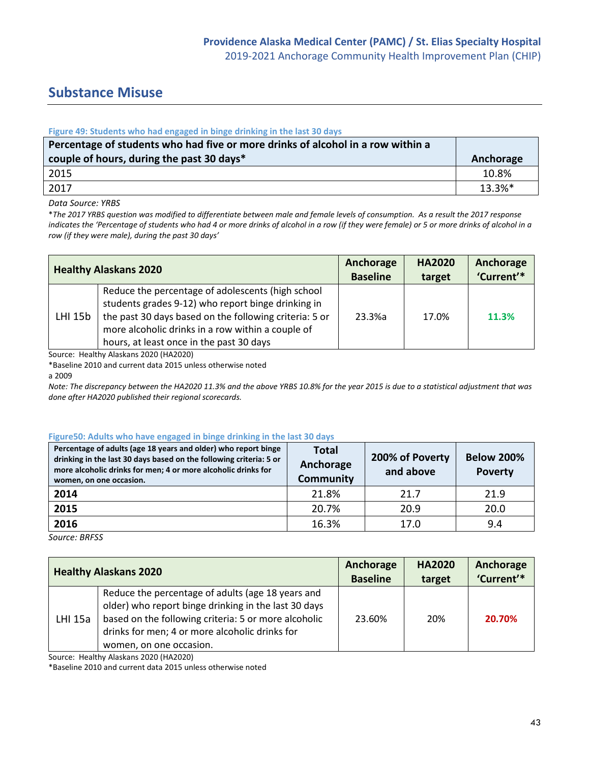# **Substance Misuse**

#### **Figure 49: Students who had engaged in binge drinking in the last 30 days**

| Percentage of students who had five or more drinks of alcohol in a row within a<br>couple of hours, during the past 30 days* | Anchorage  |
|------------------------------------------------------------------------------------------------------------------------------|------------|
| 2015                                                                                                                         | 10.8%      |
| 2017                                                                                                                         | $13.3\%$ * |

#### *Data Source: YRBS*

\**The 2017 YRBS question was modified to differentiate between male and female levels of consumption. As a result the 2017 response*  indicates the 'Percentage of students who had 4 or more drinks of alcohol in a row (if they were female) or 5 or more drinks of alcohol in a *row (if they were male), during the past 30 days'*

| <b>Healthy Alaskans 2020</b> |                                                                                                                                                                                                                                                                    | Anchorage       | <b>HA2020</b> | Anchorage  |
|------------------------------|--------------------------------------------------------------------------------------------------------------------------------------------------------------------------------------------------------------------------------------------------------------------|-----------------|---------------|------------|
|                              |                                                                                                                                                                                                                                                                    | <b>Baseline</b> | target        | 'Current'* |
| LHI 15b                      | Reduce the percentage of adolescents (high school<br>students grades 9-12) who report binge drinking in<br>the past 30 days based on the following criteria: 5 or<br>more alcoholic drinks in a row within a couple of<br>hours, at least once in the past 30 days | 23.3%a          | 17.0%         | 11.3%      |

Source: Healthy Alaskans 2020 (HA2020)

\*Baseline 2010 and current data 2015 unless otherwise noted

a 2009

*Note: The discrepancy between the HA2020 11.3% and the above YRBS 10.8% for the year 2015 is due to a statistical adjustment that was done after HA2020 published their regional scorecards.*

#### **Figure50: Adults who have engaged in binge drinking in the last 30 days**

| Percentage of adults (age 18 years and older) who report binge<br>drinking in the last 30 days based on the following criteria: 5 or<br>more alcoholic drinks for men; 4 or more alcoholic drinks for<br>women, on one occasion. | <b>Total</b><br>Anchorage<br><b>Community</b> | 200% of Poverty<br>and above | <b>Below 200%</b><br><b>Poverty</b> |
|----------------------------------------------------------------------------------------------------------------------------------------------------------------------------------------------------------------------------------|-----------------------------------------------|------------------------------|-------------------------------------|
| 2014                                                                                                                                                                                                                             | 21.8%                                         | 21.7                         | 21.9                                |
| 2015                                                                                                                                                                                                                             | 20.7%                                         | 20.9                         | 20.0                                |
| 2016                                                                                                                                                                                                                             | 16.3%                                         | 17.0                         | 9.4                                 |

*Source: BRFSS*

| <b>Healthy Alaskans 2020</b> |                                                                                                                                                                                                                                                | Anchorage       | <b>HA2020</b> | Anchorage  |
|------------------------------|------------------------------------------------------------------------------------------------------------------------------------------------------------------------------------------------------------------------------------------------|-----------------|---------------|------------|
|                              |                                                                                                                                                                                                                                                | <b>Baseline</b> | target        | 'Current'* |
| LHI 15a                      | Reduce the percentage of adults (age 18 years and<br>older) who report binge drinking in the last 30 days<br>based on the following criteria: 5 or more alcoholic<br>drinks for men; 4 or more alcoholic drinks for<br>women, on one occasion. | 23.60%          | 20%           | 20.70%     |

Source: Healthy Alaskans 2020 (HA2020)

\*Baseline 2010 and current data 2015 unless otherwise noted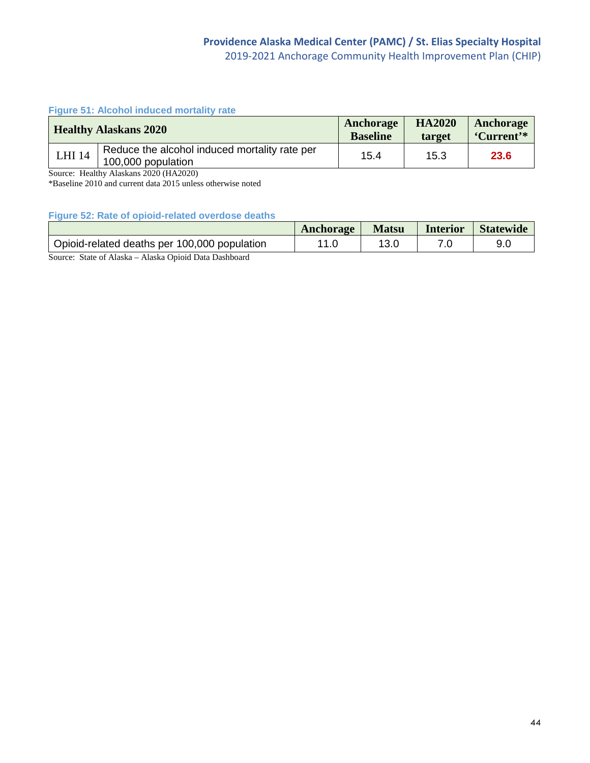### **Figure 51: Alcohol induced mortality rate**

|                                             | <b>Healthy Alaskans 2020</b>                  | Anchorage<br><b>Baseline</b> | <b>HA2020</b><br>target | Anchorage<br>'Current'* |
|---------------------------------------------|-----------------------------------------------|------------------------------|-------------------------|-------------------------|
| <b>LHI 14</b><br>15.4<br>100,000 population | Reduce the alcohol induced mortality rate per |                              | 15.3                    | 23.6                    |

Source: Healthy Alaskans 2020 (HA2020)

\*Baseline 2010 and current data 2015 unless otherwise noted

**Figure 52: Rate of opioid-related overdose deaths**

|                                              | Anchorage | <b>Matsu</b> | <i>Interior</i> | <b>Statewide</b> |
|----------------------------------------------|-----------|--------------|-----------------|------------------|
| Opioid-related deaths per 100,000 population |           |              |                 | 9.0              |

Source: State of Alaska – Alaska Opioid Data Dashboard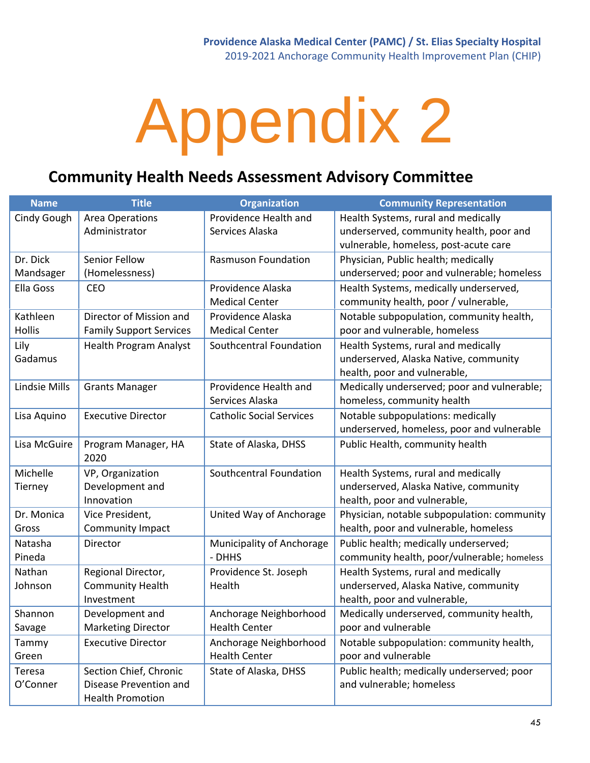# **Community Health Needs Assessment Advisory Committee**

| <b>Name</b>   | <b>Title</b>                   | <b>Organization</b>             | <b>Community Representation</b>             |
|---------------|--------------------------------|---------------------------------|---------------------------------------------|
| Cindy Gough   | <b>Area Operations</b>         | Providence Health and           | Health Systems, rural and medically         |
|               | Administrator                  | Services Alaska                 | underserved, community health, poor and     |
|               |                                |                                 | vulnerable, homeless, post-acute care       |
| Dr. Dick      | Senior Fellow                  | <b>Rasmuson Foundation</b>      | Physician, Public health; medically         |
| Mandsager     | (Homelessness)                 |                                 | underserved; poor and vulnerable; homeless  |
| Ella Goss     | <b>CEO</b>                     | Providence Alaska               | Health Systems, medically underserved,      |
|               |                                | <b>Medical Center</b>           | community health, poor / vulnerable,        |
| Kathleen      | Director of Mission and        | Providence Alaska               | Notable subpopulation, community health,    |
| <b>Hollis</b> | <b>Family Support Services</b> | <b>Medical Center</b>           | poor and vulnerable, homeless               |
| Lily          | <b>Health Program Analyst</b>  | Southcentral Foundation         | Health Systems, rural and medically         |
| Gadamus       |                                |                                 | underserved, Alaska Native, community       |
|               |                                |                                 | health, poor and vulnerable,                |
| Lindsie Mills | <b>Grants Manager</b>          | Providence Health and           | Medically underserved; poor and vulnerable; |
|               |                                | Services Alaska                 | homeless, community health                  |
| Lisa Aquino   | <b>Executive Director</b>      | <b>Catholic Social Services</b> | Notable subpopulations: medically           |
|               |                                |                                 | underserved, homeless, poor and vulnerable  |
| Lisa McGuire  | Program Manager, HA            | State of Alaska, DHSS           | Public Health, community health             |
|               | 2020                           |                                 |                                             |
| Michelle      | VP, Organization               | Southcentral Foundation         | Health Systems, rural and medically         |
| Tierney       | Development and                |                                 | underserved, Alaska Native, community       |
|               | Innovation                     |                                 | health, poor and vulnerable,                |
| Dr. Monica    | Vice President,                | United Way of Anchorage         | Physician, notable subpopulation: community |
| Gross         | Community Impact               |                                 | health, poor and vulnerable, homeless       |
| Natasha       | Director                       | Municipality of Anchorage       | Public health; medically underserved;       |
| Pineda        |                                | - DHHS                          | community health, poor/vulnerable; homeless |
| Nathan        | Regional Director,             | Providence St. Joseph           | Health Systems, rural and medically         |
| Johnson       | <b>Community Health</b>        | Health                          | underserved, Alaska Native, community       |
|               | Investment                     |                                 | health, poor and vulnerable,                |
| Shannon       | Development and                | Anchorage Neighborhood          | Medically underserved, community health,    |
| Savage        | <b>Marketing Director</b>      | <b>Health Center</b>            | poor and vulnerable                         |
| Tammy         | <b>Executive Director</b>      | Anchorage Neighborhood          | Notable subpopulation: community health,    |
| Green         |                                | <b>Health Center</b>            | poor and vulnerable                         |
| Teresa        | Section Chief, Chronic         | State of Alaska, DHSS           | Public health; medically underserved; poor  |
| O'Conner      | Disease Prevention and         |                                 | and vulnerable; homeless                    |
|               | <b>Health Promotion</b>        |                                 |                                             |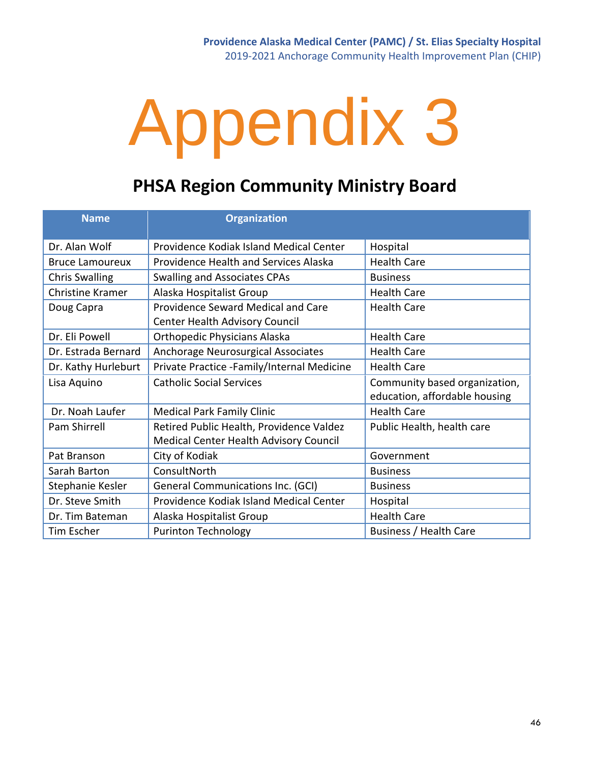# **PHSA Region Community Ministry Board**

| <b>Name</b>             | <b>Organization</b>                                                                |                                                                |
|-------------------------|------------------------------------------------------------------------------------|----------------------------------------------------------------|
| Dr. Alan Wolf           | Providence Kodiak Island Medical Center                                            | Hospital                                                       |
| <b>Bruce Lamoureux</b>  | <b>Providence Health and Services Alaska</b>                                       | <b>Health Care</b>                                             |
| <b>Chris Swalling</b>   | <b>Swalling and Associates CPAs</b>                                                | <b>Business</b>                                                |
| <b>Christine Kramer</b> | Alaska Hospitalist Group                                                           | <b>Health Care</b>                                             |
| Doug Capra              | Providence Seward Medical and Care<br>Center Health Advisory Council               | <b>Health Care</b>                                             |
| Dr. Eli Powell          | <b>Orthopedic Physicians Alaska</b>                                                | <b>Health Care</b>                                             |
| Dr. Estrada Bernard     | Anchorage Neurosurgical Associates                                                 | <b>Health Care</b>                                             |
| Dr. Kathy Hurleburt     | Private Practice -Family/Internal Medicine                                         | <b>Health Care</b>                                             |
| Lisa Aquino             | <b>Catholic Social Services</b>                                                    | Community based organization,<br>education, affordable housing |
| Dr. Noah Laufer         | <b>Medical Park Family Clinic</b>                                                  | <b>Health Care</b>                                             |
| Pam Shirrell            | Retired Public Health, Providence Valdez<br>Medical Center Health Advisory Council | Public Health, health care                                     |
| Pat Branson             | City of Kodiak                                                                     | Government                                                     |
| Sarah Barton            | ConsultNorth                                                                       | <b>Business</b>                                                |
| Stephanie Kesler        | <b>General Communications Inc. (GCI)</b>                                           | <b>Business</b>                                                |
| Dr. Steve Smith         | Providence Kodiak Island Medical Center                                            | Hospital                                                       |
| Dr. Tim Bateman         | Alaska Hospitalist Group                                                           | <b>Health Care</b>                                             |
| Tim Escher              | <b>Purinton Technology</b>                                                         | Business / Health Care                                         |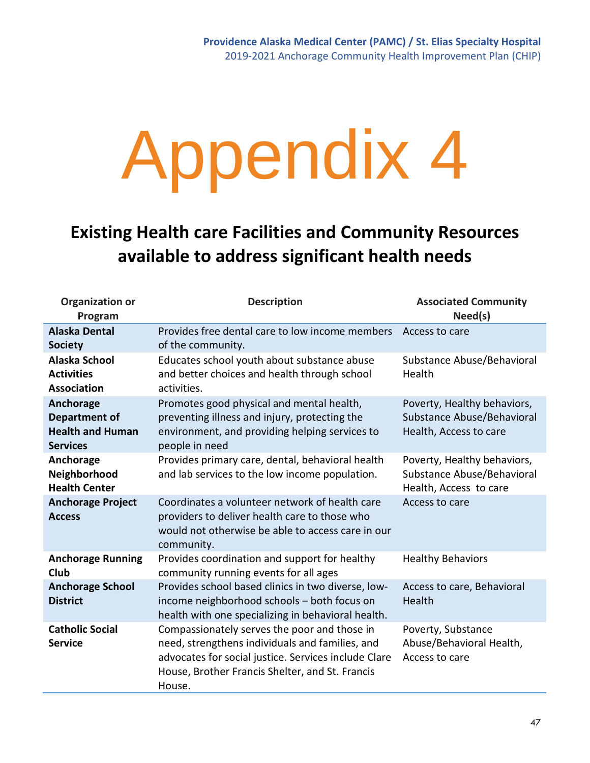# **Existing Health care Facilities and Community Resources available to address significant health needs**

| <b>Organization or</b><br>Program                                               | <b>Description</b>                                                                                                                                                                                                   | <b>Associated Community</b><br>Need(s)                                              |
|---------------------------------------------------------------------------------|----------------------------------------------------------------------------------------------------------------------------------------------------------------------------------------------------------------------|-------------------------------------------------------------------------------------|
| <b>Alaska Dental</b><br><b>Society</b>                                          | Provides free dental care to low income members<br>of the community.                                                                                                                                                 | Access to care                                                                      |
| Alaska School<br><b>Activities</b><br><b>Association</b>                        | Educates school youth about substance abuse<br>and better choices and health through school<br>activities.                                                                                                           | Substance Abuse/Behavioral<br>Health                                                |
| Anchorage<br><b>Department of</b><br><b>Health and Human</b><br><b>Services</b> | Promotes good physical and mental health,<br>preventing illness and injury, protecting the<br>environment, and providing helping services to<br>people in need                                                       | Poverty, Healthy behaviors,<br>Substance Abuse/Behavioral<br>Health, Access to care |
| Anchorage<br>Neighborhood<br><b>Health Center</b>                               | Provides primary care, dental, behavioral health<br>and lab services to the low income population.                                                                                                                   | Poverty, Healthy behaviors,<br>Substance Abuse/Behavioral<br>Health, Access to care |
| <b>Anchorage Project</b><br><b>Access</b>                                       | Coordinates a volunteer network of health care<br>providers to deliver health care to those who<br>would not otherwise be able to access care in our<br>community.                                                   | Access to care                                                                      |
| <b>Anchorage Running</b><br>Club                                                | Provides coordination and support for healthy<br>community running events for all ages                                                                                                                               | <b>Healthy Behaviors</b>                                                            |
| <b>Anchorage School</b><br><b>District</b>                                      | Provides school based clinics in two diverse, low-<br>income neighborhood schools - both focus on<br>health with one specializing in behavioral health.                                                              | Access to care, Behavioral<br>Health                                                |
| <b>Catholic Social</b><br><b>Service</b>                                        | Compassionately serves the poor and those in<br>need, strengthens individuals and families, and<br>advocates for social justice. Services include Clare<br>House, Brother Francis Shelter, and St. Francis<br>House. | Poverty, Substance<br>Abuse/Behavioral Health,<br>Access to care                    |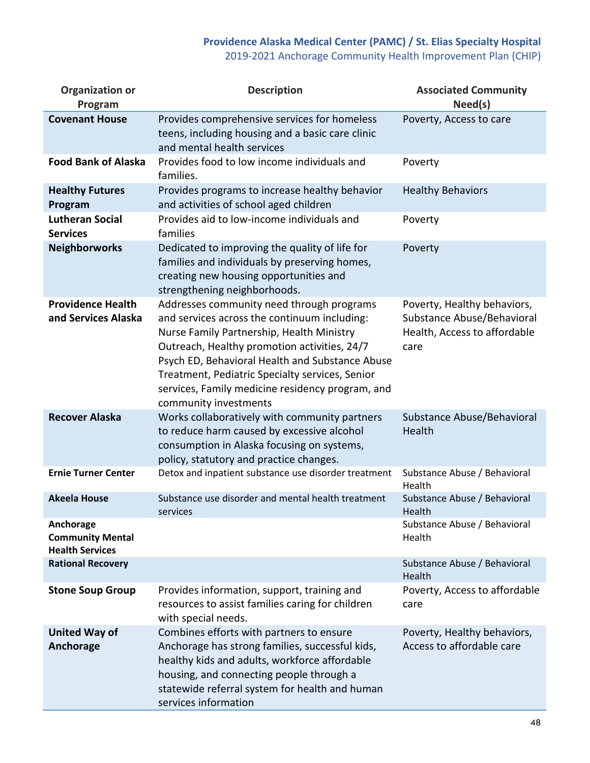# **Providence Alaska Medical Center (PAMC) / St. Elias Specialty Hospital** 2019-2021 Anchorage Community Health Improvement Plan (CHIP)

| <b>Organization or</b><br>Program                              | <b>Description</b>                                                                                                                                                                                                                                                                                                                                                        | <b>Associated Community</b><br>Need(s)                                                            |
|----------------------------------------------------------------|---------------------------------------------------------------------------------------------------------------------------------------------------------------------------------------------------------------------------------------------------------------------------------------------------------------------------------------------------------------------------|---------------------------------------------------------------------------------------------------|
| <b>Covenant House</b>                                          | Provides comprehensive services for homeless<br>teens, including housing and a basic care clinic<br>and mental health services                                                                                                                                                                                                                                            | Poverty, Access to care                                                                           |
| <b>Food Bank of Alaska</b>                                     | Provides food to low income individuals and<br>families.                                                                                                                                                                                                                                                                                                                  | Poverty                                                                                           |
| <b>Healthy Futures</b><br>Program                              | Provides programs to increase healthy behavior<br>and activities of school aged children                                                                                                                                                                                                                                                                                  | <b>Healthy Behaviors</b>                                                                          |
| <b>Lutheran Social</b><br><b>Services</b>                      | Provides aid to low-income individuals and<br>families                                                                                                                                                                                                                                                                                                                    | Poverty                                                                                           |
| <b>Neighborworks</b>                                           | Dedicated to improving the quality of life for<br>families and individuals by preserving homes,<br>creating new housing opportunities and<br>strengthening neighborhoods.                                                                                                                                                                                                 | Poverty                                                                                           |
| <b>Providence Health</b><br>and Services Alaska                | Addresses community need through programs<br>and services across the continuum including:<br>Nurse Family Partnership, Health Ministry<br>Outreach, Healthy promotion activities, 24/7<br>Psych ED, Behavioral Health and Substance Abuse<br>Treatment, Pediatric Specialty services, Senior<br>services, Family medicine residency program, and<br>community investments | Poverty, Healthy behaviors,<br>Substance Abuse/Behavioral<br>Health, Access to affordable<br>care |
| <b>Recover Alaska</b>                                          | Works collaboratively with community partners<br>to reduce harm caused by excessive alcohol<br>consumption in Alaska focusing on systems,<br>policy, statutory and practice changes.                                                                                                                                                                                      | Substance Abuse/Behavioral<br>Health                                                              |
| <b>Ernie Turner Center</b>                                     | Detox and inpatient substance use disorder treatment                                                                                                                                                                                                                                                                                                                      | Substance Abuse / Behavioral<br>Health                                                            |
| <b>Akeela House</b>                                            | Substance use disorder and mental health treatment<br>services                                                                                                                                                                                                                                                                                                            | Substance Abuse / Behavioral<br>Health                                                            |
| Anchorage<br><b>Community Mental</b><br><b>Health Services</b> |                                                                                                                                                                                                                                                                                                                                                                           | Substance Abuse / Behavioral<br>Health                                                            |
| <b>Rational Recovery</b>                                       |                                                                                                                                                                                                                                                                                                                                                                           | Substance Abuse / Behavioral<br>Health                                                            |
| <b>Stone Soup Group</b>                                        | Provides information, support, training and<br>resources to assist families caring for children<br>with special needs.                                                                                                                                                                                                                                                    | Poverty, Access to affordable<br>care                                                             |
| <b>United Way of</b><br>Anchorage                              | Combines efforts with partners to ensure<br>Anchorage has strong families, successful kids,<br>healthy kids and adults, workforce affordable<br>housing, and connecting people through a<br>statewide referral system for health and human<br>services information                                                                                                        | Poverty, Healthy behaviors,<br>Access to affordable care                                          |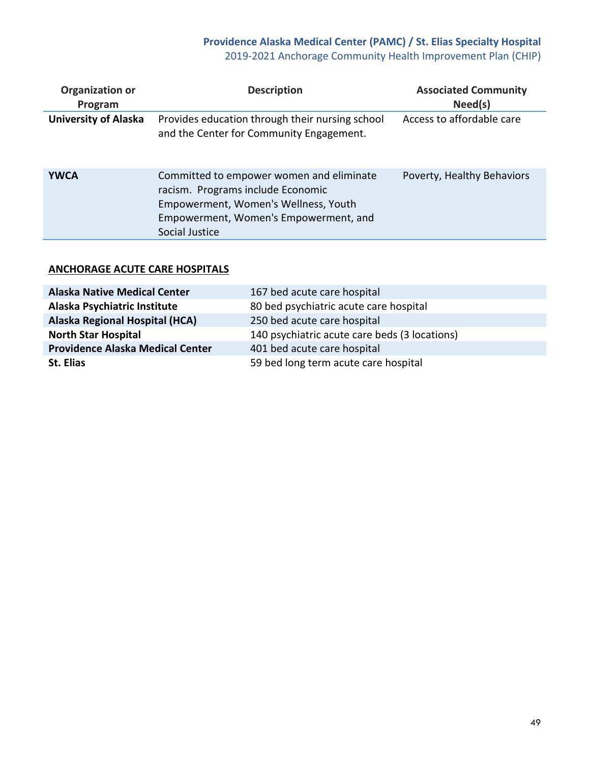# **Providence Alaska Medical Center (PAMC) / St. Elias Specialty Hospital** 2019-2021 Anchorage Community Health Improvement Plan (CHIP)

| <b>Organization or</b><br>Program | <b>Description</b>                                                                                                                                                               | <b>Associated Community</b><br>Need(s) |
|-----------------------------------|----------------------------------------------------------------------------------------------------------------------------------------------------------------------------------|----------------------------------------|
| <b>University of Alaska</b>       | Provides education through their nursing school<br>and the Center for Community Engagement.                                                                                      | Access to affordable care              |
| <b>YWCA</b>                       | Committed to empower women and eliminate<br>racism. Programs include Economic<br>Empowerment, Women's Wellness, Youth<br>Empowerment, Women's Empowerment, and<br>Social Justice | Poverty, Healthy Behaviors             |

# **ANCHORAGE ACUTE CARE HOSPITALS**

| <b>Alaska Native Medical Center</b>     | 167 bed acute care hospital                   |
|-----------------------------------------|-----------------------------------------------|
| Alaska Psychiatric Institute            | 80 bed psychiatric acute care hospital        |
| Alaska Regional Hospital (HCA)          | 250 bed acute care hospital                   |
| <b>North Star Hospital</b>              | 140 psychiatric acute care beds (3 locations) |
| <b>Providence Alaska Medical Center</b> | 401 bed acute care hospital                   |
| St. Elias                               | 59 bed long term acute care hospital          |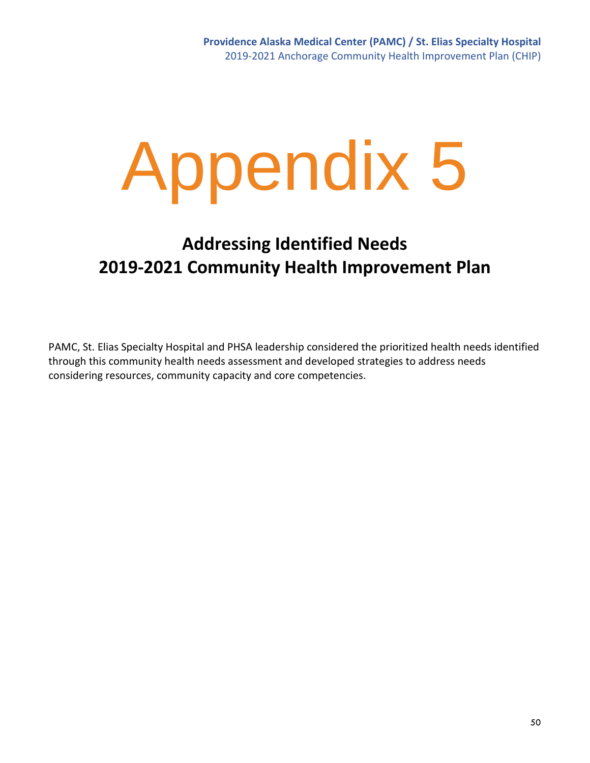# **Addressing Identified Needs 2019-2021 Community Health Improvement Plan**

PAMC, St. Elias Specialty Hospital and PHSA leadership considered the prioritized health needs identified through this community health needs assessment and developed strategies to address needs considering resources, community capacity and core competencies.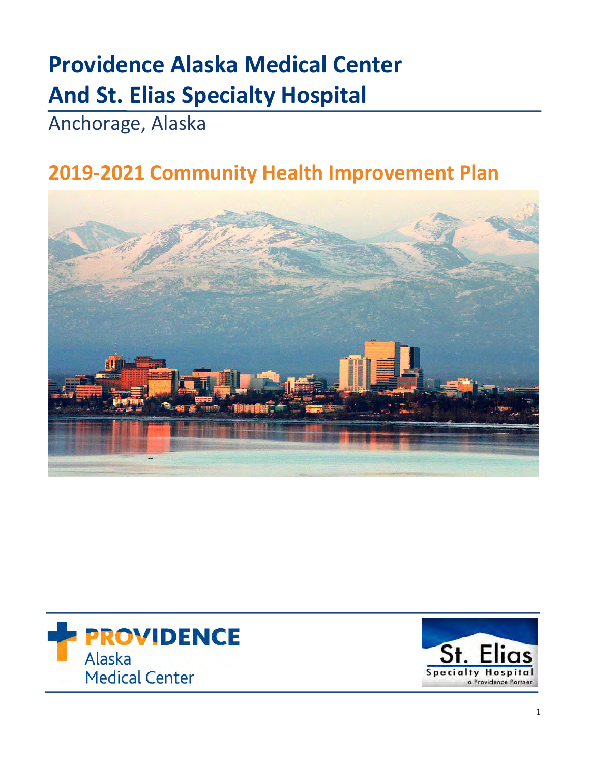# **Providence Alaska Medical Center And St. Elias Specialty Hospital**

Anchorage, Alaska

# **2019-2021 Community Health Improvement Plan**





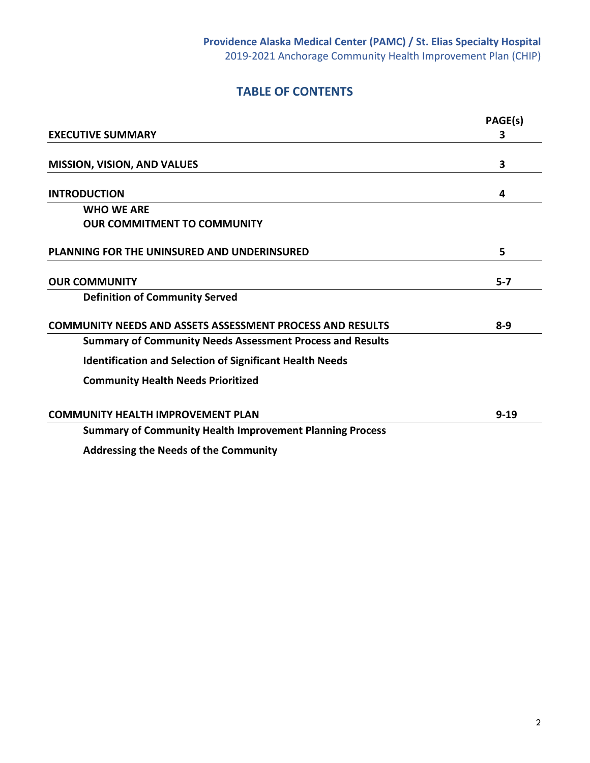# **TABLE OF CONTENTS**

|                                                                  | PAGE(s)  |
|------------------------------------------------------------------|----------|
| <b>EXECUTIVE SUMMARY</b>                                         | 3        |
| <b>MISSION, VISION, AND VALUES</b>                               | 3        |
| <b>INTRODUCTION</b>                                              | 4        |
| <b>WHO WE ARE</b>                                                |          |
| <b>OUR COMMITMENT TO COMMUNITY</b>                               |          |
| PLANNING FOR THE UNINSURED AND UNDERINSURED                      | 5        |
| <b>OUR COMMUNITY</b>                                             | $5 - 7$  |
| <b>Definition of Community Served</b>                            |          |
| <b>COMMUNITY NEEDS AND ASSETS ASSESSMENT PROCESS AND RESULTS</b> | $8 - 9$  |
| <b>Summary of Community Needs Assessment Process and Results</b> |          |
| <b>Identification and Selection of Significant Health Needs</b>  |          |
| <b>Community Health Needs Prioritized</b>                        |          |
| <b>COMMUNITY HEALTH IMPROVEMENT PLAN</b>                         | $9 - 19$ |
| <b>Summary of Community Health Improvement Planning Process</b>  |          |
| A del construit de la Alexa de la fisica Communication           |          |

**Addressing the Needs of the Community**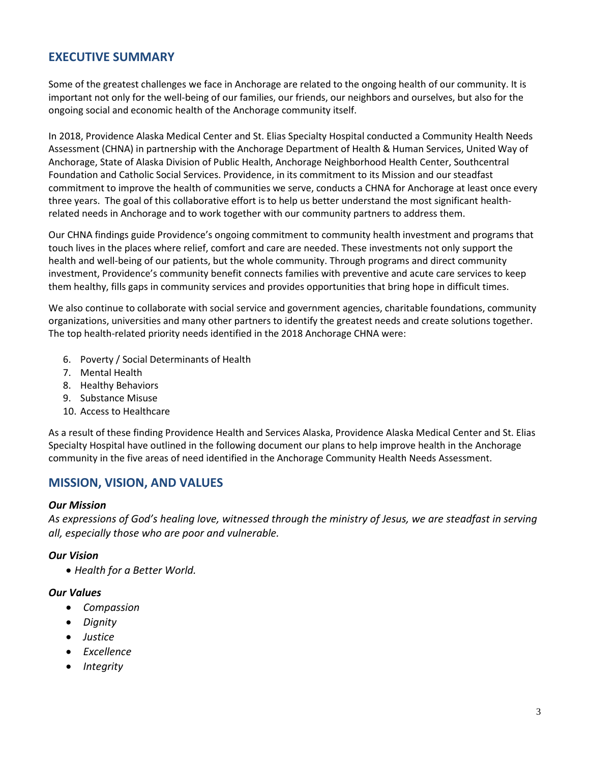# **EXECUTIVE SUMMARY**

Some of the greatest challenges we face in Anchorage are related to the ongoing health of our community. It is important not only for the well-being of our families, our friends, our neighbors and ourselves, but also for the ongoing social and economic health of the Anchorage community itself.

In 2018, Providence Alaska Medical Center and St. Elias Specialty Hospital conducted a Community Health Needs Assessment (CHNA) in partnership with the Anchorage Department of Health & Human Services, United Way of Anchorage, State of Alaska Division of Public Health, Anchorage Neighborhood Health Center, Southcentral Foundation and Catholic Social Services. Providence, in its commitment to its Mission and our steadfast commitment to improve the health of communities we serve, conducts a CHNA for Anchorage at least once every three years. The goal of this collaborative effort is to help us better understand the most significant healthrelated needs in Anchorage and to work together with our community partners to address them.

Our CHNA findings guide Providence's ongoing commitment to community health investment and programs that touch lives in the places where relief, comfort and care are needed. These investments not only support the health and well-being of our patients, but the whole community. Through programs and direct community investment, Providence's community benefit connects families with preventive and acute care services to keep them healthy, fills gaps in community services and provides opportunities that bring hope in difficult times.

We also continue to collaborate with social service and government agencies, charitable foundations, community organizations, universities and many other partners to identify the greatest needs and create solutions together. The top health-related priority needs identified in the 2018 Anchorage CHNA were:

- 6. Poverty / Social Determinants of Health
- 7. Mental Health
- 8. Healthy Behaviors
- 9. Substance Misuse
- 10. Access to Healthcare

As a result of these finding Providence Health and Services Alaska, Providence Alaska Medical Center and St. Elias Specialty Hospital have outlined in the following document our plans to help improve health in the Anchorage community in the five areas of need identified in the Anchorage Community Health Needs Assessment.

# **MISSION, VISION, AND VALUES**

### *Our Mission*

*As expressions of God's healing love, witnessed through the ministry of Jesus, we are steadfast in serving all, especially those who are poor and vulnerable.*

# *Our Vision*

• *Health for a Better World.*

### *Our Values*

- *Compassion*
- *Dignity*
- *Justice*
- *Excellence*
- *Integrity*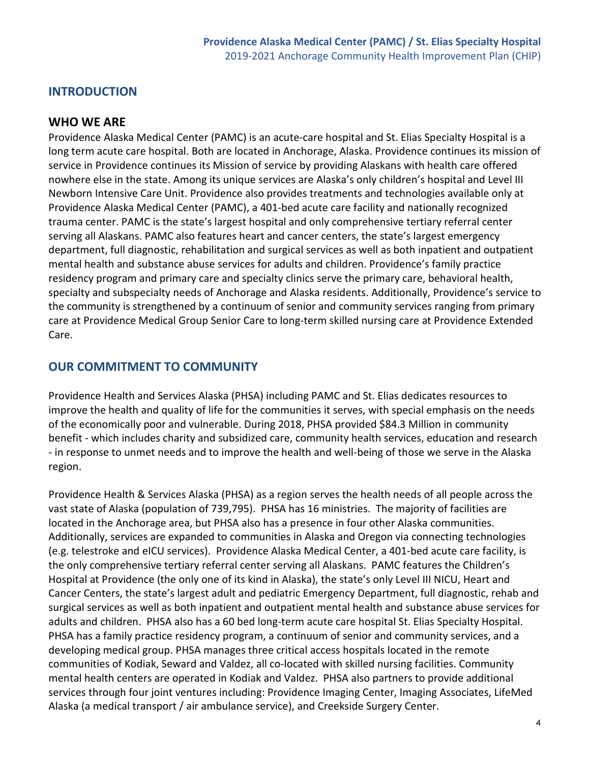# **INTRODUCTION**

# **WHO WE ARE**

Providence Alaska Medical Center (PAMC) is an acute-care hospital and St. Elias Specialty Hospital is a long term acute care hospital. Both are located in Anchorage, Alaska. Providence continues its mission of service in Providence continues its Mission of service by providing Alaskans with health care offered nowhere else in the state. Among its unique services are Alaska's only children's hospital and Level III Newborn Intensive Care Unit. Providence also provides treatments and technologies available only at Providence Alaska Medical Center (PAMC), a 401-bed acute care facility and nationally recognized trauma center. PAMC is the state's largest hospital and only comprehensive tertiary referral center serving all Alaskans. PAMC also features heart and cancer centers, the state's largest emergency department, full diagnostic, rehabilitation and surgical services as well as both inpatient and outpatient mental health and substance abuse services for adults and children. Providence's family practice residency program and primary care and specialty clinics serve the primary care, behavioral health, specialty and subspecialty needs of Anchorage and Alaska residents. Additionally, Providence's service to the community is strengthened by a continuum of senior and community services ranging from primary care at Providence Medical Group Senior Care to long-term skilled nursing care at Providence Extended Care.

# **OUR COMMITMENT TO COMMUNITY**

Providence Health and Services Alaska (PHSA) including PAMC and St. Elias dedicates resources to improve the health and quality of life for the communities it serves, with special emphasis on the needs of the economically poor and vulnerable. During 2018, PHSA provided \$84.3 Million in community benefit - which includes charity and subsidized care, community health services, education and research - in response to unmet needs and to improve the health and well-being of those we serve in the Alaska region.

Providence Health & Services Alaska (PHSA) as a region serves the health needs of all people across the vast state of Alaska (population of 739,795). PHSA has 16 ministries. The majority of facilities are located in the Anchorage area, but PHSA also has a presence in four other Alaska communities. Additionally, services are expanded to communities in Alaska and Oregon via connecting technologies (e.g. telestroke and eICU services). Providence Alaska Medical Center, a 401-bed acute care facility, is the only comprehensive tertiary referral center serving all Alaskans. PAMC features the Children's Hospital at Providence (the only one of its kind in Alaska), the state's only Level III NICU, Heart and Cancer Centers, the state's largest adult and pediatric Emergency Department, full diagnostic, rehab and surgical services as well as both inpatient and outpatient mental health and substance abuse services for adults and children. PHSA also has a 60 bed long-term acute care hospital St. Elias Specialty Hospital. PHSA has a family practice residency program, a continuum of senior and community services, and a developing medical group. PHSA manages three critical access hospitals located in the remote communities of Kodiak, Seward and Valdez, all co-located with skilled nursing facilities. Community mental health centers are operated in Kodiak and Valdez. PHSA also partners to provide additional services through four joint ventures including: Providence Imaging Center, Imaging Associates, LifeMed Alaska (a medical transport / air ambulance service), and Creekside Surgery Center.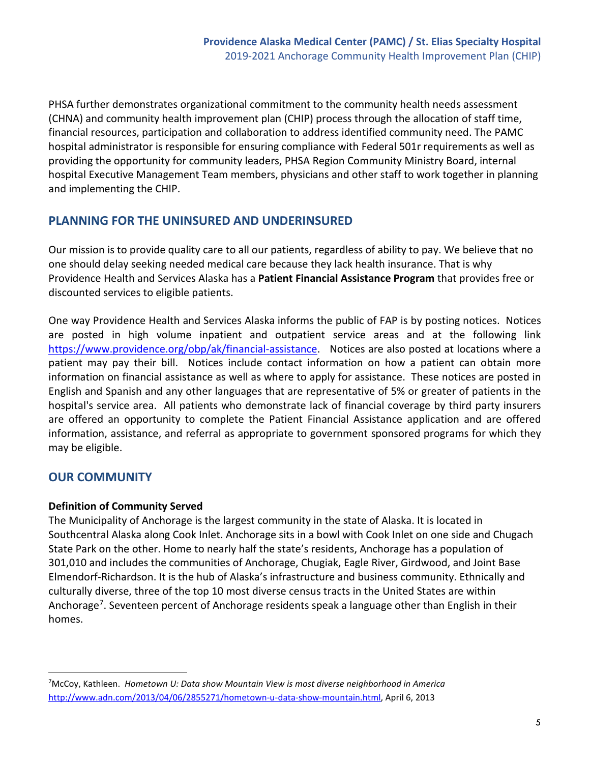PHSA further demonstrates organizational commitment to the community health needs assessment (CHNA) and community health improvement plan (CHIP) process through the allocation of staff time, financial resources, participation and collaboration to address identified community need. The PAMC hospital administrator is responsible for ensuring compliance with Federal 501r requirements as well as providing the opportunity for community leaders, PHSA Region Community Ministry Board, internal hospital Executive Management Team members, physicians and other staff to work together in planning and implementing the CHIP.

# **PLANNING FOR THE UNINSURED AND UNDERINSURED**

Our mission is to provide quality care to all our patients, regardless of ability to pay. We believe that no one should delay seeking needed medical care because they lack health insurance. That is why Providence Health and Services Alaska has a **Patient Financial Assistance Program** that provides free or discounted services to eligible patients.

One way Providence Health and Services Alaska informs the public of FAP is by posting notices. Notices are posted in high volume inpatient and outpatient service areas and at the following link [https://www.providence.org/obp/ak/financial-assistance.](https://www.providence.org/obp/ak/financial-assistance) Notices are also posted at locations where a patient may pay their bill. Notices include contact information on how a patient can obtain more information on financial assistance as well as where to apply for assistance. These notices are posted in English and Spanish and any other languages that are representative of 5% or greater of patients in the hospital's service area. All patients who demonstrate lack of financial coverage by third party insurers are offered an opportunity to complete the Patient Financial Assistance application and are offered information, assistance, and referral as appropriate to government sponsored programs for which they may be eligible.

# **OUR COMMUNITY**

 $\overline{a}$ 

# **Definition of Community Served**

The Municipality of Anchorage is the largest community in the state of Alaska. It is located in Southcentral Alaska along Cook Inlet. Anchorage sits in a bowl with Cook Inlet on one side and Chugach State Park on the other. Home to nearly half the state's residents, Anchorage has a population of 301,010 and includes the communities of Anchorage, Chugiak, Eagle River, Girdwood, and Joint Base Elmendorf-Richardson. It is the hub of Alaska's infrastructure and business community. Ethnically and culturally diverse, three of the top 10 most diverse census tracts in the United States are within Anchorage<sup>7</sup>. Seventeen percent of Anchorage residents speak a language other than English in their homes.

<span id="page-54-0"></span><sup>7</sup> McCoy, Kathleen. *Hometown U: Data show Mountain View is most diverse neighborhood in America*  [http://www.adn.com/2013/04/06/2855271/hometown-u-data-show-mountain.html,](http://www.adn.com/2013/04/06/2855271/hometown-u-data-show-mountain.html) April 6, 2013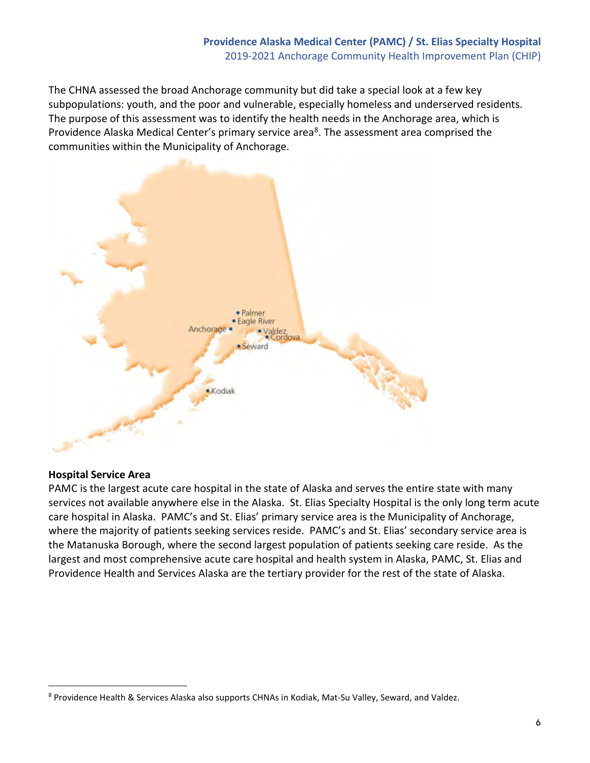The CHNA assessed the broad Anchorage community but did take a special look at a few key subpopulations: youth, and the poor and vulnerable, especially homeless and underserved residents. The purpose of this assessment was to identify the health needs in the Anchorage area, which is Providence Alaska Medical Center's primary service area<sup>8</sup>. The assessment area comprised the communities within the Municipality of Anchorage.



# **Hospital Service Area**

 $\overline{a}$ 

PAMC is the largest acute care hospital in the state of Alaska and serves the entire state with many services not available anywhere else in the Alaska. St. Elias Specialty Hospital is the only long term acute care hospital in Alaska. PAMC's and St. Elias' primary service area is the Municipality of Anchorage, where the majority of patients seeking services reside. PAMC's and St. Elias' secondary service area is the Matanuska Borough, where the second largest population of patients seeking care reside. As the largest and most comprehensive acute care hospital and health system in Alaska, PAMC, St. Elias and Providence Health and Services Alaska are the tertiary provider for the rest of the state of Alaska.

<span id="page-55-0"></span><sup>8</sup> Providence Health & Services Alaska also supports CHNAs in Kodiak, Mat-Su Valley, Seward, and Valdez.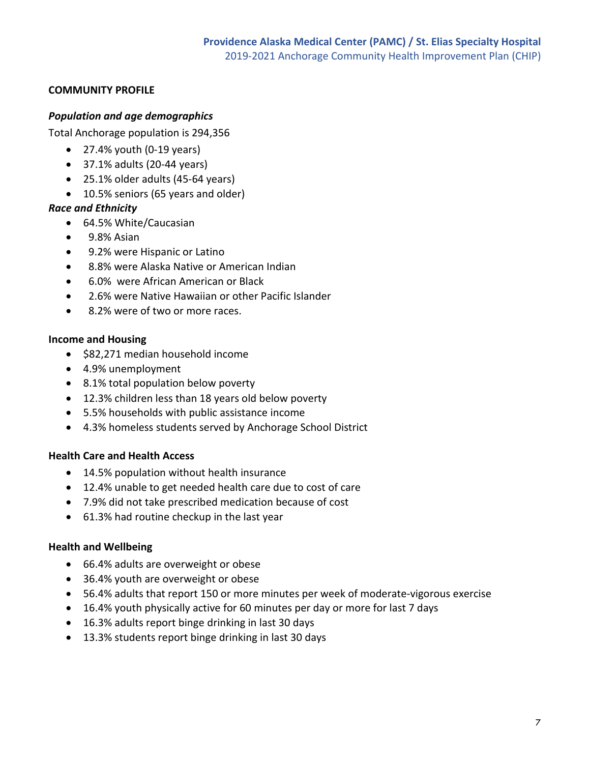# **COMMUNITY PROFILE**

# *Population and age demographics*

Total Anchorage population is 294,356

- $\bullet$  27.4% youth (0-19 years)
- 37.1% adults (20-44 years)
- 25.1% older adults (45-64 years)
- 10.5% seniors (65 years and older)

# *Race and Ethnicity*

- 64.5% White/Caucasian
- 9.8% Asian
- 9.2% were Hispanic or Latino
- 8.8% were Alaska Native or American Indian
- 6.0% were African American or Black
- 2.6% were Native Hawaiian or other Pacific Islander
- 8.2% were of two or more races.

# **Income and Housing**

- \$82,271 median household income
- 4.9% unemployment
- 8.1% total population below poverty
- 12.3% children less than 18 years old below poverty
- 5.5% households with public assistance income
- 4.3% homeless students served by Anchorage School District

# **Health Care and Health Access**

- 14.5% population without health insurance
- 12.4% unable to get needed health care due to cost of care
- 7.9% did not take prescribed medication because of cost
- 61.3% had routine checkup in the last year

# **Health and Wellbeing**

- 66.4% adults are overweight or obese
- 36.4% youth are overweight or obese
- 56.4% adults that report 150 or more minutes per week of moderate-vigorous exercise
- 16.4% youth physically active for 60 minutes per day or more for last 7 days
- 16.3% adults report binge drinking in last 30 days
- 13.3% students report binge drinking in last 30 days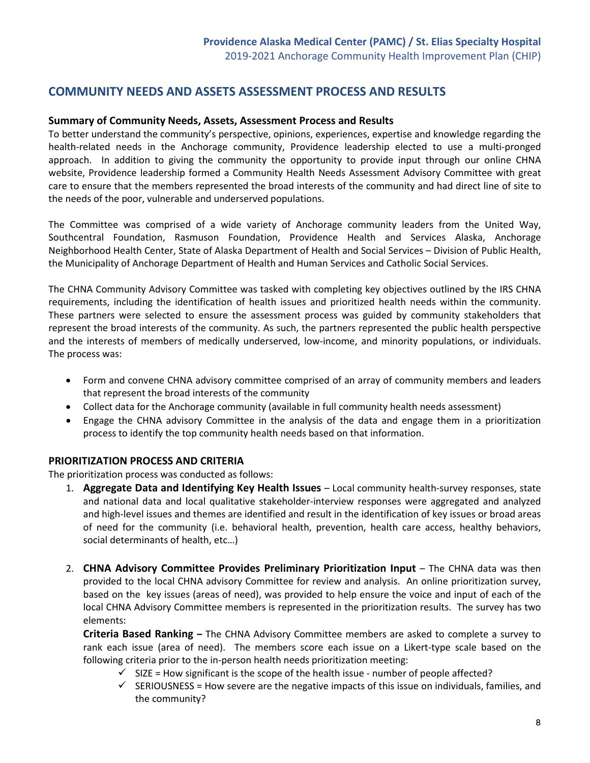# **COMMUNITY NEEDS AND ASSETS ASSESSMENT PROCESS AND RESULTS**

### **Summary of Community Needs, Assets, Assessment Process and Results**

To better understand the community's perspective, opinions, experiences, expertise and knowledge regarding the health-related needs in the Anchorage community, Providence leadership elected to use a multi-pronged approach. In addition to giving the community the opportunity to provide input through our online CHNA website, Providence leadership formed a Community Health Needs Assessment Advisory Committee with great care to ensure that the members represented the broad interests of the community and had direct line of site to the needs of the poor, vulnerable and underserved populations.

The Committee was comprised of a wide variety of Anchorage community leaders from the United Way, Southcentral Foundation, Rasmuson Foundation, Providence Health and Services Alaska, Anchorage Neighborhood Health Center, State of Alaska Department of Health and Social Services – Division of Public Health, the Municipality of Anchorage Department of Health and Human Services and Catholic Social Services.

The CHNA Community Advisory Committee was tasked with completing key objectives outlined by the IRS CHNA requirements, including the identification of health issues and prioritized health needs within the community. These partners were selected to ensure the assessment process was guided by community stakeholders that represent the broad interests of the community. As such, the partners represented the public health perspective and the interests of members of medically underserved, low-income, and minority populations, or individuals. The process was:

- Form and convene CHNA advisory committee comprised of an array of community members and leaders that represent the broad interests of the community
- Collect data for the Anchorage community (available in full community health needs assessment)
- Engage the CHNA advisory Committee in the analysis of the data and engage them in a prioritization process to identify the top community health needs based on that information.

### **PRIORITIZATION PROCESS AND CRITERIA**

The prioritization process was conducted as follows:

- 1. **Aggregate Data and Identifying Key Health Issues** Local community health-survey responses, state and national data and local qualitative stakeholder-interview responses were aggregated and analyzed and high-level issues and themes are identified and result in the identification of key issues or broad areas of need for the community (i.e. behavioral health, prevention, health care access, healthy behaviors, social determinants of health, etc…)
- 2. **CHNA Advisory Committee Provides Preliminary Prioritization Input** The CHNA data was then provided to the local CHNA advisory Committee for review and analysis. An online prioritization survey, based on the key issues (areas of need), was provided to help ensure the voice and input of each of the local CHNA Advisory Committee members is represented in the prioritization results. The survey has two elements:

**Criteria Based Ranking –** The CHNA Advisory Committee members are asked to complete a survey to rank each issue (area of need). The members score each issue on a Likert-type scale based on the following criteria prior to the in-person health needs prioritization meeting:

- $\checkmark$  SIZE = How significant is the scope of the health issue number of people affected?
- $\checkmark$  SERIOUSNESS = How severe are the negative impacts of this issue on individuals, families, and the community?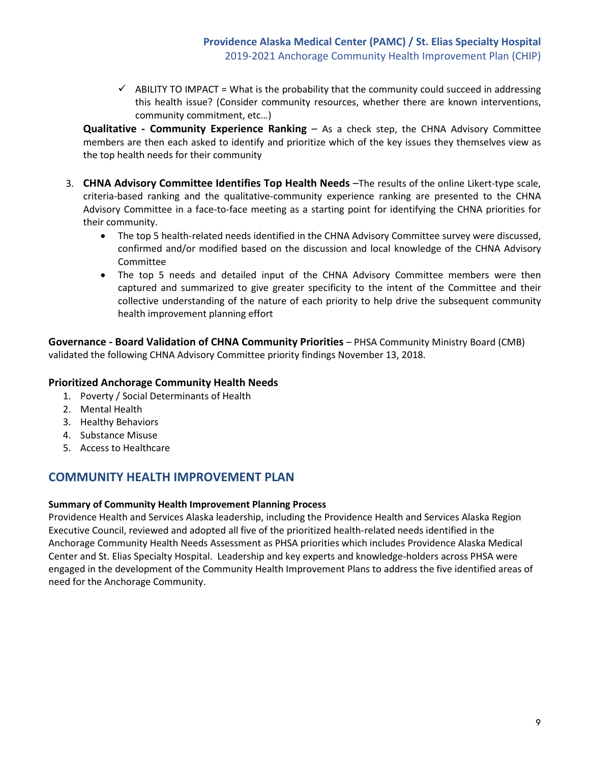$\checkmark$  ABILITY TO IMPACT = What is the probability that the community could succeed in addressing this health issue? (Consider community resources, whether there are known interventions, community commitment, etc…)

**Qualitative - Community Experience Ranking** – As a check step, the CHNA Advisory Committee members are then each asked to identify and prioritize which of the key issues they themselves view as the top health needs for their community

- 3. **CHNA Advisory Committee Identifies Top Health Needs** –The results of the online Likert-type scale, criteria-based ranking and the qualitative-community experience ranking are presented to the CHNA Advisory Committee in a face-to-face meeting as a starting point for identifying the CHNA priorities for their community.
	- The top 5 health-related needs identified in the CHNA Advisory Committee survey were discussed, confirmed and/or modified based on the discussion and local knowledge of the CHNA Advisory Committee
	- The top 5 needs and detailed input of the CHNA Advisory Committee members were then captured and summarized to give greater specificity to the intent of the Committee and their collective understanding of the nature of each priority to help drive the subsequent community health improvement planning effort

**Governance - Board Validation of CHNA Community Priorities** – PHSA Community Ministry Board (CMB) validated the following CHNA Advisory Committee priority findings November 13, 2018.

# **Prioritized Anchorage Community Health Needs**

- 1. Poverty / Social Determinants of Health
- 2. Mental Health
- 3. Healthy Behaviors
- 4. Substance Misuse
- 5. Access to Healthcare

# **COMMUNITY HEALTH IMPROVEMENT PLAN**

# **Summary of Community Health Improvement Planning Process**

Providence Health and Services Alaska leadership, including the Providence Health and Services Alaska Region Executive Council, reviewed and adopted all five of the prioritized health-related needs identified in the Anchorage Community Health Needs Assessment as PHSA priorities which includes Providence Alaska Medical Center and St. Elias Specialty Hospital. Leadership and key experts and knowledge-holders across PHSA were engaged in the development of the Community Health Improvement Plans to address the five identified areas of need for the Anchorage Community.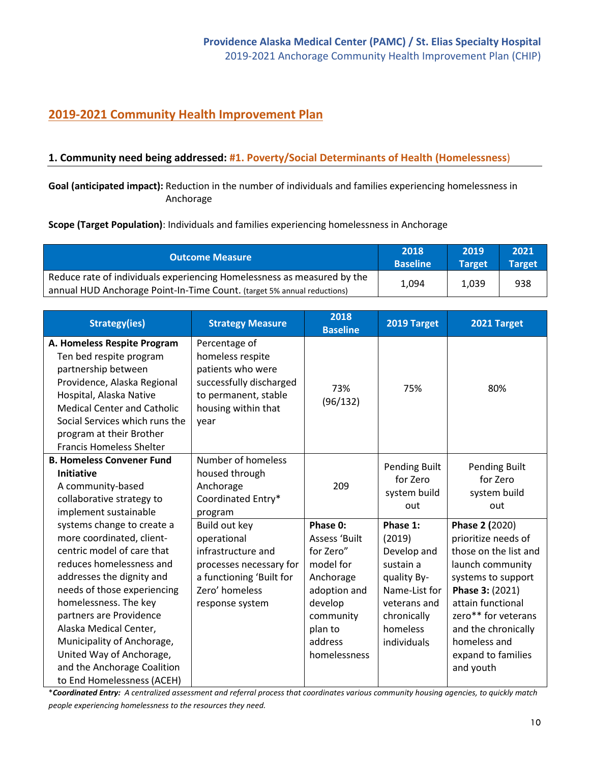# **2019-2021 Community Health Improvement Plan**

# **1. Community need being addressed: #1. Poverty/Social Determinants of Health (Homelessness**)

**Goal (anticipated impact):** Reduction in the number of individuals and families experiencing homelessness in Anchorage

**Scope (Target Population)**: Individuals and families experiencing homelessness in Anchorage

| <b>Outcome Measure</b>                                                           | 2018<br><b>Baseline</b> | 2019<br>Target | 2021<br><b>Target</b> |
|----------------------------------------------------------------------------------|-------------------------|----------------|-----------------------|
| Reduce rate of individuals experiencing Homelessness as measured by the<br>1,094 |                         | 1,039          | 938                   |
| annual HUD Anchorage Point-In-Time Count. (target 5% annual reductions)          |                         |                |                       |

| <b>Strategy(ies)</b>                                                                                                                                                                                                                                                                                                                                                               | <b>Strategy Measure</b>                                                                                                                        | 2018<br><b>Baseline</b>                                                                                                                        | 2019 Target                                                                                                                              | 2021 Target                                                                                                                                                                                                                                       |
|------------------------------------------------------------------------------------------------------------------------------------------------------------------------------------------------------------------------------------------------------------------------------------------------------------------------------------------------------------------------------------|------------------------------------------------------------------------------------------------------------------------------------------------|------------------------------------------------------------------------------------------------------------------------------------------------|------------------------------------------------------------------------------------------------------------------------------------------|---------------------------------------------------------------------------------------------------------------------------------------------------------------------------------------------------------------------------------------------------|
| A. Homeless Respite Program<br>Ten bed respite program<br>partnership between<br>Providence, Alaska Regional<br>Hospital, Alaska Native<br><b>Medical Center and Catholic</b><br>Social Services which runs the<br>program at their Brother<br><b>Francis Homeless Shelter</b>                                                                                                     | Percentage of<br>homeless respite<br>patients who were<br>successfully discharged<br>to permanent, stable<br>housing within that<br>year       | 73%<br>(96/132)                                                                                                                                | 75%                                                                                                                                      | 80%                                                                                                                                                                                                                                               |
| <b>B. Homeless Convener Fund</b><br><b>Initiative</b><br>A community-based<br>collaborative strategy to<br>implement sustainable                                                                                                                                                                                                                                                   | Number of homeless<br>housed through<br>Anchorage<br>Coordinated Entry*<br>program                                                             | 209                                                                                                                                            | Pending Built<br>for Zero<br>system build<br>out                                                                                         | <b>Pending Built</b><br>for Zero<br>system build<br>out                                                                                                                                                                                           |
| systems change to create a<br>more coordinated, client-<br>centric model of care that<br>reduces homelessness and<br>addresses the dignity and<br>needs of those experiencing<br>homelessness. The key<br>partners are Providence<br>Alaska Medical Center,<br>Municipality of Anchorage,<br>United Way of Anchorage,<br>and the Anchorage Coalition<br>to End Homelessness (ACEH) | Build out key<br>operational<br>infrastructure and<br>processes necessary for<br>a functioning 'Built for<br>Zero' homeless<br>response system | Phase 0:<br>Assess 'Built<br>for Zero"<br>model for<br>Anchorage<br>adoption and<br>develop<br>community<br>plan to<br>address<br>homelessness | Phase 1:<br>(2019)<br>Develop and<br>sustain a<br>quality By-<br>Name-List for<br>veterans and<br>chronically<br>homeless<br>individuals | Phase 2 (2020)<br>prioritize needs of<br>those on the list and<br>launch community<br>systems to support<br>Phase 3: (2021)<br>attain functional<br>zero** for veterans<br>and the chronically<br>homeless and<br>expand to families<br>and youth |

\**Coordinated Entry: A centralized assessment and referral process that coordinates various community housing agencies, to quickly match people experiencing homelessness to the resources they need.*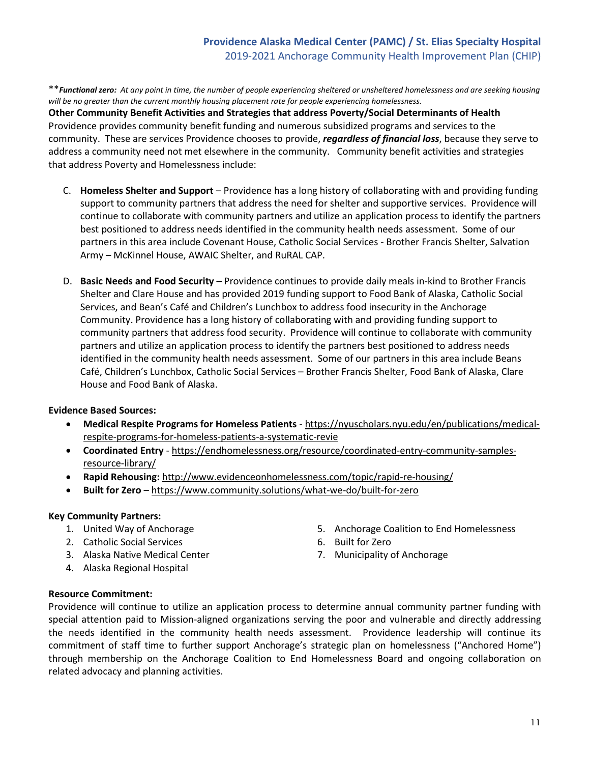# **Providence Alaska Medical Center (PAMC) / St. Elias Specialty Hospital** 2019-2021 Anchorage Community Health Improvement Plan (CHIP)

\*\**Functional zero: At any point in time, the number of people experiencing sheltered or unsheltered homelessness and are seeking housing will be no greater than the current monthly housing placement rate for people experiencing homelessness.*

**Other Community Benefit Activities and Strategies that address Poverty/Social Determinants of Health** Providence provides community benefit funding and numerous subsidized programs and services to the community. These are services Providence chooses to provide, *regardless of financial loss*, because they serve to address a community need not met elsewhere in the community. Community benefit activities and strategies that address Poverty and Homelessness include:

- C. **Homeless Shelter and Support** Providence has a long history of collaborating with and providing funding support to community partners that address the need for shelter and supportive services. Providence will continue to collaborate with community partners and utilize an application process to identify the partners best positioned to address needs identified in the community health needs assessment. Some of our partners in this area include Covenant House, Catholic Social Services - Brother Francis Shelter, Salvation Army – McKinnel House, AWAIC Shelter, and RuRAL CAP.
- D. **Basic Needs and Food Security** Providence continues to provide daily meals in-kind to Brother Francis Shelter and Clare House and has provided 2019 funding support to Food Bank of Alaska, Catholic Social Services, and Bean's Café and Children's Lunchbox to address food insecurity in the Anchorage Community. Providence has a long history of collaborating with and providing funding support to community partners that address food security. Providence will continue to collaborate with community partners and utilize an application process to identify the partners best positioned to address needs identified in the community health needs assessment. Some of our partners in this area include Beans Café, Children's Lunchbox, Catholic Social Services – Brother Francis Shelter, Food Bank of Alaska, Clare House and Food Bank of Alaska.

### **Evidence Based Sources:**

- **Medical Respite Programs for Homeless Patients**  [https://nyuscholars.nyu.edu/en/publications/medical](https://nyuscholars.nyu.edu/en/publications/medical-respite-programs-for-homeless-patients-a-systematic-revie)[respite-programs-for-homeless-patients-a-systematic-revie](https://nyuscholars.nyu.edu/en/publications/medical-respite-programs-for-homeless-patients-a-systematic-revie)
- **Coordinated Entry** - [https://endhomelessness.org/resource/coordinated-entry-community-samples](https://endhomelessness.org/resource/coordinated-entry-community-samples-resource-library/)[resource-library/](https://endhomelessness.org/resource/coordinated-entry-community-samples-resource-library/)
- **Rapid Rehousing:** <http://www.evidenceonhomelessness.com/topic/rapid-re-housing/>
- **Built for Zero** –<https://www.community.solutions/what-we-do/built-for-zero>

#### **Key Community Partners:**

- 1. United Way of Anchorage
- 2. Catholic Social Services
- 3. Alaska Native Medical Center
- 4. Alaska Regional Hospital
- 5. Anchorage Coalition to End Homelessness
- 6. Built for Zero
- 7. Municipality of Anchorage

#### **Resource Commitment:**

Providence will continue to utilize an application process to determine annual community partner funding with special attention paid to Mission-aligned organizations serving the poor and vulnerable and directly addressing the needs identified in the community health needs assessment. Providence leadership will continue its commitment of staff time to further support Anchorage's strategic plan on homelessness ("Anchored Home") through membership on the Anchorage Coalition to End Homelessness Board and ongoing collaboration on related advocacy and planning activities.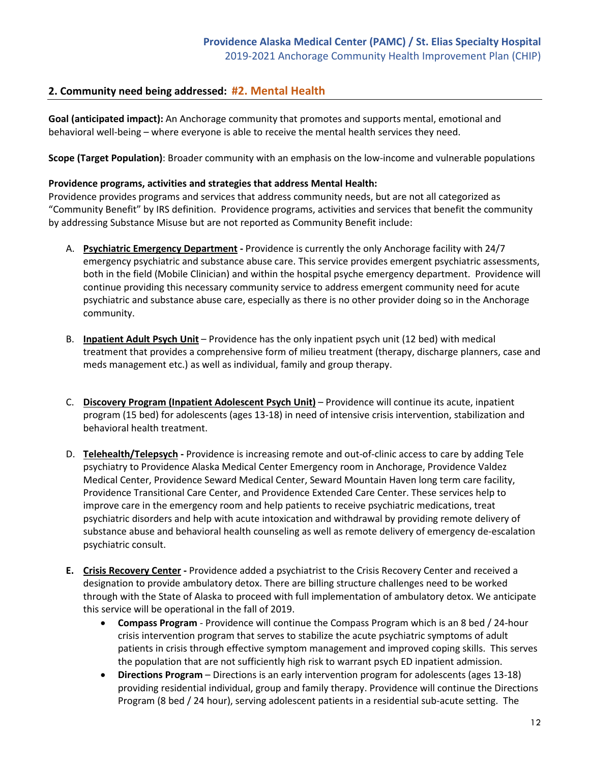# **2. Community need being addressed: #2. Mental Health**

**Goal (anticipated impact):** An Anchorage community that promotes and supports mental, emotional and behavioral well-being – where everyone is able to receive the mental health services they need.

**Scope (Target Population)**: Broader community with an emphasis on the low-income and vulnerable populations

#### **Providence programs, activities and strategies that address Mental Health:**

Providence provides programs and services that address community needs, but are not all categorized as "Community Benefit" by IRS definition. Providence programs, activities and services that benefit the community by addressing Substance Misuse but are not reported as Community Benefit include:

- A. **Psychiatric Emergency Department** Providence is currently the only Anchorage facility with 24/7 emergency psychiatric and substance abuse care. This service provides emergent psychiatric assessments, both in the field (Mobile Clinician) and within the hospital psyche emergency department. Providence will continue providing this necessary community service to address emergent community need for acute psychiatric and substance abuse care, especially as there is no other provider doing so in the Anchorage community.
- B. **Inpatient Adult Psych Unit** Providence has the only inpatient psych unit (12 bed) with medical treatment that provides a comprehensive form of milieu treatment (therapy, discharge planners, case and meds management etc.) as well as individual, family and group therapy.
- C. **Discovery Program (Inpatient Adolescent Psych Unit)** Providence will continue its acute, inpatient program (15 bed) for adolescents (ages 13-18) in need of intensive crisis intervention, stabilization and behavioral health treatment.
- D. **Telehealth/Telepsych** Providence is increasing remote and out-of-clinic access to care by adding Tele psychiatry to Providence Alaska Medical Center Emergency room in Anchorage, Providence Valdez Medical Center, Providence Seward Medical Center, Seward Mountain Haven long term care facility, Providence Transitional Care Center, and Providence Extended Care Center. These services help to improve care in the emergency room and help patients to receive psychiatric medications, treat psychiatric disorders and help with acute intoxication and withdrawal by providing remote delivery of substance abuse and behavioral health counseling as well as remote delivery of emergency de-escalation psychiatric consult.
- **E. Crisis Recovery Center** Providence added a psychiatrist to the Crisis Recovery Center and received a designation to provide ambulatory detox. There are billing structure challenges need to be worked through with the State of Alaska to proceed with full implementation of ambulatory detox. We anticipate this service will be operational in the fall of 2019.
	- **Compass Program**  Providence will continue the Compass Program which is an 8 bed / 24-hour crisis intervention program that serves to stabilize the acute psychiatric symptoms of adult patients in crisis through effective symptom management and improved coping skills. This serves the population that are not sufficiently high risk to warrant psych ED inpatient admission.
	- **Directions Program** Directions is an early intervention program for adolescents (ages 13-18) providing residential individual, group and family therapy. Providence will continue the Directions Program (8 bed / 24 hour), serving adolescent patients in a residential sub-acute setting. The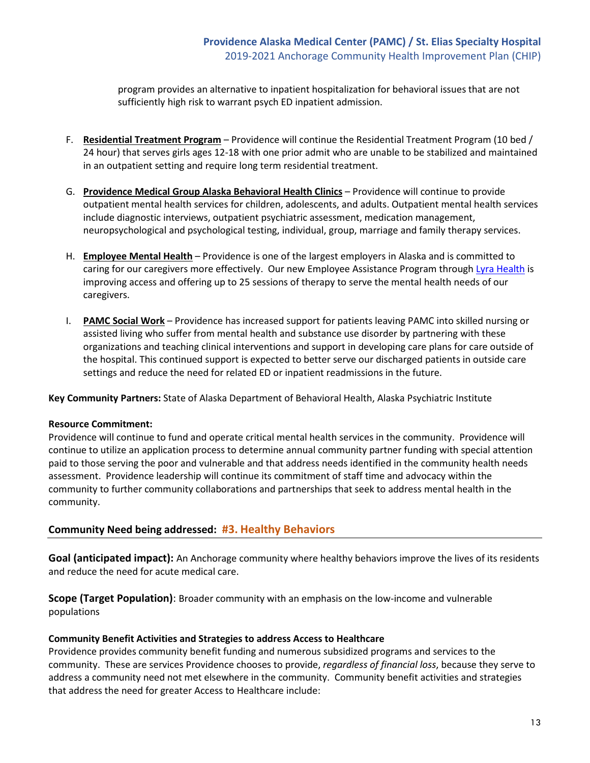program provides an alternative to inpatient hospitalization for behavioral issues that are not sufficiently high risk to warrant psych ED inpatient admission.

- F. **Residential Treatment Program** Providence will continue the Residential Treatment Program (10 bed / 24 hour) that serves girls ages 12-18 with one prior admit who are unable to be stabilized and maintained in an outpatient setting and require long term residential treatment.
- G. **Providence Medical Group Alaska Behavioral Health Clinics** Providence will continue to provide outpatient mental health services for children, adolescents, and adults. Outpatient mental health services include diagnostic interviews, outpatient psychiatric assessment, medication management, neuropsychological and psychological testing, individual, group, marriage and family therapy services.
- H. **Employee Mental Health** Providence is one of the largest employers in Alaska and is committed to caring for our caregivers more effectively. Our new Employee Assistance Program through [Lyra Health](https://www.lyrahealth.com/) is improving access and offering up to 25 sessions of therapy to serve the mental health needs of our caregivers.
- I. **PAMC Social Work** Providence has increased support for patients leaving PAMC into skilled nursing or assisted living who suffer from mental health and substance use disorder by partnering with these organizations and teaching clinical interventions and support in developing care plans for care outside of the hospital. This continued support is expected to better serve our discharged patients in outside care settings and reduce the need for related ED or inpatient readmissions in the future.

**Key Community Partners:** State of Alaska Department of Behavioral Health, Alaska Psychiatric Institute

### **Resource Commitment:**

Providence will continue to fund and operate critical mental health services in the community. Providence will continue to utilize an application process to determine annual community partner funding with special attention paid to those serving the poor and vulnerable and that address needs identified in the community health needs assessment. Providence leadership will continue its commitment of staff time and advocacy within the community to further community collaborations and partnerships that seek to address mental health in the community.

# **Community Need being addressed: #3. Healthy Behaviors**

**Goal (anticipated impact):** An Anchorage community where healthy behaviors improve the lives of its residents and reduce the need for acute medical care.

**Scope (Target Population)**: Broader community with an emphasis on the low-income and vulnerable populations

### **Community Benefit Activities and Strategies to address Access to Healthcare**

Providence provides community benefit funding and numerous subsidized programs and services to the community. These are services Providence chooses to provide, *regardless of financial loss*, because they serve to address a community need not met elsewhere in the community. Community benefit activities and strategies that address the need for greater Access to Healthcare include: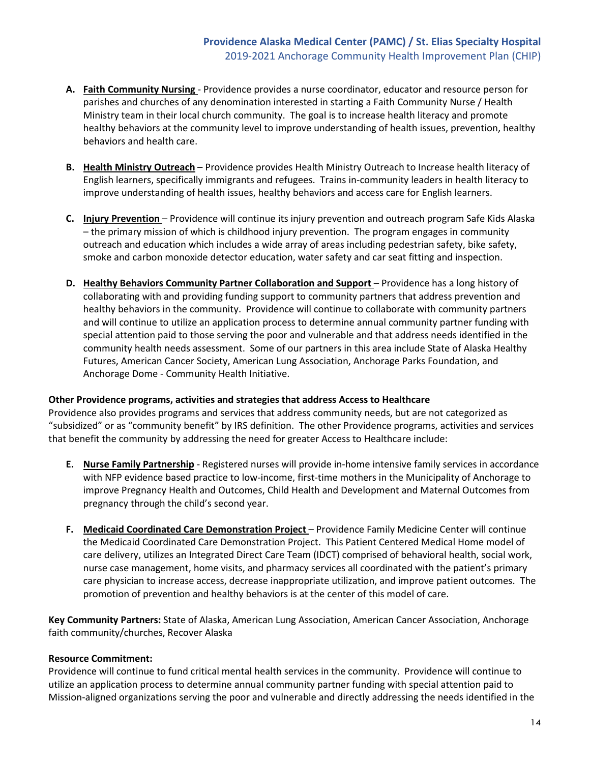- **A. Faith Community Nursing**  Providence provides a nurse coordinator, educator and resource person for parishes and churches of any denomination interested in starting a Faith Community Nurse / Health Ministry team in their local church community. The goal is to increase health literacy and promote healthy behaviors at the community level to improve understanding of health issues, prevention, healthy behaviors and health care.
- **B. Health Ministry Outreach** Providence provides Health Ministry Outreach to Increase health literacy of English learners, specifically immigrants and refugees. Trains in-community leaders in health literacy to improve understanding of health issues, healthy behaviors and access care for English learners.
- **C. Injury Prevention**  Providence will continue its injury prevention and outreach program Safe Kids Alaska – the primary mission of which is childhood injury prevention. The program engages in community outreach and education which includes a wide array of areas including pedestrian safety, bike safety, smoke and carbon monoxide detector education, water safety and car seat fitting and inspection.
- **D.** Healthy Behaviors Community Partner Collaboration and Support Providence has a long history of collaborating with and providing funding support to community partners that address prevention and healthy behaviors in the community. Providence will continue to collaborate with community partners and will continue to utilize an application process to determine annual community partner funding with special attention paid to those serving the poor and vulnerable and that address needs identified in the community health needs assessment. Some of our partners in this area include State of Alaska Healthy Futures, American Cancer Society, American Lung Association, Anchorage Parks Foundation, and Anchorage Dome - Community Health Initiative.

### **Other Providence programs, activities and strategies that address Access to Healthcare**

Providence also provides programs and services that address community needs, but are not categorized as "subsidized" or as "community benefit" by IRS definition. The other Providence programs, activities and services that benefit the community by addressing the need for greater Access to Healthcare include:

- **E. Nurse Family Partnership** Registered nurses will provide in-home intensive family services in accordance with NFP evidence based practice to low-income, first-time mothers in the Municipality of Anchorage to improve Pregnancy Health and Outcomes, Child Health and Development and Maternal Outcomes from pregnancy through the child's second year.
- **F. Medicaid Coordinated Care Demonstration Project**  Providence Family Medicine Center will continue the Medicaid Coordinated Care Demonstration Project. This Patient Centered Medical Home model of care delivery, utilizes an Integrated Direct Care Team (IDCT) comprised of behavioral health, social work, nurse case management, home visits, and pharmacy services all coordinated with the patient's primary care physician to increase access, decrease inappropriate utilization, and improve patient outcomes. The promotion of prevention and healthy behaviors is at the center of this model of care.

**Key Community Partners:** State of Alaska, American Lung Association, American Cancer Association, Anchorage faith community/churches, Recover Alaska

# **Resource Commitment:**

Providence will continue to fund critical mental health services in the community. Providence will continue to utilize an application process to determine annual community partner funding with special attention paid to Mission-aligned organizations serving the poor and vulnerable and directly addressing the needs identified in the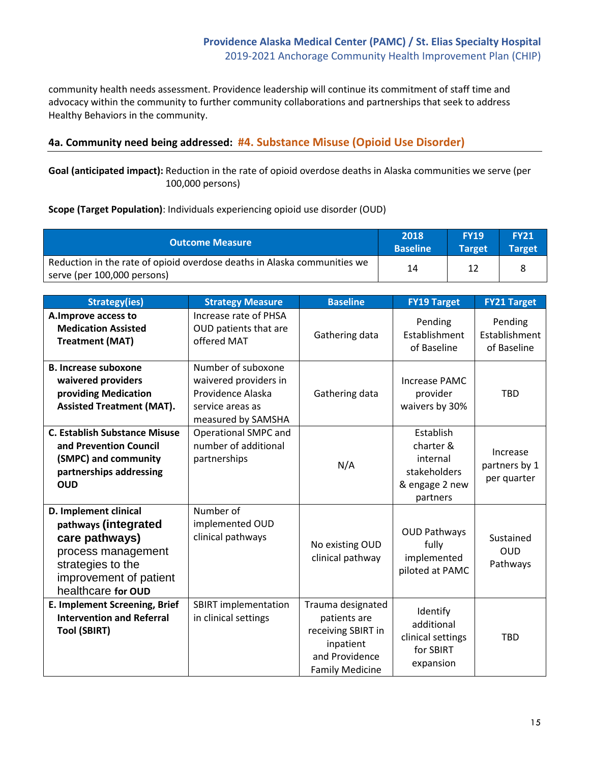community health needs assessment. Providence leadership will continue its commitment of staff time and advocacy within the community to further community collaborations and partnerships that seek to address Healthy Behaviors in the community.

# **4a. Community need being addressed: #4. Substance Misuse (Opioid Use Disorder)**

**Goal (anticipated impact):** Reduction in the rate of opioid overdose deaths in Alaska communities we serve (per 100,000 persons)

### **Scope (Target Population)**: Individuals experiencing opioid use disorder (OUD)

| <b>Outcome Measure</b>                                                   | 2018<br><b>Baseline</b> | <b>FY19</b><br><b>Target</b> | <b>FY21</b><br><b>Target</b> |
|--------------------------------------------------------------------------|-------------------------|------------------------------|------------------------------|
| Reduction in the rate of opioid overdose deaths in Alaska communities we | 14                      |                              |                              |
| serve (per 100,000 persons)                                              |                         |                              |                              |

| <b>Strategy(ies)</b>                                                                                                                                       | <b>Strategy Measure</b>                                                                                    | <b>Baseline</b>                                                                                                  | <b>FY19 Target</b>                                                               | <b>FY21 Target</b>                       |
|------------------------------------------------------------------------------------------------------------------------------------------------------------|------------------------------------------------------------------------------------------------------------|------------------------------------------------------------------------------------------------------------------|----------------------------------------------------------------------------------|------------------------------------------|
| A. Improve access to<br><b>Medication Assisted</b><br><b>Treatment (MAT)</b>                                                                               | Increase rate of PHSA<br>OUD patients that are<br>offered MAT                                              | Gathering data                                                                                                   | Pending<br>Establishment<br>of Baseline                                          | Pending<br>Establishment<br>of Baseline  |
| <b>B. Increase suboxone</b><br>waivered providers<br>providing Medication<br><b>Assisted Treatment (MAT).</b>                                              | Number of suboxone<br>waivered providers in<br>Providence Alaska<br>service areas as<br>measured by SAMSHA | Gathering data                                                                                                   | Increase PAMC<br>provider<br>waivers by 30%                                      | <b>TBD</b>                               |
| <b>C. Establish Substance Misuse</b><br>and Prevention Council<br>(SMPC) and community<br>partnerships addressing<br><b>OUD</b>                            | <b>Operational SMPC and</b><br>number of additional<br>partnerships                                        | N/A                                                                                                              | Establish<br>charter &<br>internal<br>stakeholders<br>& engage 2 new<br>partners | Increase<br>partners by 1<br>per quarter |
| D. Implement clinical<br>pathways (integrated<br>care pathways)<br>process management<br>strategies to the<br>improvement of patient<br>healthcare for OUD | Number of<br>implemented OUD<br>clinical pathways                                                          | No existing OUD<br>clinical pathway                                                                              | <b>OUD Pathways</b><br>fully<br>implemented<br>piloted at PAMC                   | Sustained<br><b>OUD</b><br>Pathways      |
| E. Implement Screening, Brief<br><b>Intervention and Referral</b><br><b>Tool (SBIRT)</b>                                                                   | <b>SBIRT</b> implementation<br>in clinical settings                                                        | Trauma designated<br>patients are<br>receiving SBIRT in<br>inpatient<br>and Providence<br><b>Family Medicine</b> | Identify<br>additional<br>clinical settings<br>for SBIRT<br>expansion            | <b>TBD</b>                               |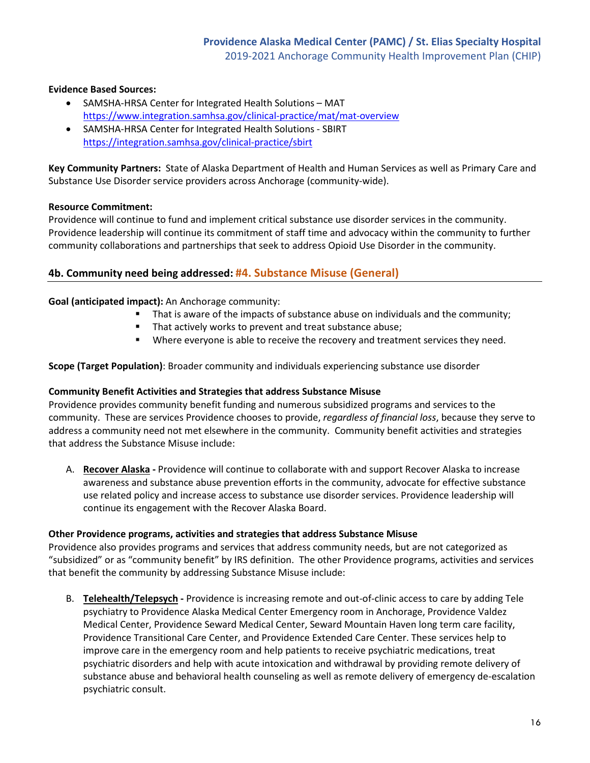## **Evidence Based Sources:**

- SAMSHA-HRSA Center for Integrated Health Solutions MAT <https://www.integration.samhsa.gov/clinical-practice/mat/mat-overview>
- SAMSHA-HRSA Center for Integrated Health Solutions SBIRT <https://integration.samhsa.gov/clinical-practice/sbirt>

**Key Community Partners:** State of Alaska Department of Health and Human Services as well as Primary Care and Substance Use Disorder service providers across Anchorage (community-wide).

## **Resource Commitment:**

Providence will continue to fund and implement critical substance use disorder services in the community. Providence leadership will continue its commitment of staff time and advocacy within the community to further community collaborations and partnerships that seek to address Opioid Use Disorder in the community.

# **4b. Community need being addressed: #4. Substance Misuse (General)**

### **Goal (anticipated impact):** An Anchorage community:

- That is aware of the impacts of substance abuse on individuals and the community;
	- That actively works to prevent and treat substance abuse;
	- Where everyone is able to receive the recovery and treatment services they need.

### **Scope (Target Population)**: Broader community and individuals experiencing substance use disorder

### **Community Benefit Activities and Strategies that address Substance Misuse**

Providence provides community benefit funding and numerous subsidized programs and services to the community. These are services Providence chooses to provide, *regardless of financial loss*, because they serve to address a community need not met elsewhere in the community. Community benefit activities and strategies that address the Substance Misuse include:

A. **Recover Alaska -** Providence will continue to collaborate with and support Recover Alaska to increase awareness and substance abuse prevention efforts in the community, advocate for effective substance use related policy and increase access to substance use disorder services. Providence leadership will continue its engagement with the Recover Alaska Board.

### **Other Providence programs, activities and strategies that address Substance Misuse**

Providence also provides programs and services that address community needs, but are not categorized as "subsidized" or as "community benefit" by IRS definition. The other Providence programs, activities and services that benefit the community by addressing Substance Misuse include:

B. **Telehealth/Telepsych -** Providence is increasing remote and out-of-clinic access to care by adding Tele psychiatry to Providence Alaska Medical Center Emergency room in Anchorage, Providence Valdez Medical Center, Providence Seward Medical Center, Seward Mountain Haven long term care facility, Providence Transitional Care Center, and Providence Extended Care Center. These services help to improve care in the emergency room and help patients to receive psychiatric medications, treat psychiatric disorders and help with acute intoxication and withdrawal by providing remote delivery of substance abuse and behavioral health counseling as well as remote delivery of emergency de-escalation psychiatric consult.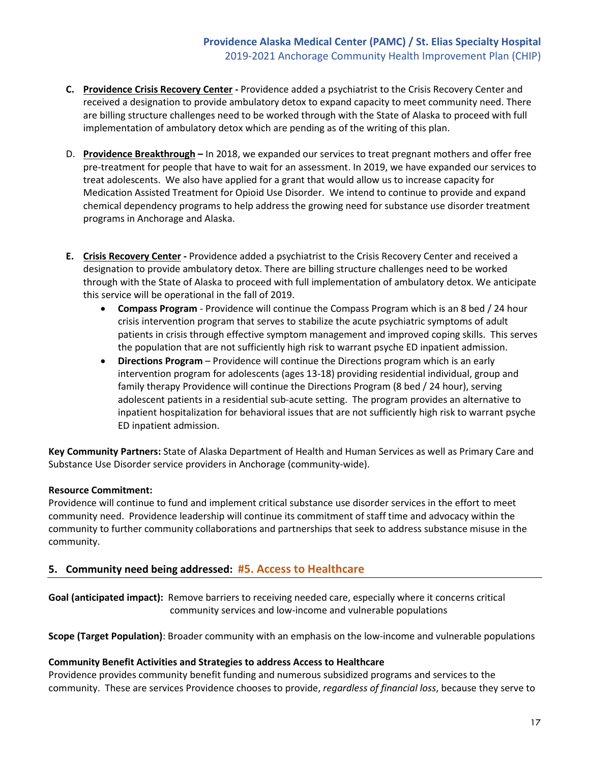- **C. Providence Crisis Recovery Center** Providence added a psychiatrist to the Crisis Recovery Center and received a designation to provide ambulatory detox to expand capacity to meet community need. There are billing structure challenges need to be worked through with the State of Alaska to proceed with full implementation of ambulatory detox which are pending as of the writing of this plan.
- D. **Providence Breakthrough** In 2018, we expanded our services to treat pregnant mothers and offer free pre-treatment for people that have to wait for an assessment. In 2019, we have expanded our services to treat adolescents. We also have applied for a grant that would allow us to increase capacity for Medication Assisted Treatment for Opioid Use Disorder. We intend to continue to provide and expand chemical dependency programs to help address the growing need for substance use disorder treatment programs in Anchorage and Alaska.
- **E. Crisis Recovery Center** Providence added a psychiatrist to the Crisis Recovery Center and received a designation to provide ambulatory detox. There are billing structure challenges need to be worked through with the State of Alaska to proceed with full implementation of ambulatory detox. We anticipate this service will be operational in the fall of 2019.
	- **Compass Program**  Providence will continue the Compass Program which is an 8 bed / 24 hour crisis intervention program that serves to stabilize the acute psychiatric symptoms of adult patients in crisis through effective symptom management and improved coping skills. This serves the population that are not sufficiently high risk to warrant psyche ED inpatient admission.
	- **Directions Program** Providence will continue the Directions program which is an early intervention program for adolescents (ages 13-18) providing residential individual, group and family therapy Providence will continue the Directions Program (8 bed / 24 hour), serving adolescent patients in a residential sub-acute setting. The program provides an alternative to inpatient hospitalization for behavioral issues that are not sufficiently high risk to warrant psyche ED inpatient admission.

**Key Community Partners:** State of Alaska Department of Health and Human Services as well as Primary Care and Substance Use Disorder service providers in Anchorage (community-wide).

# **Resource Commitment:**

Providence will continue to fund and implement critical substance use disorder services in the effort to meet community need. Providence leadership will continue its commitment of staff time and advocacy within the community to further community collaborations and partnerships that seek to address substance misuse in the community.

# **5. Community need being addressed: #5. Access to Healthcare**

**Goal (anticipated impact):** Remove barriers to receiving needed care, especially where it concerns critical community services and low-income and vulnerable populations

**Scope (Target Population)**: Broader community with an emphasis on the low-income and vulnerable populations

# **Community Benefit Activities and Strategies to address Access to Healthcare**

Providence provides community benefit funding and numerous subsidized programs and services to the community. These are services Providence chooses to provide, *regardless of financial loss*, because they serve to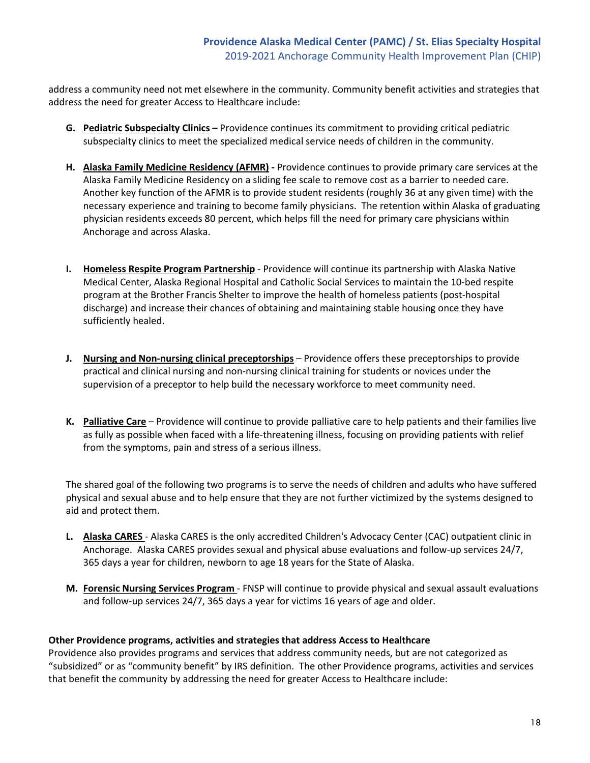address a community need not met elsewhere in the community. Community benefit activities and strategies that address the need for greater Access to Healthcare include:

- **G. Pediatric Subspecialty Clinics** Providence continues its commitment to providing critical pediatric subspecialty clinics to meet the specialized medical service needs of children in the community.
- **H. Alaska Family Medicine Residency (AFMR)** Providence continues to provide primary care services at the Alaska Family Medicine Residency on a sliding fee scale to remove cost as a barrier to needed care. Another key function of the AFMR is to provide student residents (roughly 36 at any given time) with the necessary experience and training to become family physicians. The retention within Alaska of graduating physician residents exceeds 80 percent, which helps fill the need for primary care physicians within Anchorage and across Alaska.
- **I. Homeless Respite Program Partnership** Providence will continue its partnership with Alaska Native Medical Center, Alaska Regional Hospital and Catholic Social Services to maintain the 10-bed respite program at the Brother Francis Shelter to improve the health of homeless patients (post-hospital discharge) and increase their chances of obtaining and maintaining stable housing once they have sufficiently healed.
- **J. Nursing and Non-nursing clinical preceptorships** Providence offers these preceptorships to provide practical and clinical nursing and non-nursing clinical training for students or novices under the supervision of a preceptor to help build the necessary workforce to meet community need.
- **K. Palliative Care** Providence will continue to provide palliative care to help patients and their families live as fully as possible when faced with a life-threatening illness, focusing on providing patients with relief from the symptoms, pain and stress of a serious illness.

The shared goal of the following two programs is to serve the needs of children and adults who have suffered physical and sexual abuse and to help ensure that they are not further victimized by the systems designed to aid and protect them.

- **L. Alaska CARES**  Alaska CARES is the only accredited Children's Advocacy Center (CAC) outpatient clinic in Anchorage. Alaska CARES provides sexual and physical abuse evaluations and follow-up services 24/7, 365 days a year for children, newborn to age 18 years for the State of Alaska.
- **M. Forensic Nursing Services Program**  FNSP will continue to provide physical and sexual assault evaluations and follow-up services 24/7, 365 days a year for victims 16 years of age and older.

### **Other Providence programs, activities and strategies that address Access to Healthcare**

Providence also provides programs and services that address community needs, but are not categorized as "subsidized" or as "community benefit" by IRS definition. The other Providence programs, activities and services that benefit the community by addressing the need for greater Access to Healthcare include: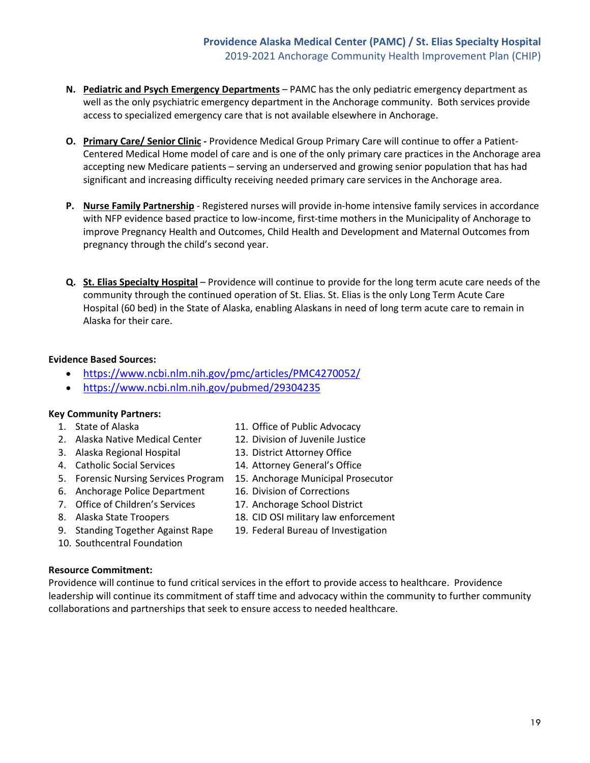- **N. Pediatric and Psych Emergency Departments** PAMC has the only pediatric emergency department as well as the only psychiatric emergency department in the Anchorage community. Both services provide access to specialized emergency care that is not available elsewhere in Anchorage.
- **O. Primary Care/ Senior Clinic** Providence Medical Group Primary Care will continue to offer a Patient-Centered Medical Home model of care and is one of the only primary care practices in the Anchorage area accepting new Medicare patients – serving an underserved and growing senior population that has had significant and increasing difficulty receiving needed primary care services in the Anchorage area.
- **P. Nurse Family Partnership** Registered nurses will provide in-home intensive family services in accordance with NFP evidence based practice to low-income, first-time mothers in the Municipality of Anchorage to improve Pregnancy Health and Outcomes, Child Health and Development and Maternal Outcomes from pregnancy through the child's second year.
- **Q. St. Elias Specialty Hospital** Providence will continue to provide for the long term acute care needs of the community through the continued operation of St. Elias. St. Elias is the only Long Term Acute Care Hospital (60 bed) in the State of Alaska, enabling Alaskans in need of long term acute care to remain in Alaska for their care.

# **Evidence Based Sources:**

- <https://www.ncbi.nlm.nih.gov/pmc/articles/PMC4270052/>
- <https://www.ncbi.nlm.nih.gov/pubmed/29304235>

### **Key Community Partners:**

- 1. State of Alaska
- 2. Alaska Native Medical Center
- 3. Alaska Regional Hospital
- 4. Catholic Social Services
- 5. Forensic Nursing Services Program
- 6. Anchorage Police Department
- 7. Office of Children's Services
- 8. Alaska State Troopers
- 9. Standing Together Against Rape
- 10. Southcentral Foundation
- **Resource Commitment:**
- 11. Office of Public Advocacy
- 12. Division of Juvenile Justice
- 13. District Attorney Office
- 14. Attorney General's Office
- 15. Anchorage Municipal Prosecutor
- 16. Division of Corrections
- 17. Anchorage School District
- 18. CID OSI military law enforcement
- 19. Federal Bureau of Investigation

Providence will continue to fund critical services in the effort to provide access to healthcare. Providence leadership will continue its commitment of staff time and advocacy within the community to further community collaborations and partnerships that seek to ensure access to needed healthcare.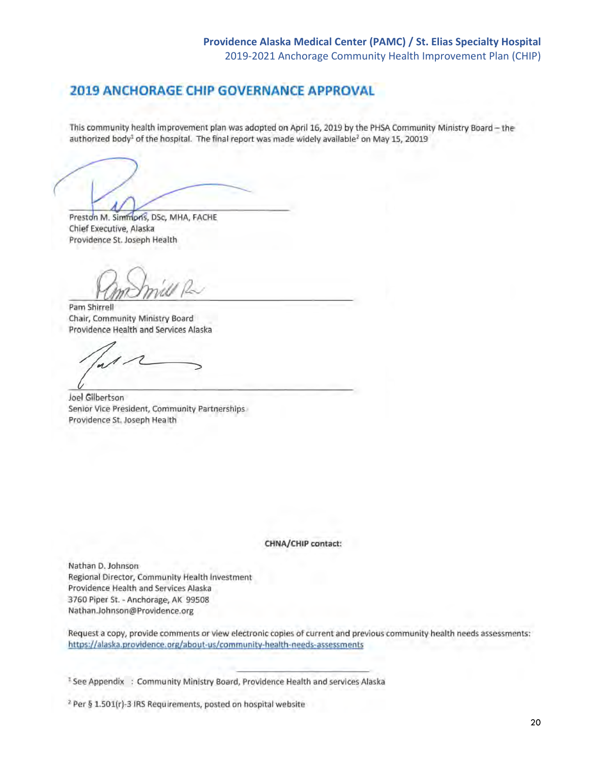# **2019 ANCHORAGE CHIP GOVERNANCE APPROVAL**

This community health improvement plan was adopted on April 16, 2019 by the PHSA Community Ministry Board - the authorized body<sup>1</sup> of the hospital. The final report was made widely available<sup>2</sup> on May 15, 20019

Preston M. Simmons, DSc, MHA, FACHE Chief Executive, Alaska Providence St. Joseph Health

Pam Shirrell Chair, Community Ministry Board Providence Health and Services Alaska

Joel Gilbertson Senior Vice President, Community Partnerships Providence St. Joseph Health

CHNA/CHIP contact:

Nathan D. Johnson Regional Director, Community Health Investment Providence Health and Services Alaska 3760 Piper St. - Anchorage, AK 99508 Nathan.Johnson@Providence.org

Request a copy, provide comments or view electronic copies of current and previous community health needs assessments: https://alaska.providence.org/about-us/community-health-needs-assessments

<sup>1</sup> See Appendix : Community Ministry Board, Providence Health and services Alaska

<sup>2</sup> Per § 1.501(r)-3 IRS Requirements, posted on hospital website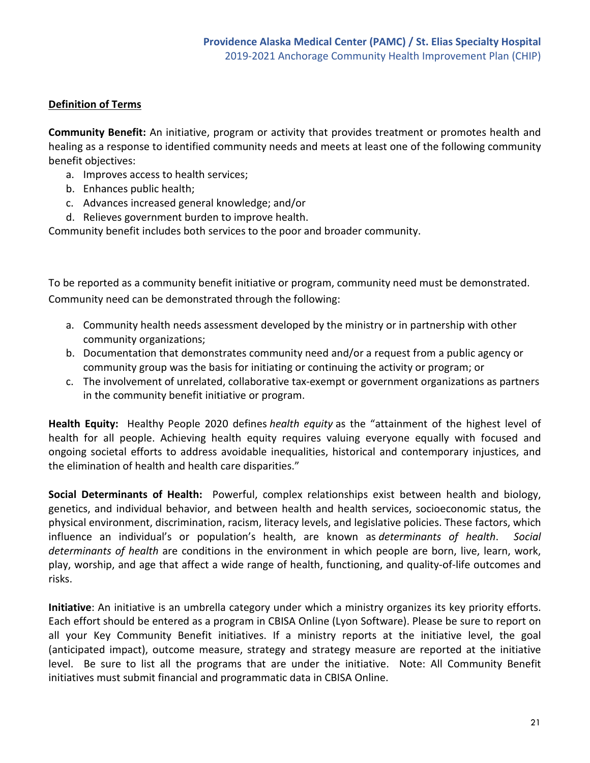# **Definition of Terms**

**Community Benefit:** An initiative, program or activity that provides treatment or promotes health and healing as a response to identified community needs and meets at least one of the following community benefit objectives:

- a. Improves access to health services;
- b. Enhances public health;
- c. Advances increased general knowledge; and/or
- d. Relieves government burden to improve health.

Community benefit includes both services to the poor and broader community.

To be reported as a community benefit initiative or program, community need must be demonstrated. Community need can be demonstrated through the following:

- a. Community health needs assessment developed by the ministry or in partnership with other community organizations;
- b. Documentation that demonstrates community need and/or a request from a public agency or community group was the basis for initiating or continuing the activity or program; or
- c. The involvement of unrelated, collaborative tax-exempt or government organizations as partners in the community benefit initiative or program.

**Health Equity:** Healthy People 2020 defines *health equity* as the "attainment of the highest level of health for all people. Achieving health equity requires valuing everyone equally with focused and ongoing societal efforts to address avoidable inequalities, historical and contemporary injustices, and the elimination of health and health care disparities."

**Social Determinants of Health:** Powerful, complex relationships exist between health and biology, genetics, and individual behavior, and between health and health services, socioeconomic status, the physical environment, discrimination, racism, literacy levels, and legislative policies. These factors, which influence an individual's or population's health, are known as *determinants of health*. *Social determinants of health* are conditions in the environment in which people are born, live, learn, work, play, worship, and age that affect a wide range of health, functioning, and quality-of-life outcomes and risks.

**Initiative**: An initiative is an umbrella category under which a ministry organizes its key priority efforts. Each effort should be entered as a program in CBISA Online (Lyon Software). Please be sure to report on all your Key Community Benefit initiatives. If a ministry reports at the initiative level, the goal (anticipated impact), outcome measure, strategy and strategy measure are reported at the initiative level. Be sure to list all the programs that are under the initiative. Note: All Community Benefit initiatives must submit financial and programmatic data in CBISA Online.